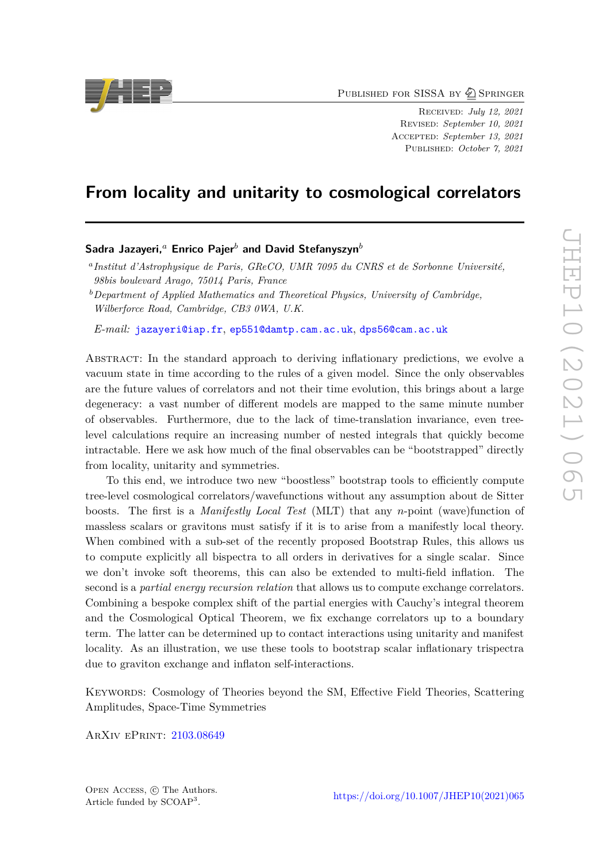PUBLISHED FOR SISSA BY 2 SPRINGER

Received: *July 12, 2021* Revised: *September 10, 2021* Accepted: *September 13, 2021* Published: *October 7, 2021*

# **From locality and unitarity to cosmological correlators**

# **Sadra Jazayeri,***<sup>a</sup>* **Enrico Pajer***<sup>b</sup>* **and David Stefanyszyn***<sup>b</sup>*

*E-mail:* [jazayeri@iap.fr](mailto:jazayeri@iap.fr), [ep551@damtp.cam.ac.uk](mailto:ep551@damtp.cam.ac.uk), [dps56@cam.ac.uk](mailto:dps56@cam.ac.uk)

Abstract: In the standard approach to deriving inflationary predictions, we evolve a vacuum state in time according to the rules of a given model. Since the only observables are the future values of correlators and not their time evolution, this brings about a large degeneracy: a vast number of different models are mapped to the same minute number of observables. Furthermore, due to the lack of time-translation invariance, even treelevel calculations require an increasing number of nested integrals that quickly become intractable. Here we ask how much of the final observables can be "bootstrapped" directly from locality, unitarity and symmetries.

To this end, we introduce two new "boostless" bootstrap tools to efficiently compute tree-level cosmological correlators/wavefunctions without any assumption about de Sitter boosts. The first is a *Manifestly Local Test* (MLT) that any *n*-point (wave)function of massless scalars or gravitons must satisfy if it is to arise from a manifestly local theory. When combined with a sub-set of the recently proposed Bootstrap Rules, this allows us to compute explicitly all bispectra to all orders in derivatives for a single scalar. Since we don't invoke soft theorems, this can also be extended to multi-field inflation. The second is a *partial energy recursion relation* that allows us to compute exchange correlators. Combining a bespoke complex shift of the partial energies with Cauchy's integral theorem and the Cosmological Optical Theorem, we fix exchange correlators up to a boundary term. The latter can be determined up to contact interactions using unitarity and manifest locality. As an illustration, we use these tools to bootstrap scalar inflationary trispectra due to graviton exchange and inflaton self-interactions.

Keywords: Cosmology of Theories beyond the SM, Effective Field Theories, Scattering Amplitudes, Space-Time Symmetries

ArXiv ePrint: [2103.08649](https://arxiv.org/abs/2103.08649)





*a Institut d'Astrophysique de Paris, GReCO, UMR 7095 du CNRS et de Sorbonne Université, 98bis boulevard Arago, 75014 Paris, France*

*<sup>b</sup>Department of Applied Mathematics and Theoretical Physics, University of Cambridge, Wilberforce Road, Cambridge, CB3 0WA, U.K.*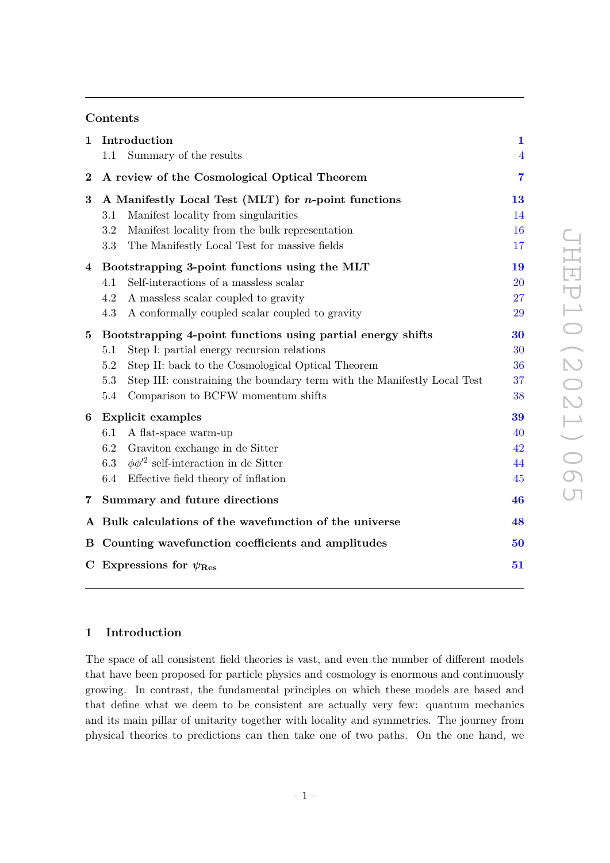# **Contents**

| $\mathbf 1$      | Introduction<br>Summary of the results<br>1.1                                  | $\mathbf{1}$<br>$\overline{4}$ |  |  |  |
|------------------|--------------------------------------------------------------------------------|--------------------------------|--|--|--|
| $\boldsymbol{2}$ | A review of the Cosmological Optical Theorem                                   |                                |  |  |  |
| 3                | A Manifestly Local Test (MLT) for <i>n</i> -point functions                    |                                |  |  |  |
|                  | Manifest locality from singularities<br>3.1                                    | 14                             |  |  |  |
|                  | Manifest locality from the bulk representation<br>3.2                          | 16                             |  |  |  |
|                  | 3.3<br>The Manifestly Local Test for massive fields                            | 17                             |  |  |  |
| 4                | Bootstrapping 3-point functions using the MLT                                  | 19                             |  |  |  |
|                  | Self-interactions of a massless scalar<br>4.1                                  | 20                             |  |  |  |
|                  | A massless scalar coupled to gravity<br>4.2                                    | 27                             |  |  |  |
|                  | 4.3<br>A conformally coupled scalar coupled to gravity                         | 29                             |  |  |  |
| $\bf{5}$         | Bootstrapping 4-point functions using partial energy shifts                    |                                |  |  |  |
|                  | 5.1<br>Step I: partial energy recursion relations                              | 30                             |  |  |  |
|                  | 5.2<br>Step II: back to the Cosmological Optical Theorem                       | 36                             |  |  |  |
|                  | Step III: constraining the boundary term with the Manifestly Local Test<br>5.3 | 37                             |  |  |  |
|                  | Comparison to BCFW momentum shifts<br>5.4                                      | 38                             |  |  |  |
| 6                | <b>Explicit examples</b>                                                       |                                |  |  |  |
|                  | 6.1<br>A flat-space warm-up                                                    | 40                             |  |  |  |
|                  | 6.2<br>Graviton exchange in de Sitter                                          | 42                             |  |  |  |
|                  | $\phi\phi'^2$ self-interaction in de Sitter<br>6.3                             | 44                             |  |  |  |
|                  | Effective field theory of inflation<br>6.4                                     | 45                             |  |  |  |
| 7                | Summary and future directions                                                  | 46                             |  |  |  |
|                  | A Bulk calculations of the wavefunction of the universe                        | 48                             |  |  |  |
|                  | B Counting wavefunction coefficients and amplitudes                            | 50                             |  |  |  |
|                  | C Expressions for $\psi_{\text{Res}}$                                          | 51                             |  |  |  |

# <span id="page-1-0"></span>**1 Introduction**

The space of all consistent field theories is vast, and even the number of different models that have been proposed for particle physics and cosmology is enormous and continuously growing. In contrast, the fundamental principles on which these models are based and that define what we deem to be consistent are actually very few: quantum mechanics and its main pillar of unitarity together with locality and symmetries. The journey from physical theories to predictions can then take one of two paths. On the one hand, we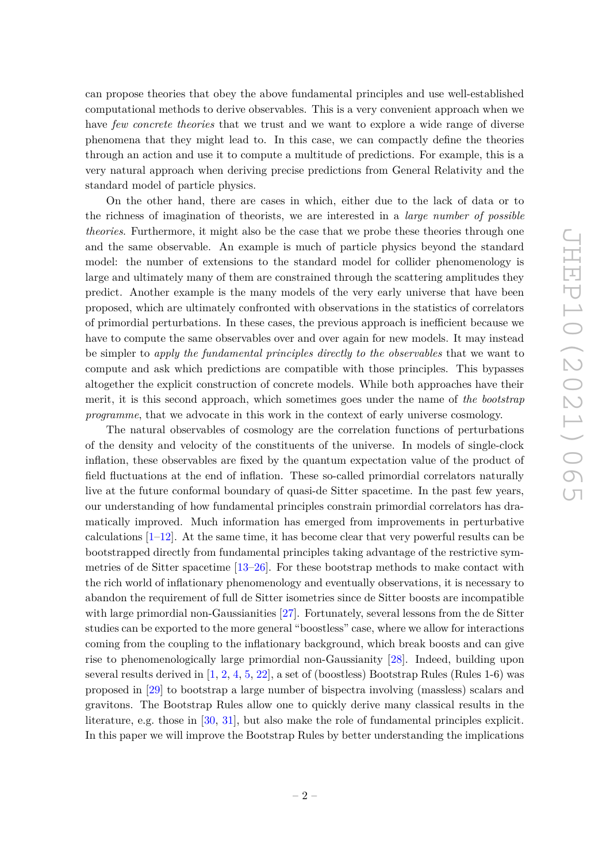can propose theories that obey the above fundamental principles and use well-established computational methods to derive observables. This is a very convenient approach when we have *few concrete theories* that we trust and we want to explore a wide range of diverse phenomena that they might lead to. In this case, we can compactly define the theories through an action and use it to compute a multitude of predictions. For example, this is a very natural approach when deriving precise predictions from General Relativity and the standard model of particle physics.

On the other hand, there are cases in which, either due to the lack of data or to the richness of imagination of theorists, we are interested in a *large number of possible theories*. Furthermore, it might also be the case that we probe these theories through one and the same observable. An example is much of particle physics beyond the standard model: the number of extensions to the standard model for collider phenomenology is large and ultimately many of them are constrained through the scattering amplitudes they predict. Another example is the many models of the very early universe that have been proposed, which are ultimately confronted with observations in the statistics of correlators of primordial perturbations. In these cases, the previous approach is inefficient because we have to compute the same observables over and over again for new models. It may instead be simpler to *apply the fundamental principles directly to the observables* that we want to compute and ask which predictions are compatible with those principles. This bypasses altogether the explicit construction of concrete models. While both approaches have their merit, it is this second approach, which sometimes goes under the name of *the bootstrap programme*, that we advocate in this work in the context of early universe cosmology.

The natural observables of cosmology are the correlation functions of perturbations of the density and velocity of the constituents of the universe. In models of single-clock inflation, these observables are fixed by the quantum expectation value of the product of field fluctuations at the end of inflation. These so-called primordial correlators naturally live at the future conformal boundary of quasi-de Sitter spacetime. In the past few years, our understanding of how fundamental principles constrain primordial correlators has dramatically improved. Much information has emerged from improvements in perturbative calculations  $[1-12]$  $[1-12]$ . At the same time, it has become clear that very powerful results can be bootstrapped directly from fundamental principles taking advantage of the restrictive symmetries of de Sitter spacetime  $[13–26]$  $[13–26]$ . For these bootstrap methods to make contact with the rich world of inflationary phenomenology and eventually observations, it is necessary to abandon the requirement of full de Sitter isometries since de Sitter boosts are incompatible with large primordial non-Gaussianities [\[27\]](#page-54-1). Fortunately, several lessons from the de Sitter studies can be exported to the more general "boostless" case, where we allow for interactions coming from the coupling to the inflationary background, which break boosts and can give rise to phenomenologically large primordial non-Gaussianity [\[28\]](#page-54-2). Indeed, building upon several results derived in  $[1, 2, 4, 5, 22]$  $[1, 2, 4, 5, 22]$  $[1, 2, 4, 5, 22]$  $[1, 2, 4, 5, 22]$  $[1, 2, 4, 5, 22]$  $[1, 2, 4, 5, 22]$  $[1, 2, 4, 5, 22]$  $[1, 2, 4, 5, 22]$  $[1, 2, 4, 5, 22]$ , a set of (boostless) Bootstrap Rules (Rules 1-6) was proposed in [\[29\]](#page-54-4) to bootstrap a large number of bispectra involving (massless) scalars and gravitons. The Bootstrap Rules allow one to quickly derive many classical results in the literature, e.g. those in [\[30,](#page-54-5) [31\]](#page-54-6), but also make the role of fundamental principles explicit. In this paper we will improve the Bootstrap Rules by better understanding the implications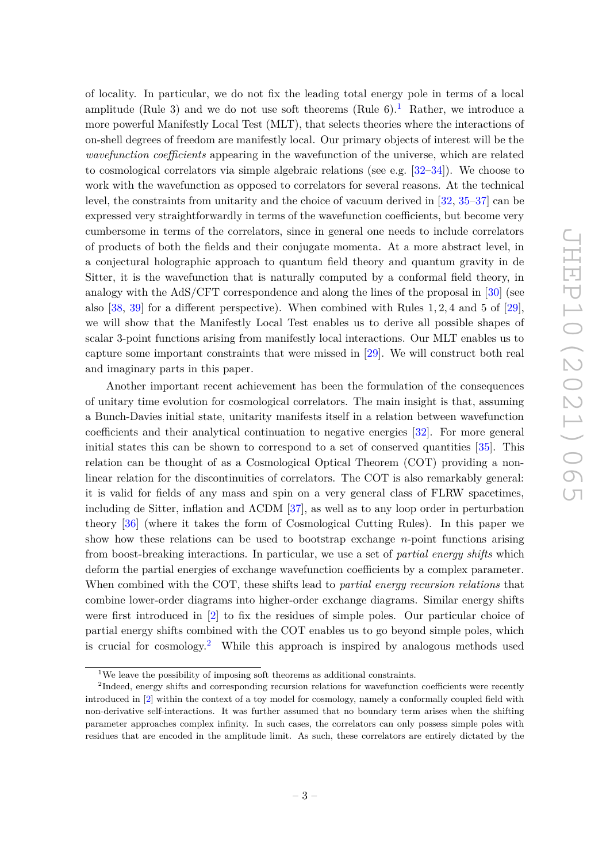of locality. In particular, we do not fix the leading total energy pole in terms of a local amplitude (Rule 3) and we do not use soft theorems (Rule  $6$ ).<sup>[1](#page-3-0)</sup> Rather, we introduce a more powerful Manifestly Local Test (MLT), that selects theories where the interactions of on-shell degrees of freedom are manifestly local. Our primary objects of interest will be the *wavefunction coefficients* appearing in the wavefunction of the universe, which are related to cosmological correlators via simple algebraic relations (see e.g. [\[32](#page-54-7)[–34\]](#page-54-8)). We choose to work with the wavefunction as opposed to correlators for several reasons. At the technical level, the constraints from unitarity and the choice of vacuum derived in [\[32,](#page-54-7) [35–](#page-54-9)[37\]](#page-55-0) can be expressed very straightforwardly in terms of the wavefunction coefficients, but become very cumbersome in terms of the correlators, since in general one needs to include correlators of products of both the fields and their conjugate momenta. At a more abstract level, in a conjectural holographic approach to quantum field theory and quantum gravity in de Sitter, it is the wavefunction that is naturally computed by a conformal field theory, in analogy with the AdS/CFT correspondence and along the lines of the proposal in [\[30\]](#page-54-5) (see also [\[38,](#page-55-1) [39\]](#page-55-2) for a different perspective). When combined with Rules 1*,* 2*,* 4 and 5 of [\[29\]](#page-54-4), we will show that the Manifestly Local Test enables us to derive all possible shapes of scalar 3-point functions arising from manifestly local interactions. Our MLT enables us to capture some important constraints that were missed in [\[29\]](#page-54-4). We will construct both real and imaginary parts in this paper.

Another important recent achievement has been the formulation of the consequences of unitary time evolution for cosmological correlators. The main insight is that, assuming a Bunch-Davies initial state, unitarity manifests itself in a relation between wavefunction coefficients and their analytical continuation to negative energies [\[32\]](#page-54-7). For more general initial states this can be shown to correspond to a set of conserved quantities [\[35\]](#page-54-9). This relation can be thought of as a Cosmological Optical Theorem (COT) providing a nonlinear relation for the discontinuities of correlators. The COT is also remarkably general: it is valid for fields of any mass and spin on a very general class of FLRW spacetimes, including de Sitter, inflation and  $\Lambda$ CDM [\[37\]](#page-55-0), as well as to any loop order in perturbation theory [\[36\]](#page-54-10) (where it takes the form of Cosmological Cutting Rules). In this paper we show how these relations can be used to bootstrap exchange *n*-point functions arising from boost-breaking interactions. In particular, we use a set of *partial energy shifts* which deform the partial energies of exchange wavefunction coefficients by a complex parameter. When combined with the COT, these shifts lead to *partial energy recursion relations* that combine lower-order diagrams into higher-order exchange diagrams. Similar energy shifts were first introduced in [\[2\]](#page-53-3) to fix the residues of simple poles. Our particular choice of partial energy shifts combined with the COT enables us to go beyond simple poles, which is crucial for  $\cos m \cdot 2$  $\cos m \cdot 2$  While this approach is inspired by analogous methods used

<span id="page-3-1"></span><span id="page-3-0"></span> $^1\rm{We}$  leave the possibility of imposing soft theorems as additional constraints.

<sup>&</sup>lt;sup>2</sup>Indeed, energy shifts and corresponding recursion relations for wavefunction coefficients were recently introduced in [\[2\]](#page-53-3) within the context of a toy model for cosmology, namely a conformally coupled field with non-derivative self-interactions. It was further assumed that no boundary term arises when the shifting parameter approaches complex infinity. In such cases, the correlators can only possess simple poles with residues that are encoded in the amplitude limit. As such, these correlators are entirely dictated by the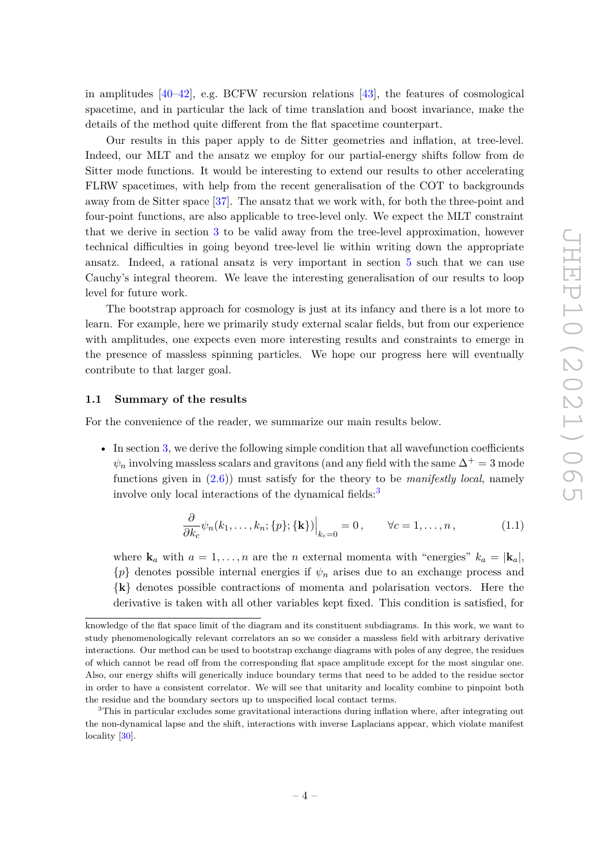in amplitudes  $[40-42]$  $[40-42]$ , e.g. BCFW recursion relations  $[43]$ , the features of cosmological spacetime, and in particular the lack of time translation and boost invariance, make the details of the method quite different from the flat spacetime counterpart.

Our results in this paper apply to de Sitter geometries and inflation, at tree-level. Indeed, our MLT and the ansatz we employ for our partial-energy shifts follow from de Sitter mode functions. It would be interesting to extend our results to other accelerating FLRW spacetimes, with help from the recent generalisation of the COT to backgrounds away from de Sitter space [\[37\]](#page-55-0). The ansatz that we work with, for both the three-point and four-point functions, are also applicable to tree-level only. We expect the MLT constraint that we derive in section [3](#page-13-0) to be valid away from the tree-level approximation, however technical difficulties in going beyond tree-level lie within writing down the appropriate ansatz. Indeed, a rational ansatz is very important in section [5](#page-30-0) such that we can use Cauchy's integral theorem. We leave the interesting generalisation of our results to loop level for future work.

The bootstrap approach for cosmology is just at its infancy and there is a lot more to learn. For example, here we primarily study external scalar fields, but from our experience with amplitudes, one expects even more interesting results and constraints to emerge in the presence of massless spinning particles. We hope our progress here will eventually contribute to that larger goal.

#### <span id="page-4-0"></span>**1.1 Summary of the results**

For the convenience of the reader, we summarize our main results below.

• In section [3,](#page-13-0) we derive the following simple condition that all wavefunction coefficients  $\psi_n$  involving massless scalars and gravitons (and any field with the same  $\Delta^+ = 3$  mode functions given in [\(2.6\)](#page-8-0)) must satisfy for the theory to be *manifestly local*, namely involve only local interactions of the dynamical fields: $3$ 

$$
\frac{\partial}{\partial k_c} \psi_n(k_1, \dots, k_n; \{p\}; \{\mathbf{k}\})\Big|_{k_c=0} = 0, \qquad \forall c = 1, \dots, n,
$$
\n(1.1)

where  $\mathbf{k}_a$  with  $a = 1, \ldots, n$  are the *n* external momenta with "energies"  $k_a = |\mathbf{k}_a|$ ,  ${p}$  denotes possible internal energies if  $\psi_n$  arises due to an exchange process and {**k**} denotes possible contractions of momenta and polarisation vectors. Here the derivative is taken with all other variables kept fixed. This condition is satisfied, for

knowledge of the flat space limit of the diagram and its constituent subdiagrams. In this work, we want to study phenomenologically relevant correlators an so we consider a massless field with arbitrary derivative interactions. Our method can be used to bootstrap exchange diagrams with poles of any degree, the residues of which cannot be read off from the corresponding flat space amplitude except for the most singular one. Also, our energy shifts will generically induce boundary terms that need to be added to the residue sector in order to have a consistent correlator. We will see that unitarity and locality combine to pinpoint both the residue and the boundary sectors up to unspecified local contact terms.

<span id="page-4-1"></span><sup>&</sup>lt;sup>3</sup>This in particular excludes some gravitational interactions during inflation where, after integrating out the non-dynamical lapse and the shift, interactions with inverse Laplacians appear, which violate manifest locality [\[30\]](#page-54-5).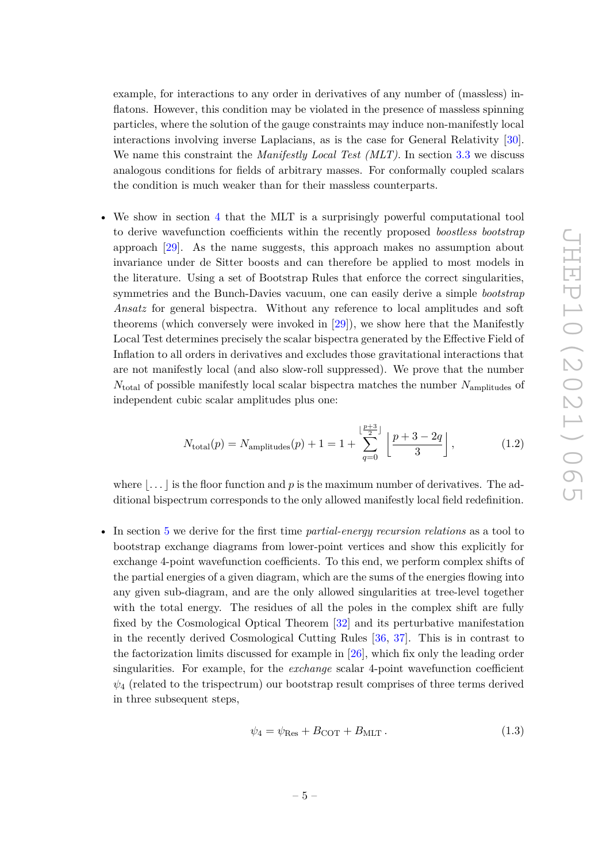example, for interactions to any order in derivatives of any number of (massless) inflatons. However, this condition may be violated in the presence of massless spinning particles, where the solution of the gauge constraints may induce non-manifestly local interactions involving inverse Laplacians, as is the case for General Relativity [\[30\]](#page-54-5). We name this constraint the *Manifestly Local Test (MLT)*. In section [3.3](#page-17-0) we discuss analogous conditions for fields of arbitrary masses. For conformally coupled scalars the condition is much weaker than for their massless counterparts.

• We show in section [4](#page-19-0) that the MLT is a surprisingly powerful computational tool to derive wavefunction coefficients within the recently proposed *boostless bootstrap* approach [\[29\]](#page-54-4). As the name suggests, this approach makes no assumption about invariance under de Sitter boosts and can therefore be applied to most models in the literature. Using a set of Bootstrap Rules that enforce the correct singularities, symmetries and the Bunch-Davies vacuum, one can easily derive a simple *bootstrap Ansatz* for general bispectra. Without any reference to local amplitudes and soft theorems (which conversely were invoked in [\[29\]](#page-54-4)), we show here that the Manifestly Local Test determines precisely the scalar bispectra generated by the Effective Field of Inflation to all orders in derivatives and excludes those gravitational interactions that are not manifestly local (and also slow-roll suppressed). We prove that the number *N*total of possible manifestly local scalar bispectra matches the number *N*amplitudes of independent cubic scalar amplitudes plus one:

$$
N_{\text{total}}(p) = N_{\text{amplitudes}}(p) + 1 = 1 + \sum_{q=0}^{\lfloor \frac{p+3}{2} \rfloor} \left[ \frac{p+3-2q}{3} \right],\tag{1.2}
$$

where  $\left| \ldots \right|$  is the floor function and p is the maximum number of derivatives. The additional bispectrum corresponds to the only allowed manifestly local field redefinition.

• In section [5](#page-30-0) we derive for the first time *partial-energy recursion relations* as a tool to bootstrap exchange diagrams from lower-point vertices and show this explicitly for exchange 4-point wavefunction coefficients. To this end, we perform complex shifts of the partial energies of a given diagram, which are the sums of the energies flowing into any given sub-diagram, and are the only allowed singularities at tree-level together with the total energy. The residues of all the poles in the complex shift are fully fixed by the Cosmological Optical Theorem [\[32\]](#page-54-7) and its perturbative manifestation in the recently derived Cosmological Cutting Rules [\[36,](#page-54-10) [37\]](#page-55-0). This is in contrast to the factorization limits discussed for example in [\[26\]](#page-54-0), which fix only the leading order singularities. For example, for the *exchange* scalar 4-point wavefunction coefficient  $\psi_4$  (related to the trispectrum) our bootstrap result comprises of three terms derived in three subsequent steps,

$$
\psi_4 = \psi_{\text{Res}} + B_{\text{COT}} + B_{\text{MLT}}.
$$
\n(1.3)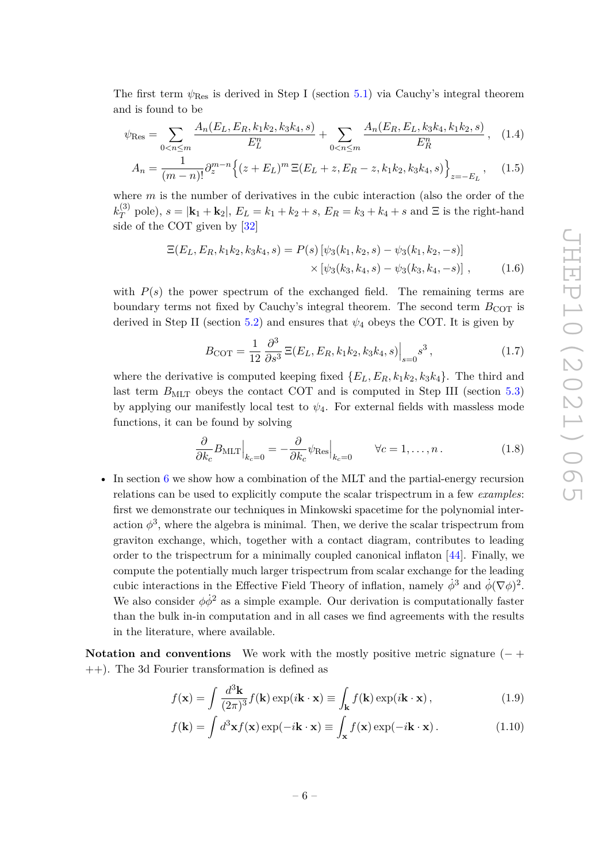The first term *ψ*Res is derived in Step I (section [5.1\)](#page-30-1) via Cauchy's integral theorem and is found to be

$$
\psi_{\text{Res}} = \sum_{0 < n \le m} \frac{A_n(E_L, E_R, k_1 k_2, k_3 k_4, s)}{E_L^n} + \sum_{0 < n \le m} \frac{A_n(E_R, E_L, k_3 k_4, k_1 k_2, s)}{E_R^n}, \quad (1.4)
$$

$$
A_n = \frac{1}{(m-n)!} \partial_z^{m-n} \left\{ (z+E_L)^m \, \Xi(E_L+z, E_R-z, k_1 k_2, k_3 k_4, s) \right\}_{z=-E_L}, \quad (1.5)
$$

where *m* is the number of derivatives in the cubic interaction (also the order of the  $k_T^{(3)}$  $T_T^{(3)}$  pole),  $s = |\mathbf{k}_1 + \mathbf{k}_2|$ ,  $E_L = k_1 + k_2 + s$ ,  $E_R = k_3 + k_4 + s$  and  $\Xi$  is the right-hand side of the COT given by [\[32\]](#page-54-7)

$$
\mathbb{E}(E_L, E_R, k_1 k_2, k_3 k_4, s) = P(s) \left[ \psi_3(k_1, k_2, s) - \psi_3(k_1, k_2, -s) \right] \times \left[ \psi_3(k_3, k_4, s) - \psi_3(k_3, k_4, -s) \right], \tag{1.6}
$$

with  $P(s)$  the power spectrum of the exchanged field. The remaining terms are boundary terms not fixed by Cauchy's integral theorem. The second term  $B_{\text{COT}}$  is derived in Step II (section [5.2\)](#page-36-0) and ensures that  $\psi_4$  obeys the COT. It is given by

$$
B_{\text{COT}} = \frac{1}{12} \frac{\partial^3}{\partial s^3} \, \Xi(E_L, E_R, k_1 k_2, k_3 k_4, s) \Big|_{s=0} s^3 \,, \tag{1.7}
$$

where the derivative is computed keeping fixed  ${E_L, E_R, k_1k_2, k_3k_4}$ . The third and last term  $B<sub>MLT</sub>$  obeys the contact COT and is computed in Step III (section [5.3\)](#page-37-0) by applying our manifestly local test to  $\psi_4$ . For external fields with massless mode functions, it can be found by solving

$$
\frac{\partial}{\partial k_c} B_{\text{MLT}}\Big|_{k_c=0} = -\frac{\partial}{\partial k_c} \psi_{\text{Res}}\Big|_{k_c=0} \qquad \forall c = 1, \dots, n. \tag{1.8}
$$

• In section [6](#page-39-0) we show how a combination of the MLT and the partial-energy recursion relations can be used to explicitly compute the scalar trispectrum in a few *examples*: first we demonstrate our techniques in Minkowski spacetime for the polynomial interaction  $\phi^3$ , where the algebra is minimal. Then, we derive the scalar trispectrum from graviton exchange, which, together with a contact diagram, contributes to leading order to the trispectrum for a minimally coupled canonical inflaton [\[44\]](#page-55-6). Finally, we compute the potentially much larger trispectrum from scalar exchange for the leading cubic interactions in the Effective Field Theory of inflation, namely  $\dot{\phi}^3$  and  $\dot{\phi}(\nabla\phi)^2$ . We also consider  $\phi \dot{\phi}^2$  as a simple example. Our derivation is computationally faster than the bulk in-in computation and in all cases we find agreements with the results in the literature, where available.

<span id="page-6-0"></span>**Notation and conventions** We work with the mostly positive metric signature (− + ++). The 3d Fourier transformation is defined as

$$
f(\mathbf{x}) = \int \frac{d^3 \mathbf{k}}{(2\pi)^3} f(\mathbf{k}) \exp(i\mathbf{k} \cdot \mathbf{x}) \equiv \int_{\mathbf{k}} f(\mathbf{k}) \exp(i\mathbf{k} \cdot \mathbf{x}), \qquad (1.9)
$$

$$
f(\mathbf{k}) = \int d^3 \mathbf{x} f(\mathbf{x}) \exp(-i\mathbf{k} \cdot \mathbf{x}) \equiv \int_{\mathbf{x}} f(\mathbf{x}) \exp(-i\mathbf{k} \cdot \mathbf{x}). \tag{1.10}
$$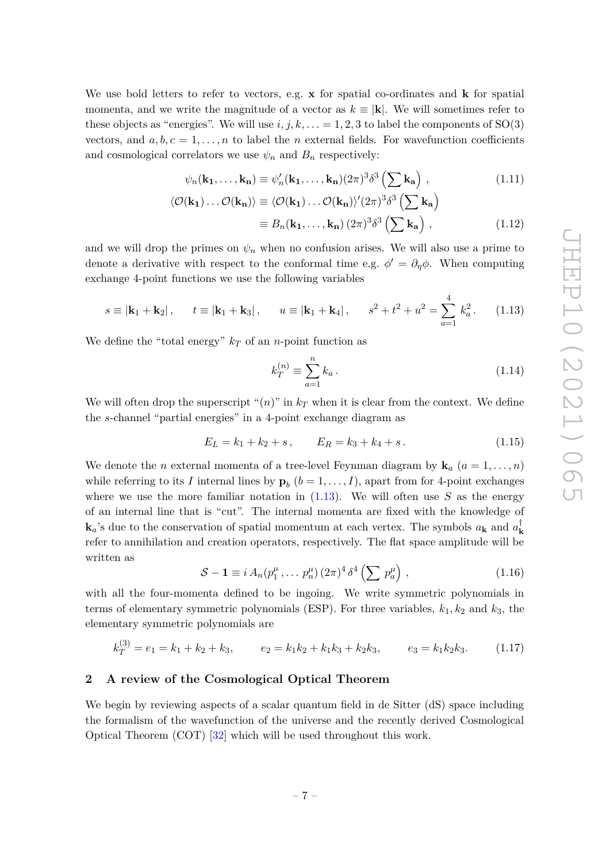<span id="page-7-1"></span>JHEP10 (2021) 065 JHEP10(2021)065

We use bold letters to refer to vectors, e.g. **x** for spatial co-ordinates and **k** for spatial momenta, and we write the magnitude of a vector as  $k \equiv |\mathbf{k}|$ . We will sometimes refer to these objects as "energies". We will use  $i, j, k, \ldots = 1, 2, 3$  to label the components of SO(3) vectors, and  $a, b, c = 1, \ldots, n$  to label the *n* external fields. For wavefunction coefficients and cosmological correlators we use  $\psi_n$  and  $B_n$  respectively:

$$
\psi_n(\mathbf{k_1},\ldots,\mathbf{k_n}) \equiv \psi'_n(\mathbf{k_1},\ldots,\mathbf{k_n})(2\pi)^3 \delta^3 \left(\sum \mathbf{k_a}\right) ,\qquad (1.11)
$$

$$
\langle \mathcal{O}(\mathbf{k_1}) \dots \mathcal{O}(\mathbf{k_n}) \rangle \equiv \langle \mathcal{O}(\mathbf{k_1}) \dots \mathcal{O}(\mathbf{k_n}) \rangle' (2\pi)^3 \delta^3 \left( \sum \mathbf{k_a} \right)
$$
  

$$
\equiv B_n(\mathbf{k_1}, \dots, \mathbf{k_n}) (2\pi)^3 \delta^3 \left( \sum \mathbf{k_a} \right) , \qquad (1.12)
$$

and we will drop the primes on  $\psi_n$  when no confusion arises. We will also use a prime to denote a derivative with respect to the conformal time e.g.  $\phi' = \partial_{\eta} \phi$ . When computing exchange 4-point functions we use the following variables

$$
s \equiv |\mathbf{k}_1 + \mathbf{k}_2|
$$
,  $t \equiv |\mathbf{k}_1 + \mathbf{k}_3|$ ,  $u \equiv |\mathbf{k}_1 + \mathbf{k}_4|$ ,  $s^2 + t^2 + u^2 = \sum_{a=1}^4 k_a^2$ . (1.13)

We define the "total energy"  $k_T$  of an *n*-point function as

$$
k_T^{(n)} \equiv \sum_{a=1}^n k_a \,. \tag{1.14}
$$

We will often drop the superscript " $(n)$ " in  $k_T$  when it is clear from the context. We define the *s*-channel "partial energies" in a 4-point exchange diagram as

$$
E_L = k_1 + k_2 + s, \qquad E_R = k_3 + k_4 + s. \tag{1.15}
$$

We denote the *n* external momenta of a tree-level Feynman diagram by  $\mathbf{k}_a$  ( $a = 1, \ldots, n$ ) while referring to its *I* internal lines by  $\mathbf{p}_b$   $(b = 1, \ldots, I)$ , apart from for 4-point exchanges where we use the more familiar notation in  $(1.13)$ . We will often use S as the energy of an internal line that is "cut". The internal momenta are fixed with the knowledge of  $\mathbf{k}_a$ 's due to the conservation of spatial momentum at each vertex. The symbols  $a_\mathbf{k}$  and  $a_\mathbf{k}^{\dagger}$ **k** refer to annihilation and creation operators, respectively. The flat space amplitude will be written as

$$
S - 1 \equiv i A_n (p_1^{\mu}, \dots p_n^{\mu}) (2\pi)^4 \delta^4 \left( \sum p_a^{\mu} \right), \qquad (1.16)
$$

with all the four-momenta defined to be ingoing. We write symmetric polynomials in terms of elementary symmetric polynomials (ESP). For three variables,  $k_1, k_2$  and  $k_3$ , the elementary symmetric polynomials are

$$
k_T^{(3)} = e_1 = k_1 + k_2 + k_3, \qquad e_2 = k_1 k_2 + k_1 k_3 + k_2 k_3, \qquad e_3 = k_1 k_2 k_3. \tag{1.17}
$$

# <span id="page-7-0"></span>**2 A review of the Cosmological Optical Theorem**

We begin by reviewing aspects of a scalar quantum field in de Sitter (dS) space including the formalism of the wavefunction of the universe and the recently derived Cosmological Optical Theorem (COT) [\[32\]](#page-54-7) which will be used throughout this work.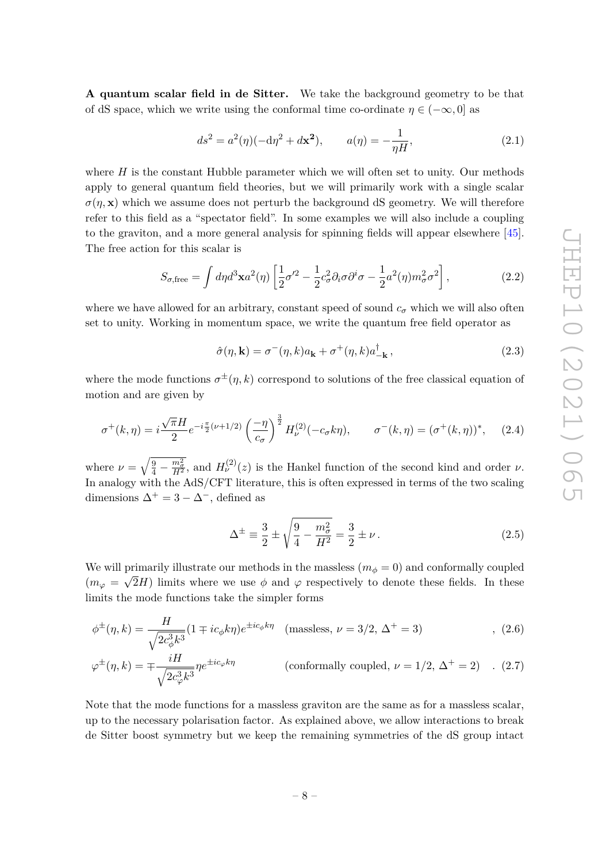**A quantum scalar field in de Sitter.** We take the background geometry to be that of dS space, which we write using the conformal time co-ordinate  $\eta \in (-\infty, 0]$  as

$$
ds^{2} = a^{2}(\eta)(-d\eta^{2} + d\mathbf{x}^{2}), \qquad a(\eta) = -\frac{1}{\eta H}, \tag{2.1}
$$

where  $H$  is the constant Hubble parameter which we will often set to unity. Our methods apply to general quantum field theories, but we will primarily work with a single scalar  $\sigma(n, \mathbf{x})$  which we assume does not perturb the background dS geometry. We will therefore refer to this field as a "spectator field". In some examples we will also include a coupling to the graviton, and a more general analysis for spinning fields will appear elsewhere [\[45\]](#page-55-7). The free action for this scalar is

$$
S_{\sigma,\text{free}} = \int d\eta d^3 \mathbf{x} a^2(\eta) \left[ \frac{1}{2} \sigma'^2 - \frac{1}{2} c_\sigma^2 \partial_i \sigma \partial^i \sigma - \frac{1}{2} a^2(\eta) m_\sigma^2 \sigma^2 \right],\tag{2.2}
$$

where we have allowed for an arbitrary, constant speed of sound  $c_{\sigma}$  which we will also often set to unity. Working in momentum space, we write the quantum free field operator as

$$
\hat{\sigma}(\eta, \mathbf{k}) = \sigma^-(\eta, k)a_{\mathbf{k}} + \sigma^+(\eta, k)a_{-\mathbf{k}}^\dagger,
$$
\n(2.3)

where the mode functions  $\sigma^{\pm}(\eta, k)$  correspond to solutions of the free classical equation of motion and are given by

$$
\sigma^+(k,\eta) = i \frac{\sqrt{\pi}H}{2} e^{-i\frac{\pi}{2}(\nu+1/2)} \left(\frac{-\eta}{c_{\sigma}}\right)^{\frac{3}{2}} H_{\nu}^{(2)}(-c_{\sigma}k\eta), \qquad \sigma^-(k,\eta) = (\sigma^+(k,\eta))^*, \quad (2.4)
$$

where  $\nu = \sqrt{\frac{9}{4} - \frac{m_Z^2}{H^2}}$ , and  $H_{\nu}^{(2)}(z)$  is the Hankel function of the second kind and order  $\nu$ . In analogy with the AdS/CFT literature, this is often expressed in terms of the two scaling dimensions  $\Delta^+ = 3 - \Delta^-$ , defined as

<span id="page-8-3"></span><span id="page-8-2"></span><span id="page-8-1"></span><span id="page-8-0"></span>
$$
\Delta^{\pm} \equiv \frac{3}{2} \pm \sqrt{\frac{9}{4} - \frac{m_{\sigma}^2}{H^2}} = \frac{3}{2} \pm \nu.
$$
 (2.5)

We will primarily illustrate our methods in the massless  $(m_{\phi} = 0)$  and conformally coupled  $(m_{\varphi} = \sqrt{2}H)$  limits where we use  $\phi$  and  $\varphi$  respectively to denote these fields. In these limits the mode functions take the simpler forms

$$
\phi^{\pm}(\eta,k) = \frac{H}{\sqrt{2c_{\phi}^3 k^3}} (1 \mp ic_{\phi} k\eta) e^{\pm ic_{\phi} k\eta} \quad \text{(massless, } \nu = 3/2, \Delta^+ = 3) \tag{2.6}
$$

$$
\varphi^{\pm}(\eta,k) = \mp \frac{iH}{\sqrt{2c_{\varphi}^3 k^3}} \eta e^{\pm ic_{\varphi}k\eta}
$$
 (conformally coupled,  $\nu = 1/2$ ,  $\Delta^{+} = 2$ ) . (2.7)

Note that the mode functions for a massless graviton are the same as for a massless scalar, up to the necessary polarisation factor. As explained above, we allow interactions to break de Sitter boost symmetry but we keep the remaining symmetries of the dS group intact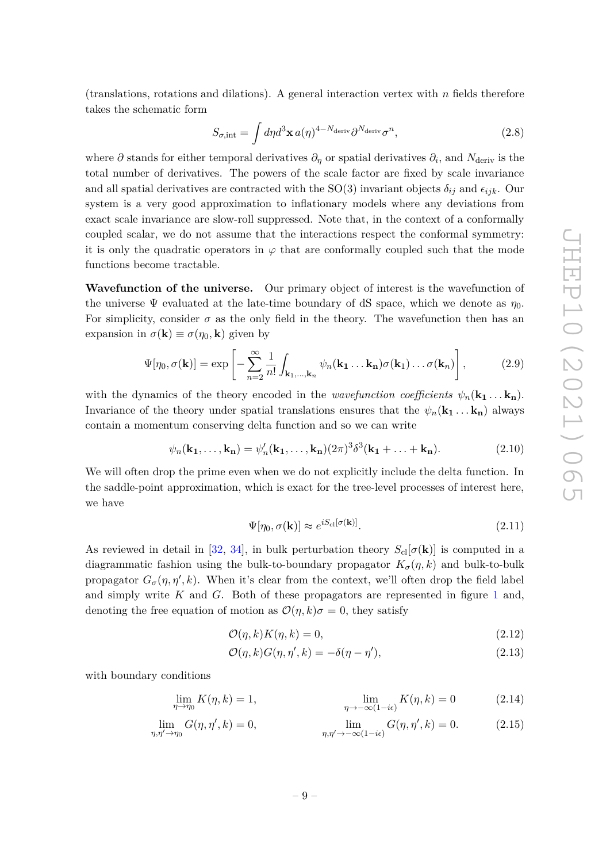(translations, rotations and dilations). A general interaction vertex with *n* fields therefore takes the schematic form

$$
S_{\sigma,\text{int}} = \int d\eta d^3 \mathbf{x} \, a(\eta)^{4-N_{\text{deriv}}} \partial^{N_{\text{deriv}}} \sigma^n,\tag{2.8}
$$

where  $\partial$  stands for either temporal derivatives  $\partial_{\eta}$  or spatial derivatives  $\partial_{i}$ , and  $N_{\text{deriv}}$  is the total number of derivatives. The powers of the scale factor are fixed by scale invariance and all spatial derivatives are contracted with the SO(3) invariant objects  $\delta_{ij}$  and  $\epsilon_{ijk}$ . Our system is a very good approximation to inflationary models where any deviations from exact scale invariance are slow-roll suppressed. Note that, in the context of a conformally coupled scalar, we do not assume that the interactions respect the conformal symmetry: it is only the quadratic operators in  $\varphi$  that are conformally coupled such that the mode functions become tractable.

**Wavefunction of the universe.** Our primary object of interest is the wavefunction of the universe  $\Psi$  evaluated at the late-time boundary of dS space, which we denote as  $\eta_0$ . For simplicity, consider  $\sigma$  as the only field in the theory. The wavefunction then has an expansion in  $\sigma(\mathbf{k}) \equiv \sigma(\eta_0, \mathbf{k})$  given by

$$
\Psi[\eta_0, \sigma(\mathbf{k})] = \exp\left[-\sum_{n=2}^{\infty} \frac{1}{n!} \int_{\mathbf{k}_1, \dots, \mathbf{k}_n} \psi_n(\mathbf{k}_1 \dots \mathbf{k}_n) \sigma(\mathbf{k}_1) \dots \sigma(\mathbf{k}_n)\right],
$$
 (2.9)

with the dynamics of the theory encoded in the *wavefunction coefficients*  $\psi_n(\mathbf{k}_1 \dots \mathbf{k}_n)$ . Invariance of the theory under spatial translations ensures that the  $\psi_n(\mathbf{k}_1 \dots \mathbf{k}_n)$  always contain a momentum conserving delta function and so we can write

$$
\psi_n(\mathbf{k_1},\ldots,\mathbf{k_n}) = \psi'_n(\mathbf{k_1},\ldots,\mathbf{k_n})(2\pi)^3 \delta^3(\mathbf{k_1}+\ldots+\mathbf{k_n}).\tag{2.10}
$$

We will often drop the prime even when we do not explicitly include the delta function. In the saddle-point approximation, which is exact for the tree-level processes of interest here, we have

$$
\Psi[\eta_0, \sigma(\mathbf{k})] \approx e^{iS_{\rm cl}[\sigma(\mathbf{k})]}.\tag{2.11}
$$

As reviewed in detail in [\[32,](#page-54-7) [34\]](#page-54-8), in bulk perturbation theory  $S_{\text{cl}}[\sigma(\mathbf{k})]$  is computed in a diagrammatic fashion using the bulk-to-boundary propagator  $K_{\sigma}(\eta, k)$  and bulk-to-bulk propagator  $G_{\sigma}(\eta, \eta', k)$ . When it's clear from the context, we'll often drop the field label and simply write *K* and *G*. Both of these propagators are represented in figure [1](#page-11-0) and, denoting the free equation of motion as  $\mathcal{O}(\eta, k)\sigma = 0$ , they satisfy

$$
\mathcal{O}(\eta, k)K(\eta, k) = 0,\tag{2.12}
$$

$$
\mathcal{O}(\eta, k)G(\eta, \eta', k) = -\delta(\eta - \eta'),\tag{2.13}
$$

with boundary conditions

$$
\lim_{\eta \to \eta_0} K(\eta, k) = 1, \qquad \lim_{\eta \to -\infty (1 - i\epsilon)} K(\eta, k) = 0 \qquad (2.14)
$$

$$
\lim_{\eta,\eta' \to \eta_0} G(\eta,\eta',k) = 0, \qquad \lim_{\eta,\eta' \to -\infty(1-i\epsilon)} G(\eta,\eta',k) = 0. \qquad (2.15)
$$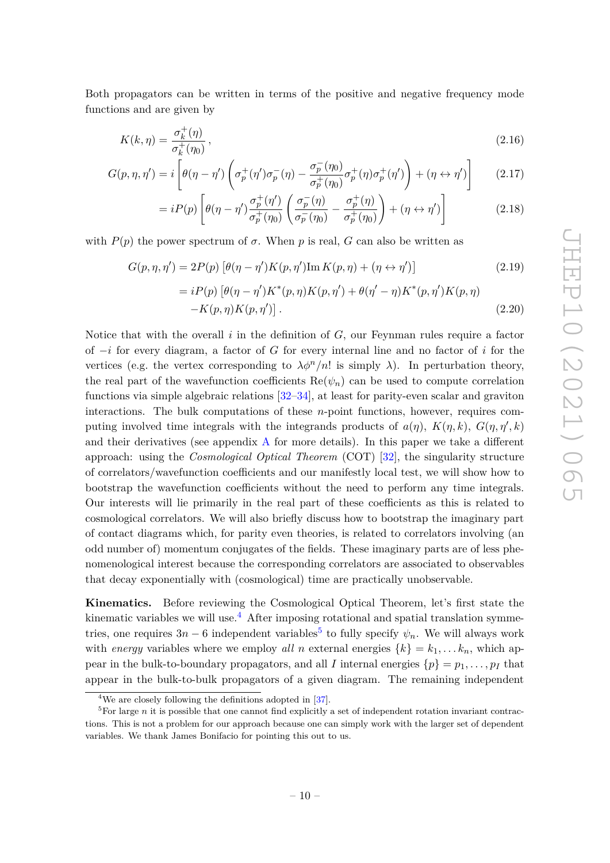Both propagators can be written in terms of the positive and negative frequency mode functions and are given by

$$
K(k,\eta) = \frac{\sigma_k^+(\eta)}{\sigma_k^+(\eta_0)},\tag{2.16}
$$

$$
G(p,\eta,\eta') = i \left[ \theta(\eta-\eta') \left( \sigma_p^+(\eta') \sigma_p^-(\eta) - \frac{\sigma_p^-(\eta_0)}{\sigma_p^+(\eta_0)} \sigma_p^+(\eta) \sigma_p^+(\eta') \right) + (\eta \leftrightarrow \eta') \right] \tag{2.17}
$$

$$
= iP(p) \left[ \theta(\eta - \eta') \frac{\sigma_p^+(\eta')}{\sigma_p^+(\eta_0)} \left( \frac{\sigma_p^-(\eta)}{\sigma_p^-(\eta_0)} - \frac{\sigma_p^+(\eta)}{\sigma_p^+(\eta_0)} \right) + (\eta \leftrightarrow \eta') \right]
$$
(2.18)

with  $P(p)$  the power spectrum of  $\sigma$ . When p is real, G can also be written as

$$
G(p, \eta, \eta') = 2P(p) \left[ \theta(\eta - \eta') K(p, \eta') \operatorname{Im} K(p, \eta) + (\eta \leftrightarrow \eta') \right]
$$
(2.19)

<span id="page-10-3"></span><span id="page-10-2"></span>
$$
= iP(p) [\theta(\eta - \eta')K^*(p, \eta)K(p, \eta') + \theta(\eta' - \eta)K^*(p, \eta')K(p, \eta) - K(p, \eta)K(p, \eta')].
$$
\n(2.20)

Notice that with the overall *i* in the definition of *G*, our Feynman rules require a factor of −*i* for every diagram, a factor of *G* for every internal line and no factor of *i* for the vertices (e.g. the vertex corresponding to  $\lambda \phi^{n}/n!$  is simply  $\lambda$ ). In perturbation theory, the real part of the wavefunction coefficients  $\text{Re}(\psi_n)$  can be used to compute correlation functions via simple algebraic relations [\[32–](#page-54-7)[34\]](#page-54-8), at least for parity-even scalar and graviton interactions. The bulk computations of these *n*-point functions, however, requires computing involved time integrals with the integrands products of  $a(\eta)$ ,  $K(\eta, k)$ ,  $G(\eta, \eta', k)$ and their derivatives (see appendix  $A$  for more details). In this paper we take a different approach: using the *Cosmological Optical Theorem* (COT) [\[32\]](#page-54-7), the singularity structure of correlators/wavefunction coefficients and our manifestly local test, we will show how to bootstrap the wavefunction coefficients without the need to perform any time integrals. Our interests will lie primarily in the real part of these coefficients as this is related to cosmological correlators. We will also briefly discuss how to bootstrap the imaginary part of contact diagrams which, for parity even theories, is related to correlators involving (an odd number of) momentum conjugates of the fields. These imaginary parts are of less phenomenological interest because the corresponding correlators are associated to observables that decay exponentially with (cosmological) time are practically unobservable.

**Kinematics.** Before reviewing the Cosmological Optical Theorem, let's first state the kinematic variables we will use.<sup>[4](#page-10-0)</sup> After imposing rotational and spatial translation symmetries, one requires  $3n - 6$  independent variables<sup>[5](#page-10-1)</sup> to fully specify  $\psi_n$ . We will always work with *energy* variables where we employ *all n* external energies  $\{k\} = k_1, \ldots, k_n$ , which appear in the bulk-to-boundary propagators, and all *I* internal energies  $\{p\} = p_1, \ldots, p_I$  that appear in the bulk-to-bulk propagators of a given diagram. The remaining independent

<span id="page-10-1"></span><span id="page-10-0"></span><sup>&</sup>lt;sup>4</sup>We are closely following the definitions adopted in  $[37]$ .

 ${}^{5}$ For large *n* it is possible that one cannot find explicitly a set of independent rotation invariant contractions. This is not a problem for our approach because one can simply work with the larger set of dependent variables. We thank James Bonifacio for pointing this out to us.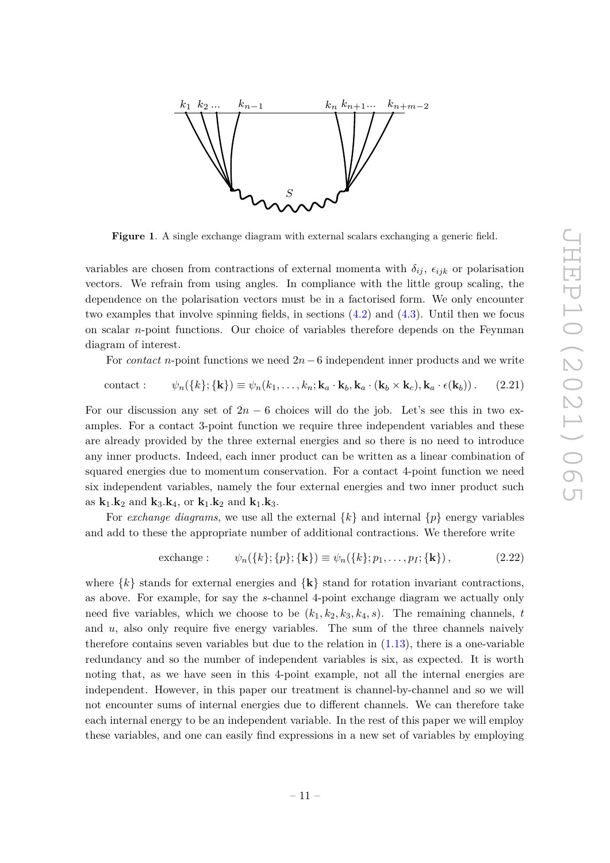

<span id="page-11-0"></span>**Figure 1**. A single exchange diagram with external scalars exchanging a generic field.

variables are chosen from contractions of external momenta with  $\delta_{ij}$ ,  $\epsilon_{ijk}$  or polarisation vectors. We refrain from using angles. In compliance with the little group scaling, the dependence on the polarisation vectors must be in a factorised form. We only encounter two examples that involve spinning fields, in sections [\(4.2\)](#page-27-0) and [\(4.3\)](#page-29-0). Until then we focus on scalar *n*-point functions. Our choice of variables therefore depends on the Feynman diagram of interest.

For *contact n*-point functions we need 2*n*−6 independent inner products and we write

$$
contact: \qquad \psi_n(\{k\}; \{\mathbf{k}\}) \equiv \psi_n(k_1, \dots, k_n; \mathbf{k}_a \cdot \mathbf{k}_b, \mathbf{k}_a \cdot (\mathbf{k}_b \times \mathbf{k}_c), \mathbf{k}_a \cdot \epsilon(\mathbf{k}_b)). \tag{2.21}
$$

For our discussion any set of  $2n - 6$  choices will do the job. Let's see this in two examples. For a contact 3-point function we require three independent variables and these are already provided by the three external energies and so there is no need to introduce any inner products. Indeed, each inner product can be written as a linear combination of squared energies due to momentum conservation. For a contact 4-point function we need six independent variables, namely the four external energies and two inner product such as  $k_1$ *.***k**<sub>2</sub> and **k**<sub>3</sub>*.***k**<sub>4</sub>, or **k**<sub>1</sub>*.***k**<sub>2</sub> and **k**<sub>1</sub>*.***k**<sub>3</sub>*.* 

For *exchange diagrams*, we use all the external  $\{k\}$  and internal  $\{p\}$  energy variables and add to these the appropriate number of additional contractions. We therefore write

exchange: 
$$
\psi_n({k}; {\{p\}}; {\{k\}}) \equiv \psi_n({k}; p_1, \ldots, p_I; {\{k\}}),
$$
 (2.22)

where  $\{k\}$  stands for external energies and  $\{k\}$  stand for rotation invariant contractions, as above. For example, for say the *s*-channel 4-point exchange diagram we actually only need five variables, which we choose to be  $(k_1, k_2, k_3, k_4, s)$ . The remaining channels, *t* and *u*, also only require five energy variables. The sum of the three channels naively therefore contains seven variables but due to the relation in  $(1.13)$ , there is a one-variable redundancy and so the number of independent variables is six, as expected. It is worth noting that, as we have seen in this 4-point example, not all the internal energies are independent. However, in this paper our treatment is channel-by-channel and so we will not encounter sums of internal energies due to different channels. We can therefore take each internal energy to be an independent variable. In the rest of this paper we will employ these variables, and one can easily find expressions in a new set of variables by employing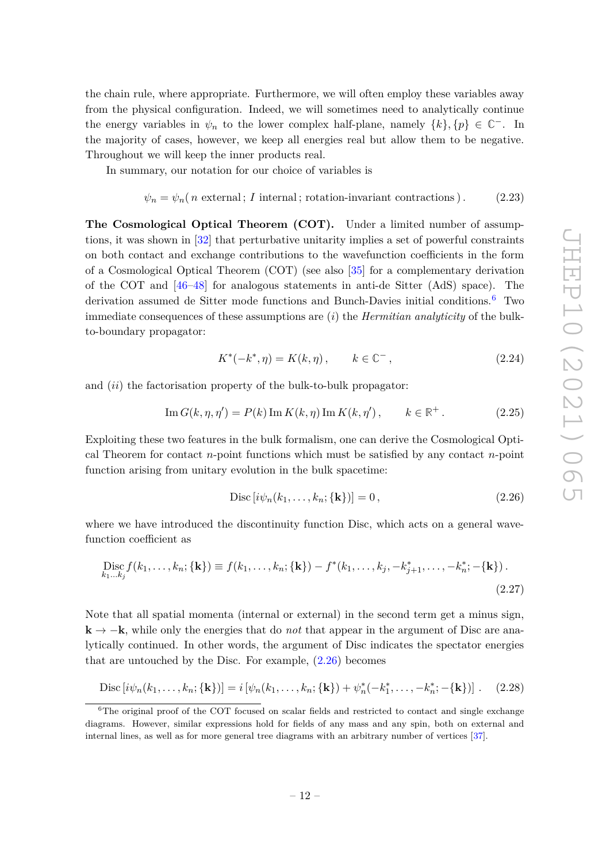the chain rule, where appropriate. Furthermore, we will often employ these variables away from the physical configuration. Indeed, we will sometimes need to analytically continue the energy variables in  $\psi_n$  to the lower complex half-plane, namely  $\{k\}, \{p\} \in \mathbb{C}^-$ . In the majority of cases, however, we keep all energies real but allow them to be negative. Throughout we will keep the inner products real.

In summary, our notation for our choice of variables is

$$
\psi_n = \psi_n(n \text{ external}; I \text{ internal}; \text{rotation-invariant contractions}). \tag{2.23}
$$

**The Cosmological Optical Theorem (COT).** Under a limited number of assumptions, it was shown in [\[32\]](#page-54-7) that perturbative unitarity implies a set of powerful constraints on both contact and exchange contributions to the wavefunction coefficients in the form of a Cosmological Optical Theorem (COT) (see also [\[35\]](#page-54-9) for a complementary derivation of the COT and [\[46–](#page-55-8)[48\]](#page-55-9) for analogous statements in anti-de Sitter (AdS) space). The derivation assumed de Sitter mode functions and Bunch-Davies initial conditions.[6](#page-12-0) Two immediate consequences of these assumptions are (*i*) the *Hermitian analyticity* of the bulkto-boundary propagator:

$$
K^*(-k^*, \eta) = K(k, \eta), \qquad k \in \mathbb{C}^-,\tag{2.24}
$$

and (*ii*) the factorisation property of the bulk-to-bulk propagator:

$$
\operatorname{Im} G(k, \eta, \eta') = P(k) \operatorname{Im} K(k, \eta) \operatorname{Im} K(k, \eta'), \qquad k \in \mathbb{R}^+.
$$
 (2.25)

Exploiting these two features in the bulk formalism, one can derive the Cosmological Optical Theorem for contact *n*-point functions which must be satisfied by any contact *n*-point function arising from unitary evolution in the bulk spacetime:

<span id="page-12-2"></span><span id="page-12-1"></span>
$$
\text{Disc}\left[i\psi_n(k_1,\ldots,k_n;\{\mathbf{k}\}\right)] = 0\,,\tag{2.26}
$$

where we have introduced the discontinuity function Disc, which acts on a general wavefunction coefficient as

$$
\text{Disc}_{k_1...k_j} f(k_1,...,k_n; \{\mathbf{k}\}) \equiv f(k_1,...,k_n; \{\mathbf{k}\}) - f^*(k_1,...,k_j, -k_{j+1}^*,..., -k_n^*; -\{\mathbf{k}\}).\tag{2.27}
$$

Note that all spatial momenta (internal or external) in the second term get a minus sign, **k** → −**k**, while only the energies that do *not* that appear in the argument of Disc are analytically continued. In other words, the argument of Disc indicates the spectator energies that are untouched by the Disc. For example, [\(2.26\)](#page-12-1) becomes

Disc 
$$
[i\psi_n(k_1,...,k_n;\{\mathbf{k}\})]
$$
 =  $i[\psi_n(k_1,...,k_n;\{\mathbf{k}\}) + \psi_n^*(-k_1^*,..., -k_n^*; -\{\mathbf{k}\})]$ . (2.28)

<span id="page-12-0"></span><sup>&</sup>lt;sup>6</sup>The original proof of the COT focused on scalar fields and restricted to contact and single exchange diagrams. However, similar expressions hold for fields of any mass and any spin, both on external and internal lines, as well as for more general tree diagrams with an arbitrary number of vertices [\[37\]](#page-55-0).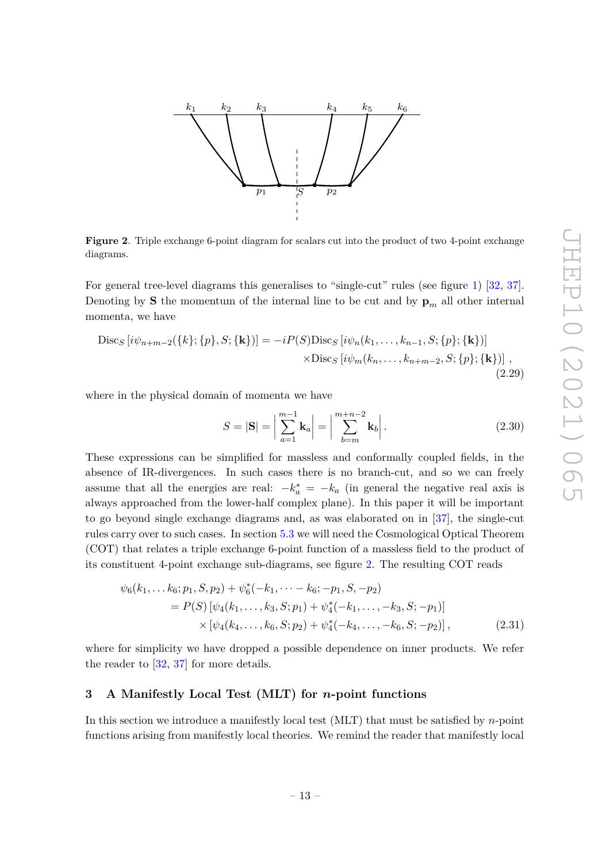

<span id="page-13-1"></span>**Figure 2**. Triple exchange 6-point diagram for scalars cut into the product of two 4-point exchange diagrams.

For general tree-level diagrams this generalises to "single-cut" rules (see figure [1\)](#page-11-0) [\[32,](#page-54-7) [37\]](#page-55-0). Denoting by **S** the momentum of the internal line to be cut and by  $\mathbf{p}_m$  all other internal momenta, we have

$$
\begin{aligned} \text{Disc}_{S} \left[ i \psi_{n+m-2}(\{k\}; \{p\}, S; \{\mathbf{k}\}) \right] &= -i P(S) \text{Disc}_{S} \left[ i \psi_{n}(k_{1}, \dots, k_{n-1}, S; \{p\}; \{\mathbf{k}\}) \right] \\ &\times \text{Disc}_{S} \left[ i \psi_{m}(k_{n}, \dots, k_{n+m-2}, S; \{p\}; \{\mathbf{k}\}) \right] \,, \end{aligned} \tag{2.29}
$$

where in the physical domain of momenta we have

<span id="page-13-2"></span>
$$
S = |\mathbf{S}| = \left| \sum_{a=1}^{m-1} \mathbf{k}_a \right| = \left| \sum_{b=m}^{m+n-2} \mathbf{k}_b \right|.
$$
 (2.30)

These expressions can be simplified for massless and conformally coupled fields, in the absence of IR-divergences. In such cases there is no branch-cut, and so we can freely assume that all the energies are real:  $-k_a^* = -k_a$  (in general the negative real axis is always approached from the lower-half complex plane). In this paper it will be important to go beyond single exchange diagrams and, as was elaborated on in [\[37\]](#page-55-0), the single-cut rules carry over to such cases. In section [5.3](#page-37-0) we will need the Cosmological Optical Theorem (COT) that relates a triple exchange 6-point function of a massless field to the product of its constituent 4-point exchange sub-diagrams, see figure [2.](#page-13-1) The resulting COT reads

$$
\psi_6(k_1, \dots k_6; p_1, S, p_2) + \psi_6^*(-k_1, \dots - k_6; -p_1, S, -p_2)
$$
  
=  $P(S) [\psi_4(k_1, \dots, k_3, S; p_1) + \psi_4^*(-k_1, \dots, -k_3, S; -p_1)]$   
×  $[\psi_4(k_4, \dots, k_6, S; p_2) + \psi_4^*(-k_4, \dots, -k_6, S; -p_2)],$  (2.31)

where for simplicity we have dropped a possible dependence on inner products. We refer the reader to [\[32,](#page-54-7) [37\]](#page-55-0) for more details.

# <span id="page-13-0"></span>**3 A Manifestly Local Test (MLT) for** *n***-point functions**

In this section we introduce a manifestly local test (MLT) that must be satisfied by *n*-point functions arising from manifestly local theories. We remind the reader that manifestly local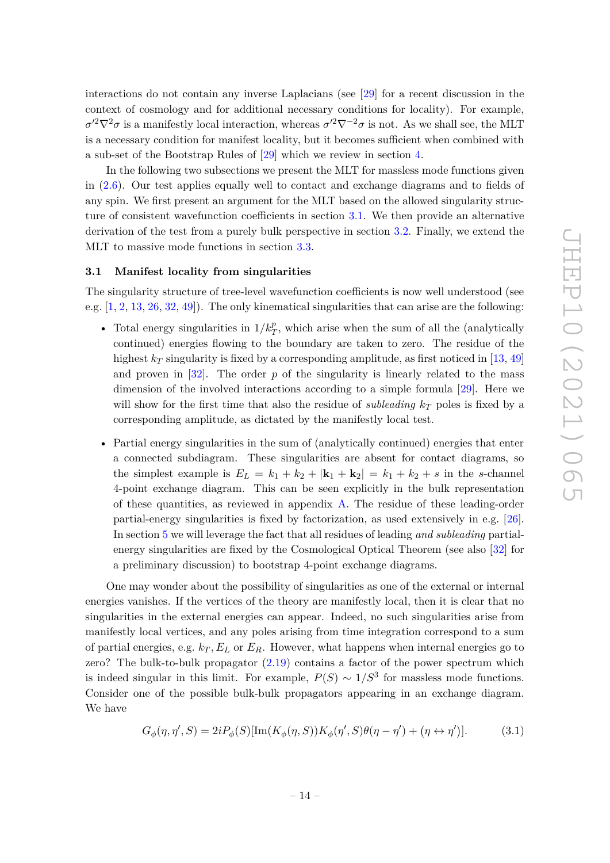interactions do not contain any inverse Laplacians (see [\[29\]](#page-54-4) for a recent discussion in the context of cosmology and for additional necessary conditions for locality). For example,  $\sigma'^2 \nabla^2 \sigma$  is a manifestly local interaction, whereas  $\sigma'^2 \nabla^{-2} \sigma$  is not. As we shall see, the MLT is a necessary condition for manifest locality, but it becomes sufficient when combined with a sub-set of the Bootstrap Rules of [\[29\]](#page-54-4) which we review in section [4.](#page-19-0)

In the following two subsections we present the MLT for massless mode functions given in [\(2.6\)](#page-8-0). Our test applies equally well to contact and exchange diagrams and to fields of any spin. We first present an argument for the MLT based on the allowed singularity structure of consistent wavefunction coefficients in section [3.1.](#page-14-0) We then provide an alternative derivation of the test from a purely bulk perspective in section [3.2.](#page-16-0) Finally, we extend the MLT to massive mode functions in section [3.3.](#page-17-0)

### <span id="page-14-0"></span>**3.1 Manifest locality from singularities**

The singularity structure of tree-level wavefunction coefficients is now well understood (see e.g. [\[1,](#page-53-0) [2,](#page-53-3) [13,](#page-53-2) [26,](#page-54-0) [32,](#page-54-7) [49\]](#page-55-10)). The only kinematical singularities that can arise are the following:

- Total energy singularities in  $1/k_T^p$ , which arise when the sum of all the (analytically continued) energies flowing to the boundary are taken to zero. The residue of the highest  $k_T$  singularity is fixed by a corresponding amplitude, as first noticed in [\[13,](#page-53-2) [49\]](#page-55-10) and proven in  $[32]$ . The order  $p$  of the singularity is linearly related to the mass dimension of the involved interactions according to a simple formula [\[29\]](#page-54-4). Here we will show for the first time that also the residue of *subleading k<sup>T</sup>* poles is fixed by a corresponding amplitude, as dictated by the manifestly local test.
- Partial energy singularities in the sum of (analytically continued) energies that enter a connected subdiagram. These singularities are absent for contact diagrams, so the simplest example is  $E_L = k_1 + k_2 + |\mathbf{k}_1 + \mathbf{k}_2| = k_1 + k_2 + s$  in the *s*-channel 4-point exchange diagram. This can be seen explicitly in the bulk representation of these quantities, as reviewed in appendix  $A$ . The residue of these leading-order partial-energy singularities is fixed by factorization, as used extensively in e.g. [\[26\]](#page-54-0). In section [5](#page-30-0) we will leverage the fact that all residues of leading *and subleading* partialenergy singularities are fixed by the Cosmological Optical Theorem (see also [\[32\]](#page-54-7) for a preliminary discussion) to bootstrap 4-point exchange diagrams.

One may wonder about the possibility of singularities as one of the external or internal energies vanishes. If the vertices of the theory are manifestly local, then it is clear that no singularities in the external energies can appear. Indeed, no such singularities arise from manifestly local vertices, and any poles arising from time integration correspond to a sum of partial energies, e.g.  $k_T$ ,  $E_L$  or  $E_R$ . However, what happens when internal energies go to zero? The bulk-to-bulk propagator [\(2.19\)](#page-10-2) contains a factor of the power spectrum which is indeed singular in this limit. For example,  $P(S) \sim 1/S^3$  for massless mode functions. Consider one of the possible bulk-bulk propagators appearing in an exchange diagram. We have

<span id="page-14-1"></span>
$$
G_{\phi}(\eta, \eta', S) = 2i P_{\phi}(S) [\text{Im}(K_{\phi}(\eta, S)) K_{\phi}(\eta', S) \theta(\eta - \eta') + (\eta \leftrightarrow \eta')]. \tag{3.1}
$$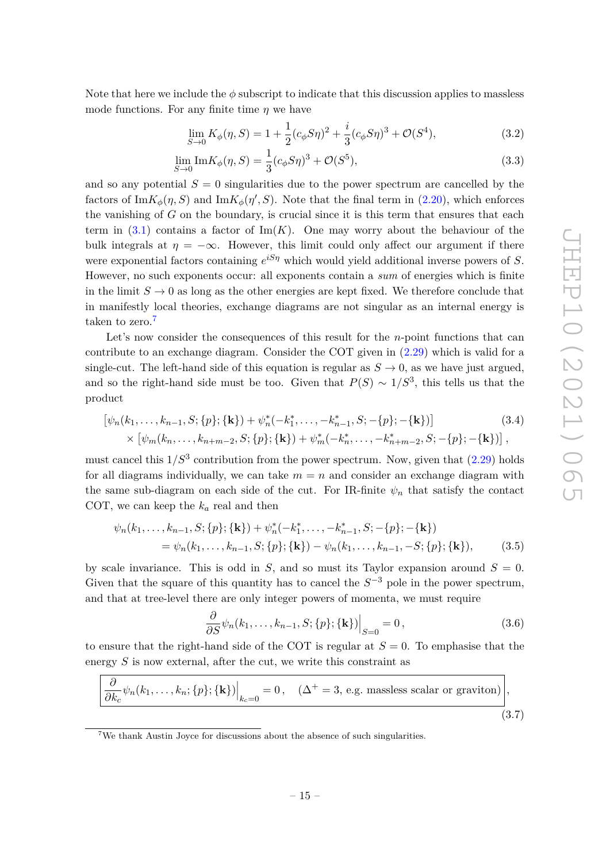Note that here we include the  $\phi$  subscript to indicate that this discussion applies to massless mode functions. For any finite time *η* we have

$$
\lim_{S \to 0} K_{\phi}(\eta, S) = 1 + \frac{1}{2} (c_{\phi} S \eta)^2 + \frac{i}{3} (c_{\phi} S \eta)^3 + \mathcal{O}(S^4), \tag{3.2}
$$

$$
\lim_{S \to 0} \text{Im} K_{\phi}(\eta, S) = \frac{1}{3} (c_{\phi} S \eta)^3 + \mathcal{O}(S^5), \tag{3.3}
$$

and so any potential  $S = 0$  singularities due to the power spectrum are cancelled by the factors of  $\text{Im}K_{\phi}(\eta, S)$  and  $\text{Im}K_{\phi}(\eta', S)$ . Note that the final term in [\(2.20\)](#page-10-3), which enforces the vanishing of *G* on the boundary, is crucial since it is this term that ensures that each term in  $(3.1)$  contains a factor of  $\text{Im}(K)$ . One may worry about the behaviour of the bulk integrals at  $\eta = -\infty$ . However, this limit could only affect our argument if there were exponential factors containing *e iSη* which would yield additional inverse powers of *S*. However, no such exponents occur: all exponents contain a *sum* of energies which is finite in the limit  $S \to 0$  as long as the other energies are kept fixed. We therefore conclude that in manifestly local theories, exchange diagrams are not singular as an internal energy is taken to zero.<sup>[7](#page-15-0)</sup>

Let's now consider the consequences of this result for the *n*-point functions that can contribute to an exchange diagram. Consider the COT given in [\(2.29\)](#page-13-2) which is valid for a single-cut. The left-hand side of this equation is regular as  $S \to 0$ , as we have just argued, and so the right-hand side must be too. Given that  $P(S) \sim 1/S^3$ , this tells us that the product

$$
[\psi_n(k_1,\ldots,k_{n-1},S;\{p\};\{\mathbf{k}\})+\psi_n^*(-k_1^*,\ldots,-k_{n-1}^*,S;-\{p\};-\{\mathbf{k}\})] \times [\psi_m(k_n,\ldots,k_{n+m-2},S;\{p\};\{\mathbf{k}\})+\psi_m^*(-k_n^*,\ldots,-k_{n+m-2}^*,S;-\{p\};-\{\mathbf{k}\})],
$$
\n(3.4)

must cancel this  $1/S^3$  contribution from the power spectrum. Now, given that  $(2.29)$  holds for all diagrams individually, we can take  $m = n$  and consider an exchange diagram with the same sub-diagram on each side of the cut. For IR-finite  $\psi_n$  that satisfy the contact COT, we can keep the *k<sup>a</sup>* real and then

$$
\psi_n(k_1,\ldots,k_{n-1},S;\{p\};\{\mathbf{k}\}) + \psi_n^*(-k_1^*,\ldots,-k_{n-1}^*,S;-\{p\};-\{\mathbf{k}\})
$$
  
=  $\psi_n(k_1,\ldots,k_{n-1},S;\{p\};\{\mathbf{k}\}) - \psi_n(k_1,\ldots,k_{n-1},-S;\{p\};\{\mathbf{k}\}),$  (3.5)

by scale invariance. This is odd in *S*, and so must its Taylor expansion around  $S = 0$ . Given that the square of this quantity has to cancel the  $S^{-3}$  pole in the power spectrum, and that at tree-level there are only integer powers of momenta, we must require

<span id="page-15-2"></span><span id="page-15-1"></span>
$$
\frac{\partial}{\partial S}\psi_n(k_1,\ldots,k_{n-1},S;\{p\};\{\mathbf{k}\})\Big|_{S=0}=0\,,\tag{3.6}
$$

to ensure that the right-hand side of the COT is regular at  $S = 0$ . To emphasise that the energy *S* is now external, after the cut, we write this constraint as

$$
\left. \frac{\partial}{\partial k_c} \psi_n(k_1, \dots, k_n; \{p\}; \{\mathbf{k}\}) \right|_{k_c=0} = 0, \quad (\Delta^+ = 3, \text{ e.g. massless scalar or graviton}) \right|,
$$
\n(3.7)

<span id="page-15-0"></span><sup>7</sup>We thank Austin Joyce for discussions about the absence of such singularities.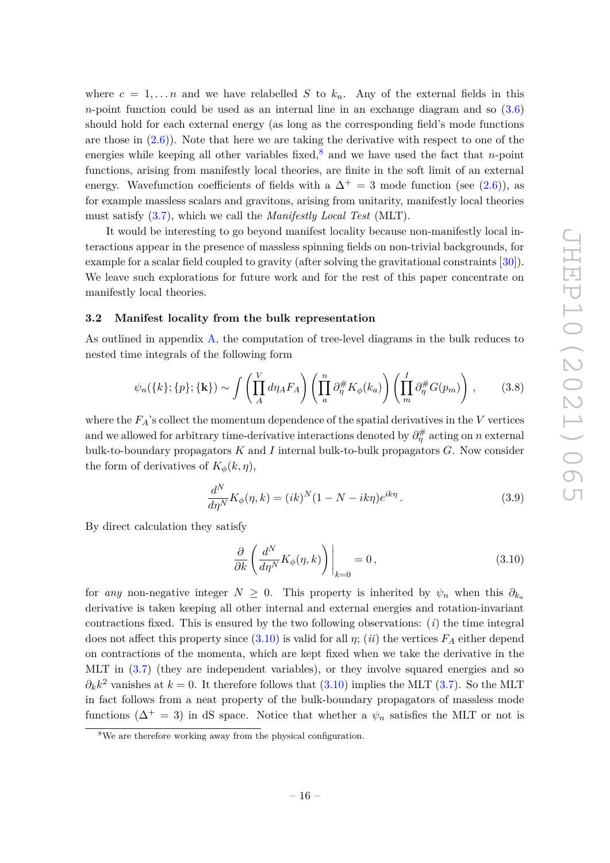where  $c = 1, \ldots n$  and we have relabelled *S* to  $k_n$ . Any of the external fields in this *n*-point function could be used as an internal line in an exchange diagram and so  $(3.6)$ should hold for each external energy (as long as the corresponding field's mode functions are those in  $(2.6)$ ). Note that here we are taking the derivative with respect to one of the energies while keeping all other variables fixed,<sup>[8](#page-16-1)</sup> and we have used the fact that *n*-point functions, arising from manifestly local theories, are finite in the soft limit of an external energy. Wavefunction coefficients of fields with a  $\Delta^+ = 3$  mode function (see [\(2.6\)](#page-8-0)), as for example massless scalars and gravitons, arising from unitarity, manifestly local theories must satisfy [\(3.7\)](#page-15-2), which we call the *Manifestly Local Test* (MLT).

It would be interesting to go beyond manifest locality because non-manifestly local interactions appear in the presence of massless spinning fields on non-trivial backgrounds, for example for a scalar field coupled to gravity (after solving the gravitational constraints [\[30\]](#page-54-5)). We leave such explorations for future work and for the rest of this paper concentrate on manifestly local theories.

# <span id="page-16-0"></span>**3.2 Manifest locality from the bulk representation**

As outlined in appendix [A,](#page-48-0) the computation of tree-level diagrams in the bulk reduces to nested time integrals of the following form

$$
\psi_n(\{k\};\{p\};\{\mathbf{k}\}) \sim \int \left(\prod_A^V d\eta_A F_A\right) \left(\prod_a^n \partial_\eta^{\#} K_\phi(k_a)\right) \left(\prod_m^I \partial_\eta^{\#} G(p_m)\right),\tag{3.8}
$$

where the  $F_A$ 's collect the momentum dependence of the spatial derivatives in the  $V$  vertices and we allowed for arbitrary time-derivative interactions denoted by  $\partial_{\eta}^{\#}$  acting on *n* external bulk-to-boundary propagators *K* and *I* internal bulk-to-bulk propagators *G*. Now consider the form of derivatives of  $K_\phi(k,\eta)$ ,

$$
\frac{d^N}{d\eta^N} K_{\phi}(\eta, k) = (ik)^N (1 - N - ik\eta) e^{ik\eta}.
$$
\n(3.9)

By direct calculation they satisfy

<span id="page-16-2"></span>
$$
\frac{\partial}{\partial k} \left( \frac{d^N}{d\eta^N} K_{\phi}(\eta, k) \right) \bigg|_{k=0} = 0, \tag{3.10}
$$

for *any* non-negative integer  $N \geq 0$ . This property is inherited by  $\psi_n$  when this  $\partial_{k}$ derivative is taken keeping all other internal and external energies and rotation-invariant contractions fixed. This is ensured by the two following observations: (*i*) the time integral does not affect this property since  $(3.10)$  is valid for all  $\eta$ ; (*ii*) the vertices  $F_A$  either depend on contractions of the momenta, which are kept fixed when we take the derivative in the MLT in [\(3.7\)](#page-15-2) (they are independent variables), or they involve squared energies and so  $\partial_k k^2$  vanishes at  $k = 0$ . It therefore follows that [\(3.10\)](#page-16-2) implies the MLT [\(3.7\)](#page-15-2). So the MLT in fact follows from a neat property of the bulk-boundary propagators of massless mode functions ( $\Delta^+ = 3$ ) in dS space. Notice that whether a  $\psi_n$  satisfies the MLT or not is

<span id="page-16-1"></span><sup>&</sup>lt;sup>8</sup>We are therefore working away from the physical configuration.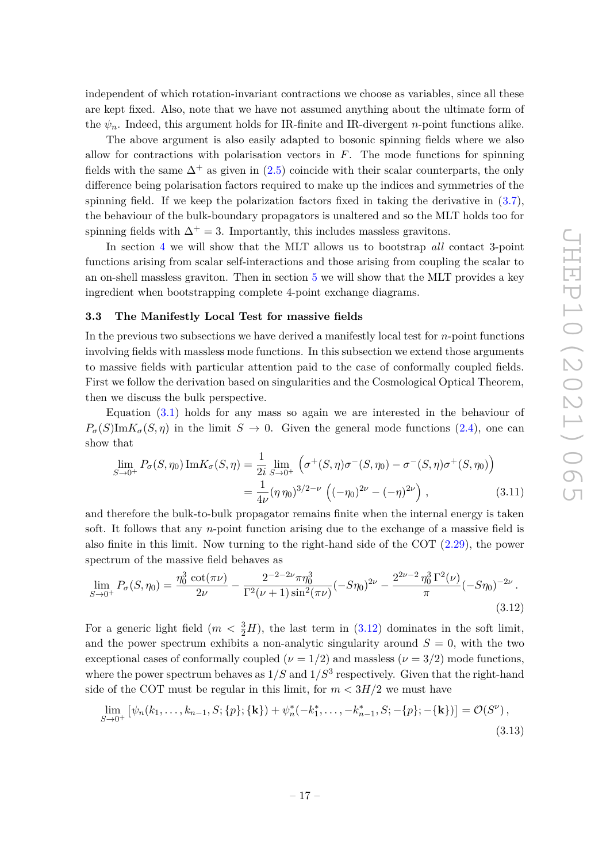independent of which rotation-invariant contractions we choose as variables, since all these are kept fixed. Also, note that we have not assumed anything about the ultimate form of the  $\psi_n$ . Indeed, this argument holds for IR-finite and IR-divergent *n*-point functions alike.

The above argument is also easily adapted to bosonic spinning fields where we also allow for contractions with polarisation vectors in *F*. The mode functions for spinning fields with the same  $\Delta^+$  as given in [\(2.5\)](#page-8-1) coincide with their scalar counterparts, the only difference being polarisation factors required to make up the indices and symmetries of the spinning field. If we keep the polarization factors fixed in taking the derivative in  $(3.7)$ , the behaviour of the bulk-boundary propagators is unaltered and so the MLT holds too for spinning fields with  $\Delta^+ = 3$ . Importantly, this includes massless gravitons.

In section [4](#page-19-0) we will show that the MLT allows us to bootstrap *all* contact 3-point functions arising from scalar self-interactions and those arising from coupling the scalar to an on-shell massless graviton. Then in section [5](#page-30-0) we will show that the MLT provides a key ingredient when bootstrapping complete 4-point exchange diagrams.

#### <span id="page-17-0"></span>**3.3 The Manifestly Local Test for massive fields**

In the previous two subsections we have derived a manifestly local test for *n*-point functions involving fields with massless mode functions. In this subsection we extend those arguments to massive fields with particular attention paid to the case of conformally coupled fields. First we follow the derivation based on singularities and the Cosmological Optical Theorem, then we discuss the bulk perspective.

Equation [\(3.1\)](#page-14-1) holds for any mass so again we are interested in the behaviour of  $P_{\sigma}(S)$ Im $K_{\sigma}(S,\eta)$  in the limit  $S \to 0$ . Given the general mode functions [\(2.4\)](#page-8-2), one can show that

$$
\lim_{S \to 0^+} P_{\sigma}(S, \eta_0) \operatorname{Im} K_{\sigma}(S, \eta) = \frac{1}{2i} \lim_{S \to 0^+} \left( \sigma^+(S, \eta) \sigma^-(S, \eta_0) - \sigma^-(S, \eta) \sigma^+(S, \eta_0) \right)
$$

$$
= \frac{1}{4\nu} (\eta \eta_0)^{3/2 - \nu} \left( (-\eta_0)^{2\nu} - (-\eta)^{2\nu} \right), \tag{3.11}
$$

and therefore the bulk-to-bulk propagator remains finite when the internal energy is taken soft. It follows that any *n*-point function arising due to the exchange of a massive field is also finite in this limit. Now turning to the right-hand side of the COT [\(2.29\)](#page-13-2), the power spectrum of the massive field behaves as

<span id="page-17-1"></span>
$$
\lim_{S \to 0^+} P_{\sigma}(S, \eta_0) = \frac{\eta_0^3 \cot(\pi \nu)}{2\nu} - \frac{2^{-2-2\nu} \pi \eta_0^3}{\Gamma^2(\nu+1) \sin^2(\pi \nu)} (-S\eta_0)^{2\nu} - \frac{2^{2\nu-2} \eta_0^3 \Gamma^2(\nu)}{\pi} (-S\eta_0)^{-2\nu}.
$$
\n(3.12)

For a generic light field  $(m < \frac{3}{2}H)$ , the last term in  $(3.12)$  dominates in the soft limit, and the power spectrum exhibits a non-analytic singularity around  $S = 0$ , with the two exceptional cases of conformally coupled ( $\nu = 1/2$ ) and massless ( $\nu = 3/2$ ) mode functions, where the power spectrum behaves as  $1/S$  and  $1/S<sup>3</sup>$  respectively. Given that the right-hand side of the COT must be regular in this limit, for  $m < 3H/2$  we must have

<span id="page-17-2"></span>
$$
\lim_{S \to 0^+} \left[ \psi_n(k_1, \dots, k_{n-1}, S; \{p\}; \{\mathbf{k}\}) + \psi_n^*(-k_1^*, \dots, -k_{n-1}^*, S; -\{p\}; -\{\mathbf{k}\}) \right] = \mathcal{O}(S^{\nu}),
$$
\n(3.13)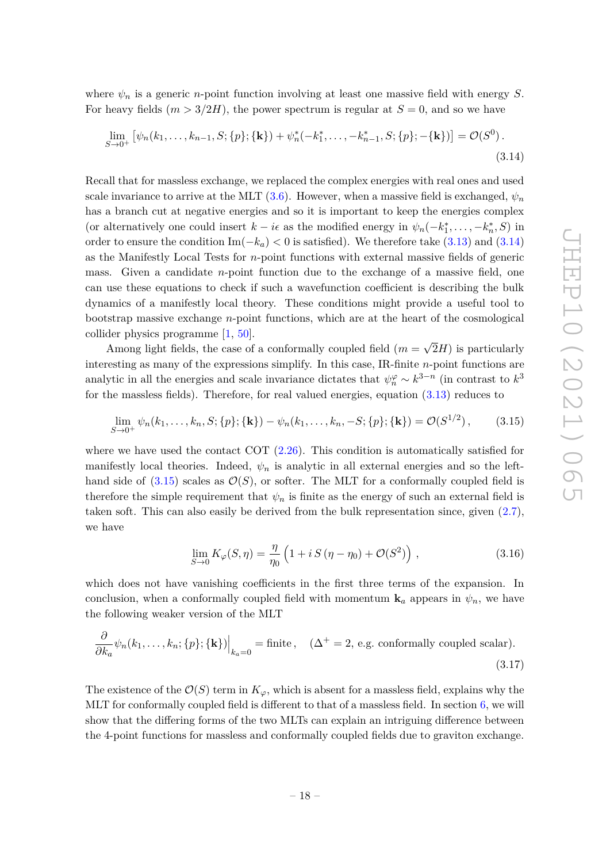where  $\psi_n$  is a generic *n*-point function involving at least one massive field with energy *S*. For heavy fields  $(m > 3/2H)$ , the power spectrum is regular at  $S = 0$ , and so we have

<span id="page-18-0"></span>
$$
\lim_{S \to 0^+} \left[ \psi_n(k_1, \dots, k_{n-1}, S; \{p\}; \{\mathbf{k}\}) + \psi_n^*(-k_1^*, \dots, -k_{n-1}^*, S; \{p\}; -\{\mathbf{k}\}) \right] = \mathcal{O}(S^0).
$$
\n(3.14)

Recall that for massless exchange, we replaced the complex energies with real ones and used scale invariance to arrive at the MLT  $(3.6)$ . However, when a massive field is exchanged,  $\psi_n$ has a branch cut at negative energies and so it is important to keep the energies complex (or alternatively one could insert  $k - i\epsilon$  as the modified energy in  $\psi_n(-k_1^*, \ldots, -k_n^*, S)$  in order to ensure the condition  $\text{Im}(-k_a) < 0$  is satisfied). We therefore take  $(3.13)$  and  $(3.14)$ as the Manifestly Local Tests for *n*-point functions with external massive fields of generic mass. Given a candidate *n*-point function due to the exchange of a massive field, one can use these equations to check if such a wavefunction coefficient is describing the bulk dynamics of a manifestly local theory. These conditions might provide a useful tool to bootstrap massive exchange *n*-point functions, which are at the heart of the cosmological collider physics programme [\[1,](#page-53-0) [50\]](#page-55-11). √

Among light fields, the case of a conformally coupled field  $(m =$ 2*H*) is particularly interesting as many of the expressions simplify. In this case, IR-finite *n*-point functions are analytic in all the energies and scale invariance dictates that  $\psi_n^{\varphi} \sim k^{3-n}$  (in contrast to  $k^3$ for the massless fields). Therefore, for real valued energies, equation [\(3.13\)](#page-17-2) reduces to

$$
\lim_{S \to 0^+} \psi_n(k_1, \dots, k_n, S; \{p\}; \{\mathbf{k}\}) - \psi_n(k_1, \dots, k_n, -S; \{p\}; \{\mathbf{k}\}) = \mathcal{O}(S^{1/2}), \quad (3.15)
$$

where we have used the contact COT  $(2.26)$ . This condition is automatically satisfied for manifestly local theories. Indeed,  $\psi_n$  is analytic in all external energies and so the lefthand side of  $(3.15)$  scales as  $\mathcal{O}(S)$ , or softer. The MLT for a conformally coupled field is therefore the simple requirement that  $\psi_n$  is finite as the energy of such an external field is taken soft. This can also easily be derived from the bulk representation since, given  $(2.7)$ , we have

<span id="page-18-2"></span><span id="page-18-1"></span>
$$
\lim_{S \to 0} K_{\varphi}(S, \eta) = \frac{\eta}{\eta_0} \left( 1 + i S (\eta - \eta_0) + \mathcal{O}(S^2) \right) , \qquad (3.16)
$$

which does not have vanishing coefficients in the first three terms of the expansion. In conclusion, when a conformally coupled field with momentum  $\mathbf{k}_a$  appears in  $\psi_n$ , we have the following weaker version of the MLT

$$
\frac{\partial}{\partial k_a} \psi_n(k_1, \dots, k_n; \{p\}; \{\mathbf{k}\})\Big|_{k_a=0} = \text{finite}, \quad (\Delta^+ = 2, \text{ e.g. conformally coupled scalar}).
$$
\n(3.17)

The existence of the  $\mathcal{O}(S)$  term in  $K_{\varphi}$ , which is absent for a massless field, explains why the MLT for conformally coupled field is different to that of a massless field. In section [6,](#page-39-0) we will show that the differing forms of the two MLTs can explain an intriguing difference between the 4-point functions for massless and conformally coupled fields due to graviton exchange.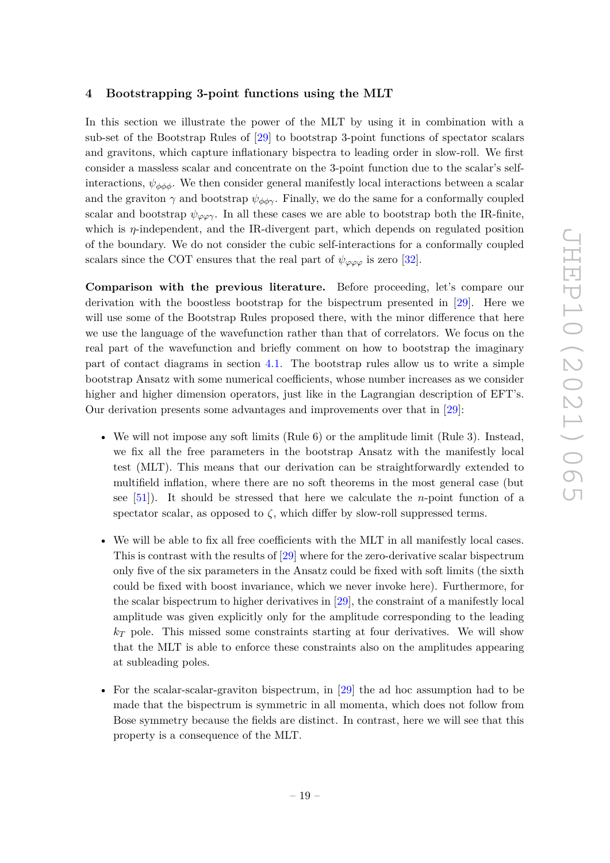# <span id="page-19-0"></span>**4 Bootstrapping 3-point functions using the MLT**

In this section we illustrate the power of the MLT by using it in combination with a sub-set of the Bootstrap Rules of [\[29\]](#page-54-4) to bootstrap 3-point functions of spectator scalars and gravitons, which capture inflationary bispectra to leading order in slow-roll. We first consider a massless scalar and concentrate on the 3-point function due to the scalar's selfinteractions,  $\psi_{\phi\phi\phi}$ . We then consider general manifestly local interactions between a scalar and the graviton  $\gamma$  and bootstrap  $\psi_{\phi\phi\gamma}$ . Finally, we do the same for a conformally coupled scalar and bootstrap  $\psi_{\varphi\varphi\gamma}$ . In all these cases we are able to bootstrap both the IR-finite, which is *η*-independent, and the IR-divergent part, which depends on regulated position of the boundary. We do not consider the cubic self-interactions for a conformally coupled scalars since the COT ensures that the real part of  $\psi_{\varphi\varphi\varphi}$  is zero [\[32\]](#page-54-7).

**Comparison with the previous literature.** Before proceeding, let's compare our derivation with the boostless bootstrap for the bispectrum presented in [\[29\]](#page-54-4). Here we will use some of the Bootstrap Rules proposed there, with the minor difference that here we use the language of the wavefunction rather than that of correlators. We focus on the real part of the wavefunction and briefly comment on how to bootstrap the imaginary part of contact diagrams in section [4.1.](#page-25-0) The bootstrap rules allow us to write a simple bootstrap Ansatz with some numerical coefficients, whose number increases as we consider higher and higher dimension operators, just like in the Lagrangian description of EFT's. Our derivation presents some advantages and improvements over that in [\[29\]](#page-54-4):

- We will not impose any soft limits (Rule 6) or the amplitude limit (Rule 3). Instead, we fix all the free parameters in the bootstrap Ansatz with the manifestly local test (MLT). This means that our derivation can be straightforwardly extended to multifield inflation, where there are no soft theorems in the most general case (but see [\[51\]](#page-55-12)). It should be stressed that here we calculate the *n*-point function of a spectator scalar, as opposed to  $\zeta$ , which differ by slow-roll suppressed terms.
- We will be able to fix all free coefficients with the MLT in all manifestly local cases. This is contrast with the results of [\[29\]](#page-54-4) where for the zero-derivative scalar bispectrum only five of the six parameters in the Ansatz could be fixed with soft limits (the sixth could be fixed with boost invariance, which we never invoke here). Furthermore, for the scalar bispectrum to higher derivatives in [\[29\]](#page-54-4), the constraint of a manifestly local amplitude was given explicitly only for the amplitude corresponding to the leading  $k_T$  pole. This missed some constraints starting at four derivatives. We will show that the MLT is able to enforce these constraints also on the amplitudes appearing at subleading poles.
- For the scalar-scalar-graviton bispectrum, in [\[29\]](#page-54-4) the ad hoc assumption had to be made that the bispectrum is symmetric in all momenta, which does not follow from Bose symmetry because the fields are distinct. In contrast, here we will see that this property is a consequence of the MLT.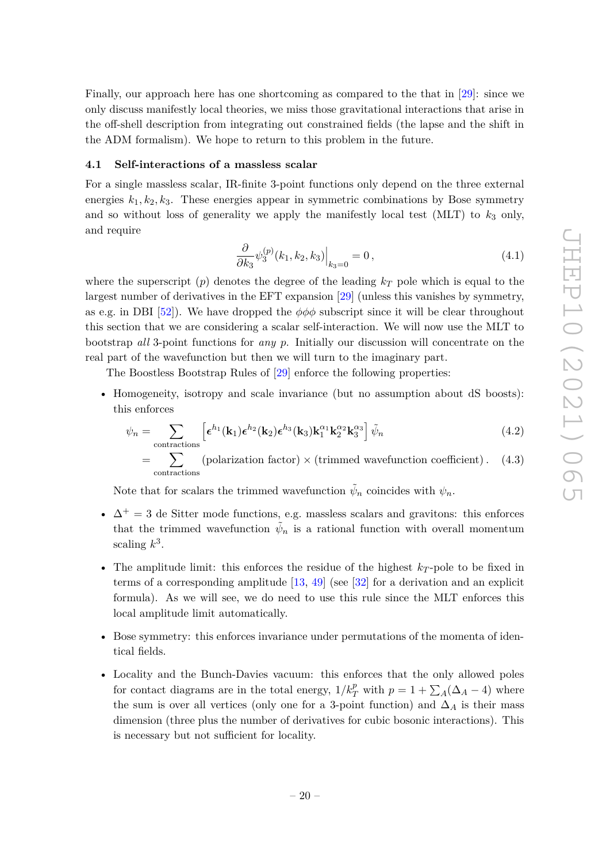Finally, our approach here has one shortcoming as compared to the that in [\[29\]](#page-54-4): since we only discuss manifestly local theories, we miss those gravitational interactions that arise in the off-shell description from integrating out constrained fields (the lapse and the shift in the ADM formalism). We hope to return to this problem in the future.

# <span id="page-20-0"></span>**4.1 Self-interactions of a massless scalar**

For a single massless scalar, IR-finite 3-point functions only depend on the three external energies  $k_1, k_2, k_3$ . These energies appear in symmetric combinations by Bose symmetry and so without loss of generality we apply the manifestly local test  $(MLT)$  to  $k<sub>3</sub>$  only, and require

<span id="page-20-1"></span>
$$
\frac{\partial}{\partial k_3} \psi_3^{(p)}(k_1, k_2, k_3) \Big|_{k_3=0} = 0, \qquad (4.1)
$$

where the superscript  $(p)$  denotes the degree of the leading  $k<sub>T</sub>$  pole which is equal to the largest number of derivatives in the EFT expansion [\[29\]](#page-54-4) (unless this vanishes by symmetry, as e.g. in DBI  $[52]$ ). We have dropped the  $\phi\phi\phi$  subscript since it will be clear throughout this section that we are considering a scalar self-interaction. We will now use the MLT to bootstrap *all* 3-point functions for *any p*. Initially our discussion will concentrate on the real part of the wavefunction but then we will turn to the imaginary part.

The Boostless Bootstrap Rules of [\[29\]](#page-54-4) enforce the following properties:

• Homogeneity, isotropy and scale invariance (but no assumption about dS boosts): this enforces

$$
\psi_n = \sum_{\text{contractions}} \left[ \epsilon^{h_1}(\mathbf{k}_1) \epsilon^{h_2}(\mathbf{k}_2) \epsilon^{h_3}(\mathbf{k}_3) \mathbf{k}_1^{\alpha_1} \mathbf{k}_2^{\alpha_2} \mathbf{k}_3^{\alpha_3} \right] \tilde{\psi}_n \tag{4.2}
$$

$$
= \sum_{\text{contractions}} (polarization factor) \times (trimmed wavefunction coefficient). \quad (4.3)
$$

Note that for scalars the trimmed wavefunction  $\tilde{\psi}_n$  coincides with  $\psi_n$ .

- $\Delta^+ = 3$  de Sitter mode functions, e.g. massless scalars and gravitons: this enforces that the trimmed wavefunction  $\tilde{\psi}_n$  is a rational function with overall momentum scaling  $k^3$ .
- The amplitude limit: this enforces the residue of the highest  $k_T$ -pole to be fixed in terms of a corresponding amplitude  $[13, 49]$  $[13, 49]$  $[13, 49]$  (see  $[32]$  for a derivation and an explicit formula). As we will see, we do need to use this rule since the MLT enforces this local amplitude limit automatically.
- Bose symmetry: this enforces invariance under permutations of the momenta of identical fields.
- Locality and the Bunch-Davies vacuum: this enforces that the only allowed poles for contact diagrams are in the total energy,  $1/k_T^p$  with  $p = 1 + \sum_A(\Delta_A - 4)$  where the sum is over all vertices (only one for a 3-point function) and  $\Delta_A$  is their mass dimension (three plus the number of derivatives for cubic bosonic interactions). This is necessary but not sufficient for locality.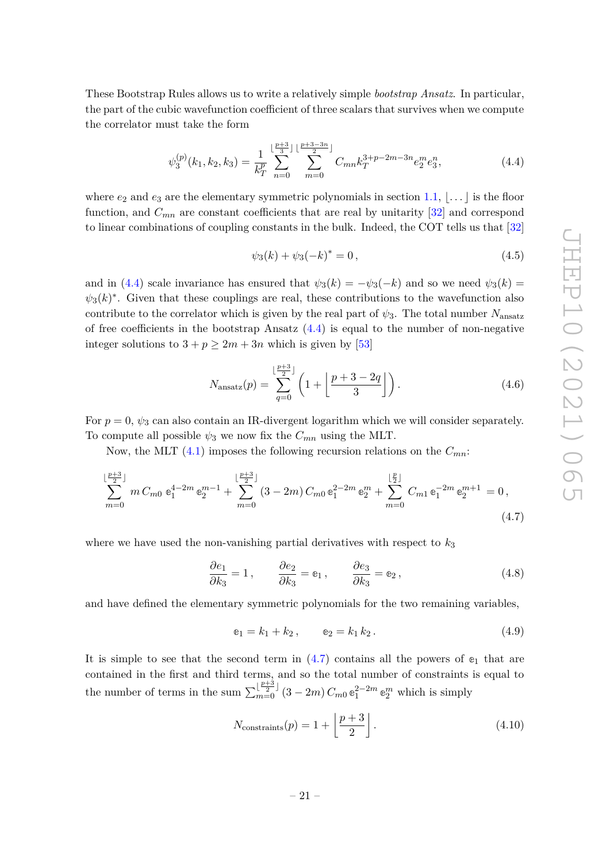These Bootstrap Rules allows us to write a relatively simple *bootstrap Ansatz*. In particular, the part of the cubic wavefunction coefficient of three scalars that survives when we compute the correlator must take the form

$$
\psi_3^{(p)}(k_1, k_2, k_3) = \frac{1}{k_T^p} \sum_{n=0}^{\lfloor \frac{p+3}{3} \rfloor} \sum_{m=0}^{\lfloor \frac{p+3-3n}{3} \rfloor} C_{mn} k_T^{3+p-2m-3n} e_2^m e_3^n,
$$
\n(4.4)

where  $e_2$  and  $e_3$  are the elementary symmetric polynomials in section [1.1,](#page-6-0)  $\ldots$  is the floor function, and  $C_{mn}$  are constant coefficients that are real by unitarity  $[32]$  and correspond to linear combinations of coupling constants in the bulk. Indeed, the COT tells us that [\[32\]](#page-54-7)

<span id="page-21-0"></span>
$$
\psi_3(k) + \psi_3(-k)^* = 0, \qquad (4.5)
$$

and in [\(4.4\)](#page-21-0) scale invariance has ensured that  $\psi_3(k) = -\psi_3(-k)$  and so we need  $\psi_3(k) =$  $\psi_3(k)^*$ . Given that these couplings are real, these contributions to the wavefunction also contribute to the correlator which is given by the real part of  $\psi_3$ . The total number  $N_{\text{ansatz}}$ of free coefficients in the bootstrap Ansatz  $(4.4)$  is equal to the number of non-negative integer solutions to  $3 + p \geq 2m + 3n$  which is given by [\[53\]](#page-55-14)

$$
N_{\text{ansatz}}(p) = \sum_{q=0}^{\lfloor \frac{p+3}{2} \rfloor} \left( 1 + \left\lfloor \frac{p+3-2q}{3} \right\rfloor \right). \tag{4.6}
$$

For  $p = 0$ ,  $\psi_3$  can also contain an IR-divergent logarithm which we will consider separately. To compute all possible  $\psi_3$  we now fix the  $C_{mn}$  using the MLT.

Now, the MLT [\(4.1\)](#page-20-1) imposes the following recursion relations on the *Cmn*:

$$
\sum_{m=0}^{\lfloor \frac{p+3}{2} \rfloor} m C_{m0} e_1^{4-2m} e_2^{m-1} + \sum_{m=0}^{\lfloor \frac{p+3}{2} \rfloor} (3-2m) C_{m0} e_1^{2-2m} e_2^m + \sum_{m=0}^{\lfloor \frac{p}{2} \rfloor} C_{m1} e_1^{-2m} e_2^{m+1} = 0,
$$
\n(4.7)

where we have used the non-vanishing partial derivatives with respect to  $k_3$ 

$$
\frac{\partial e_1}{\partial k_3} = 1, \qquad \frac{\partial e_2}{\partial k_3} = e_1, \qquad \frac{\partial e_3}{\partial k_3} = e_2, \tag{4.8}
$$

and have defined the elementary symmetric polynomials for the two remaining variables,

<span id="page-21-2"></span><span id="page-21-1"></span>
$$
\mathbf{e}_1 = k_1 + k_2, \qquad \mathbf{e}_2 = k_1 k_2. \tag{4.9}
$$

It is simple to see that the second term in  $(4.7)$  contains all the powers of  $e_1$  that are contained in the first and third terms, and so the total number of constraints is equal to the number of terms in the sum  $\sum_{m=0}^{\lfloor \frac{p+3}{2} \rfloor} (3-2m) C_{m0} e_1^{2-2m} e_2^m$  which is simply

$$
N_{\text{constraints}}(p) = 1 + \left\lfloor \frac{p+3}{2} \right\rfloor. \tag{4.10}
$$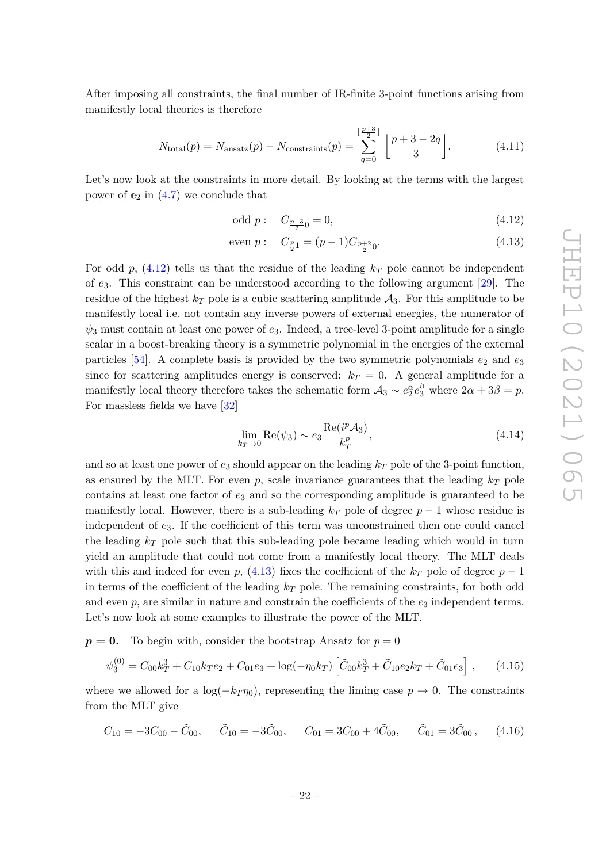After imposing all constraints, the final number of IR-finite 3-point functions arising from manifestly local theories is therefore

$$
N_{\text{total}}(p) = N_{\text{ansatz}}(p) - N_{\text{constraints}}(p) = \sum_{q=0}^{\lfloor \frac{p+3}{2} \rfloor} \left\lfloor \frac{p+3-2q}{3} \right\rfloor. \tag{4.11}
$$

Let's now look at the constraints in more detail. By looking at the terms with the largest power of  $e_2$  in  $(4.7)$  we conclude that

<span id="page-22-3"></span><span id="page-22-1"></span><span id="page-22-0"></span>odd p: 
$$
C_{\frac{p+3}{2}0} = 0,
$$
 (4.12)

even 
$$
p: C_{\frac{p}{2}1} = (p-1)C_{\frac{p+2}{2}0}.
$$
 (4.13)

For odd  $p$ , [\(4.12\)](#page-22-0) tells us that the residue of the leading  $k_T$  pole cannot be independent of *e*3. This constraint can be understood according to the following argument [\[29\]](#page-54-4). The residue of the highest  $k_T$  pole is a cubic scattering amplitude  $\mathcal{A}_3$ . For this amplitude to be manifestly local i.e. not contain any inverse powers of external energies, the numerator of  $\psi_3$  must contain at least one power of  $e_3$ . Indeed, a tree-level 3-point amplitude for a single scalar in a boost-breaking theory is a symmetric polynomial in the energies of the external particles  $[54]$ . A complete basis is provided by the two symmetric polynomials  $e_2$  and  $e_3$ since for scattering amplitudes energy is conserved:  $k_T = 0$ . A general amplitude for a manifestly local theory therefore takes the schematic form  $A_3 \sim e_2^{\alpha} e_3^{\beta}$  where  $2\alpha + 3\beta = p$ . For massless fields we have [\[32\]](#page-54-7)

<span id="page-22-2"></span>
$$
\lim_{k_T \to 0} \operatorname{Re}(\psi_3) \sim e_3 \frac{\operatorname{Re}(i^p \mathcal{A}_3)}{k_T^p},\tag{4.14}
$$

and so at least one power of  $e_3$  should appear on the leading  $k_T$  pole of the 3-point function, as ensured by the MLT. For even  $p$ , scale invariance guarantees that the leading  $k_T$  pole contains at least one factor of *e*<sup>3</sup> and so the corresponding amplitude is guaranteed to be manifestly local. However, there is a sub-leading  $k_T$  pole of degree  $p-1$  whose residue is independent of *e*3. If the coefficient of this term was unconstrained then one could cancel the leading *k<sup>T</sup>* pole such that this sub-leading pole became leading which would in turn yield an amplitude that could not come from a manifestly local theory. The MLT deals with this and indeed for even *p*,  $(4.13)$  fixes the coefficient of the  $k_T$  pole of degree  $p-1$ in terms of the coefficient of the leading *k<sup>T</sup>* pole. The remaining constraints, for both odd and even  $p$ , are similar in nature and constrain the coefficients of the  $e_3$  independent terms. Let's now look at some examples to illustrate the power of the MLT.

 $p = 0$ . To begin with, consider the bootstrap Ansatz for  $p = 0$ 

$$
\psi_3^{(0)} = C_{00}k_T^3 + C_{10}k_Te_2 + C_{01}e_3 + \log(-\eta_0 k_T) \left[ \tilde{C}_{00}k_T^3 + \tilde{C}_{10}e_2k_T + \tilde{C}_{01}e_3 \right], \quad (4.15)
$$

where we allowed for a  $\log(-k_T \eta_0)$ , representing the liming case  $p \to 0$ . The constraints from the MLT give

$$
C_{10} = -3C_{00} - \tilde{C}_{00}, \qquad \tilde{C}_{10} = -3\tilde{C}_{00}, \qquad C_{01} = 3C_{00} + 4\tilde{C}_{00}, \qquad \tilde{C}_{01} = 3\tilde{C}_{00}, \qquad (4.16)
$$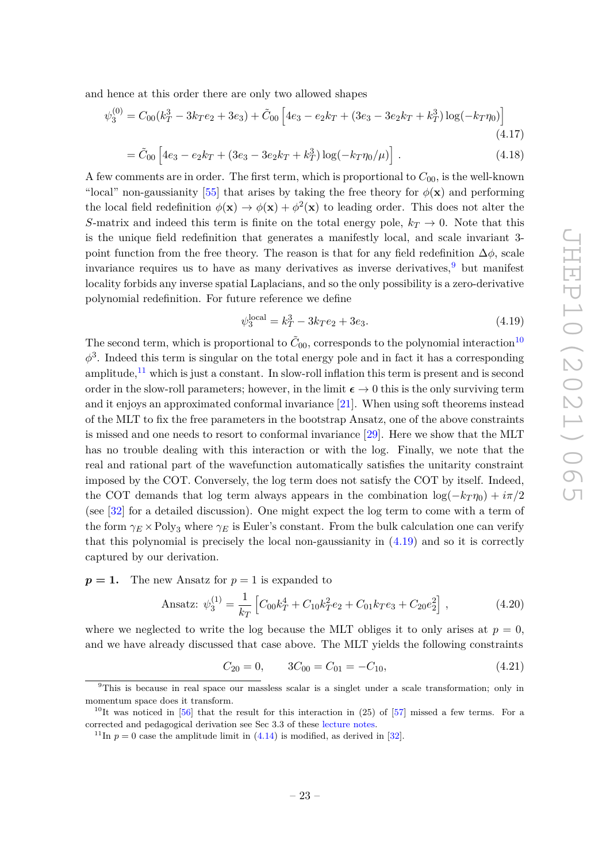and hence at this order there are only two allowed shapes

$$
\psi_3^{(0)} = C_{00}(k_T^3 - 3k_T e_2 + 3e_3) + \tilde{C}_{00} \left[ 4e_3 - e_2 k_T + (3e_3 - 3e_2 k_T + k_T^3) \log(-k_T \eta_0) \right]
$$
\n(4.17)

$$
= \tilde{C}_{00} \left[ 4e_3 - e_2 k_T + (3e_3 - 3e_2 k_T + k_T^3) \log(-k_T \eta_0/\mu) \right]. \tag{4.18}
$$

A few comments are in order. The first term, which is proportional to  $C_{00}$ , is the well-known "local" non-gaussianity [\[55\]](#page-55-16) that arises by taking the free theory for  $\phi(\mathbf{x})$  and performing the local field redefinition  $\phi(\mathbf{x}) \to \phi(\mathbf{x}) + \phi^2(\mathbf{x})$  to leading order. This does not alter the *S*-matrix and indeed this term is finite on the total energy pole,  $k_T \rightarrow 0$ . Note that this is the unique field redefinition that generates a manifestly local, and scale invariant 3 point function from the free theory. The reason is that for any field redefinition  $\Delta\phi$ , scale invariance requires us to have as many derivatives as inverse derivatives,  $9$  but manifest locality forbids any inverse spatial Laplacians, and so the only possibility is a zero-derivative polynomial redefinition. For future reference we define

<span id="page-23-3"></span>
$$
\psi_3^{\text{local}} = k_T^3 - 3kr e_2 + 3e_3. \tag{4.19}
$$

The second term, which is proportional to  $\tilde{C}_{00}$ , corresponds to the polynomial interaction<sup>[10](#page-23-1)</sup>  $\phi^3$ . Indeed this term is singular on the total energy pole and in fact it has a corresponding amplitude, $11$  which is just a constant. In slow-roll inflation this term is present and is second order in the slow-roll parameters; however, in the limit  $\epsilon \to 0$  this is the only surviving term and it enjoys an approximated conformal invariance [\[21\]](#page-54-11). When using soft theorems instead of the MLT to fix the free parameters in the bootstrap Ansatz, one of the above constraints is missed and one needs to resort to conformal invariance [\[29\]](#page-54-4). Here we show that the MLT has no trouble dealing with this interaction or with the log. Finally, we note that the real and rational part of the wavefunction automatically satisfies the unitarity constraint imposed by the COT. Conversely, the log term does not satisfy the COT by itself. Indeed, the COT demands that log term always appears in the combination  $\log(-k_T \eta_0) + i\pi/2$ (see [\[32\]](#page-54-7) for a detailed discussion). One might expect the log term to come with a term of the form  $\gamma_E \times \text{Poly}_3$  where  $\gamma_E$  is Euler's constant. From the bulk calculation one can verify that this polynomial is precisely the local non-gaussianity in  $(4.19)$  and so it is correctly captured by our derivation.

 $p = 1$ . The new Ansatz for  $p = 1$  is expanded to

Ansatz: 
$$
\psi_3^{(1)} = \frac{1}{k_T} \left[ C_{00} k_T^4 + C_{10} k_T^2 e_2 + C_{01} k_T e_3 + C_{20} e_2^2 \right],
$$
 (4.20)

where we neglected to write the log because the MLT obliges it to only arises at  $p = 0$ , and we have already discussed that case above. The MLT yields the following constraints

$$
C_{20} = 0, \qquad 3C_{00} = C_{01} = -C_{10}, \tag{4.21}
$$

<span id="page-23-0"></span><sup>9</sup>This is because in real space our massless scalar is a singlet under a scale transformation; only in momentum space does it transform.

<span id="page-23-1"></span><sup>&</sup>lt;sup>10</sup>It was noticed in [\[56\]](#page-55-17) that the result for this interaction in (25) of [\[57\]](#page-55-18) missed a few terms. For a corrected and pedagogical derivation see Sec 3.3 of these [lecture notes.](https://www.dropbox.com/s/nwau7po9w11w6kx/field_theory_in_Cosmology.pdf?dl=0)

<span id="page-23-2"></span><sup>&</sup>lt;sup>11</sup>In  $p = 0$  case the amplitude limit in  $(4.14)$  is modified, as derived in [\[32\]](#page-54-7).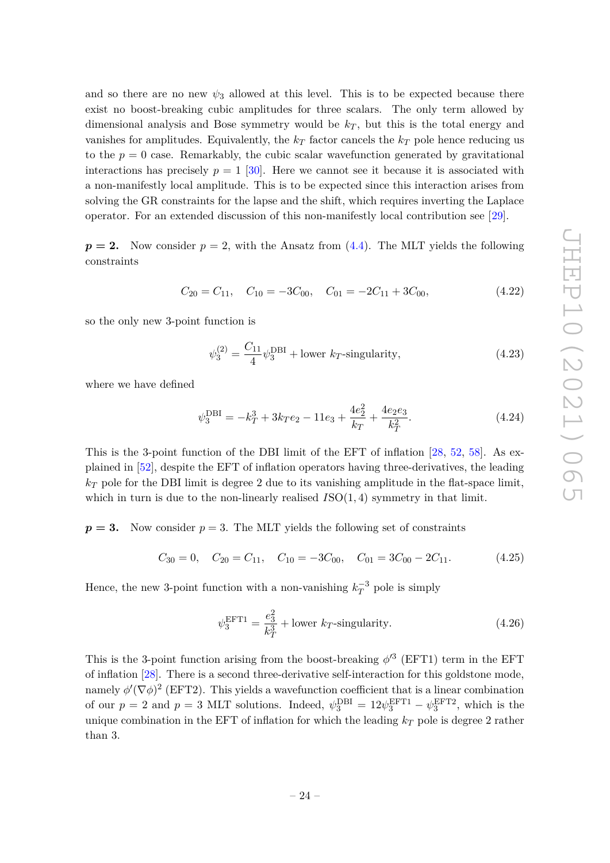and so there are no new  $\psi_3$  allowed at this level. This is to be expected because there exist no boost-breaking cubic amplitudes for three scalars. The only term allowed by dimensional analysis and Bose symmetry would be  $k_T$ , but this is the total energy and vanishes for amplitudes. Equivalently, the  $k<sub>T</sub>$  factor cancels the  $k<sub>T</sub>$  pole hence reducing us to the  $p = 0$  case. Remarkably, the cubic scalar wavefunction generated by gravitational interactions has precisely  $p = 1$  [\[30\]](#page-54-5). Here we cannot see it because it is associated with a non-manifestly local amplitude. This is to be expected since this interaction arises from solving the GR constraints for the lapse and the shift, which requires inverting the Laplace operator. For an extended discussion of this non-manifestly local contribution see [\[29\]](#page-54-4).

 $p = 2$ . Now consider  $p = 2$ , with the Ansatz from  $(4.4)$ . The MLT yields the following constraints

$$
C_{20} = C_{11}, \quad C_{10} = -3C_{00}, \quad C_{01} = -2C_{11} + 3C_{00}, \tag{4.22}
$$

so the only new 3-point function is

<span id="page-24-0"></span>
$$
\psi_3^{(2)} = \frac{C_{11}}{4} \psi_3^{\text{DBI}} + \text{lower } k \text{-singularity}, \tag{4.23}
$$

where we have defined

$$
\psi_3^{\text{DBI}} = -k_T^3 + 3k_T e_2 - 11e_3 + \frac{4e_2^2}{k_T} + \frac{4e_2 e_3}{k_T^2}.
$$
\n(4.24)

This is the 3-point function of the DBI limit of the EFT of inflation [\[28,](#page-54-2) [52,](#page-55-13) [58\]](#page-56-0). As explained in [\[52\]](#page-55-13), despite the EFT of inflation operators having three-derivatives, the leading  $k_T$  pole for the DBI limit is degree 2 due to its vanishing amplitude in the flat-space limit, which in turn is due to the non-linearly realised  $ISO(1,4)$  symmetry in that limit.

 $p = 3$ . Now consider  $p = 3$ . The MLT yields the following set of constraints

$$
C_{30} = 0
$$
,  $C_{20} = C_{11}$ ,  $C_{10} = -3C_{00}$ ,  $C_{01} = 3C_{00} - 2C_{11}$ . (4.25)

Hence, the new 3-point function with a non-vanishing  $k_T^{-3}$  pole is simply

$$
\psi_3^{\text{EFT1}} = \frac{e_3^2}{k_T^3} + \text{lower } k_T\text{-singularity.} \tag{4.26}
$$

This is the 3-point function arising from the boost-breaking  $\phi'^3$  (EFT1) term in the EFT of inflation [\[28\]](#page-54-2). There is a second three-derivative self-interaction for this goldstone mode, namely  $\phi'(\nabla\phi)^2$  (EFT2). This yields a wavefunction coefficient that is a linear combination of our  $p = 2$  and  $p = 3$  MLT solutions. Indeed,  $\psi_3^{\text{DBI}} = 12\psi_3^{\text{EFT1}} - \psi_3^{\text{EFT2}}$ , which is the unique combination in the EFT of inflation for which the leading  $k_T$  pole is degree 2 rather than 3.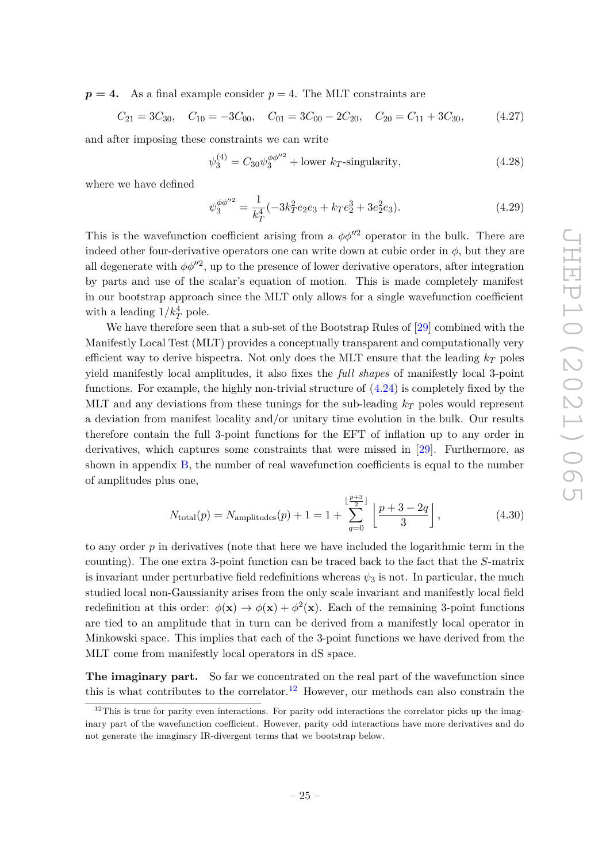$p = 4$ . As a final example consider  $p = 4$ . The MLT constraints are

$$
C_{21} = 3C_{30}
$$
,  $C_{10} = -3C_{00}$ ,  $C_{01} = 3C_{00} - 2C_{20}$ ,  $C_{20} = C_{11} + 3C_{30}$ , (4.27)

and after imposing these constraints we can write

$$
\psi_3^{(4)} = C_{30} \psi_3^{\phi \phi^{\prime\prime 2}} + \text{lower } k \text{-singularity}, \tag{4.28}
$$

where we have defined

$$
\psi_3^{\phi\phi''^2} = \frac{1}{k_T^4}(-3k_T^2e_2e_3 + k_Te_2^3 + 3e_2^2e_3). \tag{4.29}
$$

This is the wavefunction coefficient arising from a  $\phi \phi^{\prime\prime 2}$  operator in the bulk. There are indeed other four-derivative operators one can write down at cubic order in  $\phi$ , but they are all degenerate with  $\phi\phi^{\prime\prime 2}$ , up to the presence of lower derivative operators, after integration by parts and use of the scalar's equation of motion. This is made completely manifest in our bootstrap approach since the MLT only allows for a single wavefunction coefficient with a leading  $1/k_T^4$  pole.

We have therefore seen that a sub-set of the Bootstrap Rules of [\[29\]](#page-54-4) combined with the Manifestly Local Test (MLT) provides a conceptually transparent and computationally very efficient way to derive bispectra. Not only does the MLT ensure that the leading  $k_T$  poles yield manifestly local amplitudes, it also fixes the *full shapes* of manifestly local 3-point functions. For example, the highly non-trivial structure of  $(4.24)$  is completely fixed by the MLT and any deviations from these tunings for the sub-leading *k<sup>T</sup>* poles would represent a deviation from manifest locality and/or unitary time evolution in the bulk. Our results therefore contain the full 3-point functions for the EFT of inflation up to any order in derivatives, which captures some constraints that were missed in [\[29\]](#page-54-4). Furthermore, as shown in appendix [B,](#page-50-0) the number of real wavefunction coefficients is equal to the number of amplitudes plus one,

$$
N_{\text{total}}(p) = N_{\text{amplitudes}}(p) + 1 = 1 + \sum_{q=0}^{\lfloor \frac{p+3}{2} \rfloor} \left[ \frac{p+3-2q}{3} \right],\tag{4.30}
$$

to any order *p* in derivatives (note that here we have included the logarithmic term in the counting). The one extra 3-point function can be traced back to the fact that the *S*-matrix is invariant under perturbative field redefinitions whereas  $\psi_3$  is not. In particular, the much studied local non-Gaussianity arises from the only scale invariant and manifestly local field redefinition at this order:  $\phi(\mathbf{x}) \to \phi(\mathbf{x}) + \phi^2(\mathbf{x})$ . Each of the remaining 3-point functions are tied to an amplitude that in turn can be derived from a manifestly local operator in Minkowski space. This implies that each of the 3-point functions we have derived from the MLT come from manifestly local operators in dS space.

<span id="page-25-0"></span>**The imaginary part.** So far we concentrated on the real part of the wavefunction since this is what contributes to the correlator.<sup>[12](#page-25-1)</sup> However, our methods can also constrain the

<span id="page-25-1"></span> $12$ This is true for parity even interactions. For parity odd interactions the correlator picks up the imaginary part of the wavefunction coefficient. However, parity odd interactions have more derivatives and do not generate the imaginary IR-divergent terms that we bootstrap below.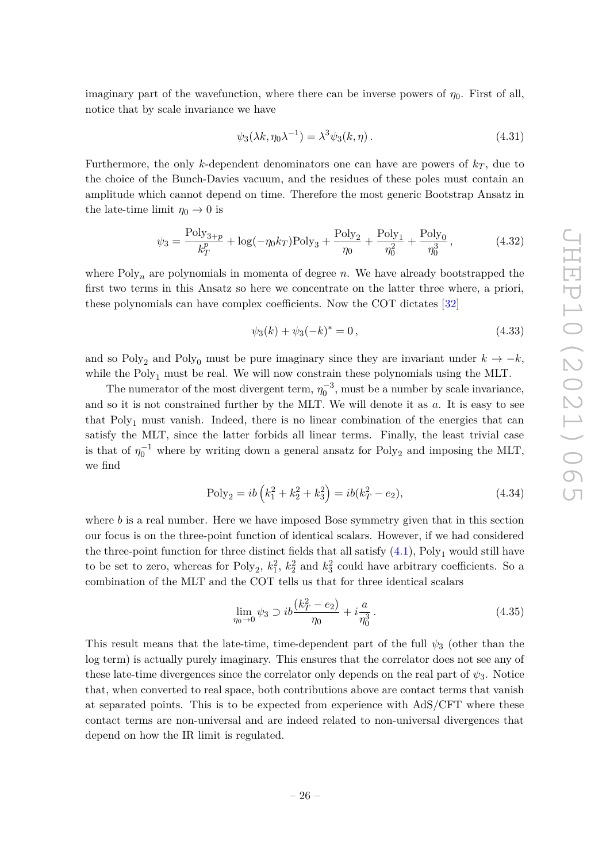imaginary part of the wavefunction, where there can be inverse powers of  $\eta_0$ . First of all, notice that by scale invariance we have

$$
\psi_3(\lambda k, \eta_0 \lambda^{-1}) = \lambda^3 \psi_3(k, \eta). \tag{4.31}
$$

Furthermore, the only *k*-dependent denominators one can have are powers of  $k_T$ , due to the choice of the Bunch-Davies vacuum, and the residues of these poles must contain an amplitude which cannot depend on time. Therefore the most generic Bootstrap Ansatz in the late-time limit  $\eta_0 \to 0$  is

$$
\psi_3 = \frac{\text{Poly}_{3+p}}{k_T^p} + \log(-\eta_0 k_T) \text{Poly}_3 + \frac{\text{Poly}_2}{\eta_0} + \frac{\text{Poly}_1}{\eta_0^2} + \frac{\text{Poly}_0}{\eta_0^3},\tag{4.32}
$$

where  $Poly_n$  are polynomials in momenta of degree  $n$ . We have already bootstrapped the first two terms in this Ansatz so here we concentrate on the latter three where, a priori, these polynomials can have complex coefficients. Now the COT dictates [\[32\]](#page-54-7)

<span id="page-26-1"></span><span id="page-26-0"></span>
$$
\psi_3(k) + \psi_3(-k)^* = 0, \qquad (4.33)
$$

and so Poly<sub>2</sub> and Poly<sub>0</sub> must be pure imaginary since they are invariant under  $k \to -k$ , while the  $Poly_1$  must be real. We will now constrain these polynomials using the MLT.

The numerator of the most divergent term,  $\eta_0^{-3}$ , must be a number by scale invariance, and so it is not constrained further by the MLT. We will denote it as *a*. It is easy to see that Poly<sub>1</sub> must vanish. Indeed, there is no linear combination of the energies that can satisfy the MLT, since the latter forbids all linear terms. Finally, the least trivial case is that of  $\eta_0^{-1}$  where by writing down a general ansatz for Poly<sub>2</sub> and imposing the MLT, we find

$$
Poly_2 = ib\left(k_1^2 + k_2^2 + k_3^2\right) = ib(k_T^2 - e_2),\tag{4.34}
$$

where *b* is a real number. Here we have imposed Bose symmetry given that in this section our focus is on the three-point function of identical scalars. However, if we had considered the three-point function for three distinct fields that all satisfy  $(4.1)$ , Poly<sub>1</sub> would still have to be set to zero, whereas for  $Poly_2$ ,  $k_1^2$ ,  $k_2^2$  and  $k_3^2$  could have arbitrary coefficients. So a combination of the MLT and the COT tells us that for three identical scalars

$$
\lim_{\eta_0 \to 0} \psi_3 \supset i b \frac{(k_T^2 - e_2)}{\eta_0} + i \frac{a}{\eta_0^3} \,. \tag{4.35}
$$

This result means that the late-time, time-dependent part of the full  $\psi_3$  (other than the log term) is actually purely imaginary. This ensures that the correlator does not see any of these late-time divergences since the correlator only depends on the real part of  $\psi_3$ . Notice that, when converted to real space, both contributions above are contact terms that vanish at separated points. This is to be expected from experience with AdS/CFT where these contact terms are non-universal and are indeed related to non-universal divergences that depend on how the IR limit is regulated.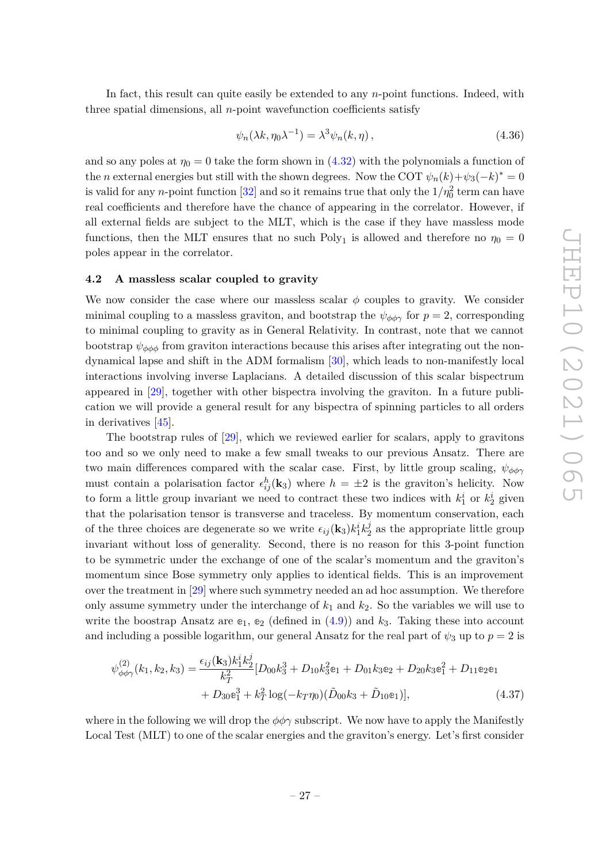In fact, this result can quite easily be extended to any *n*-point functions. Indeed, with three spatial dimensions, all *n*-point wavefunction coefficients satisfy

$$
\psi_n(\lambda k, \eta_0 \lambda^{-1}) = \lambda^3 \psi_n(k, \eta), \qquad (4.36)
$$

and so any poles at  $\eta_0 = 0$  take the form shown in [\(4.32\)](#page-26-0) with the polynomials a function of the *n* external energies but still with the shown degrees. Now the COT  $\psi_n(k) + \psi_3(-k)^* = 0$ is valid for any *n*-point function  $[32]$  and so it remains true that only the  $1/\eta_0^2$  term can have real coefficients and therefore have the chance of appearing in the correlator. However, if all external fields are subject to the MLT, which is the case if they have massless mode functions, then the MLT ensures that no such Poly<sub>1</sub> is allowed and therefore no  $\eta_0 = 0$ poles appear in the correlator.

#### <span id="page-27-0"></span>**4.2 A massless scalar coupled to gravity**

We now consider the case where our massless scalar  $\phi$  couples to gravity. We consider minimal coupling to a massless graviton, and bootstrap the  $\psi_{\phi\phi\gamma}$  for  $p=2$ , corresponding to minimal coupling to gravity as in General Relativity. In contrast, note that we cannot bootstrap  $\psi_{\phi\phi\phi}$  from graviton interactions because this arises after integrating out the nondynamical lapse and shift in the ADM formalism [\[30\]](#page-54-5), which leads to non-manifestly local interactions involving inverse Laplacians. A detailed discussion of this scalar bispectrum appeared in [\[29\]](#page-54-4), together with other bispectra involving the graviton. In a future publication we will provide a general result for any bispectra of spinning particles to all orders in derivatives [\[45\]](#page-55-7).

The bootstrap rules of [\[29\]](#page-54-4), which we reviewed earlier for scalars, apply to gravitons too and so we only need to make a few small tweaks to our previous Ansatz. There are two main differences compared with the scalar case. First, by little group scaling,  $\psi_{\phi\phi\gamma}$ must contain a polarisation factor  $\epsilon_{ij}^h(\mathbf{k}_3)$  where  $h = \pm 2$  is the graviton's helicity. Now to form a little group invariant we need to contract these two indices with  $k_1^i$  or  $k_2^i$  given that the polarisation tensor is transverse and traceless. By momentum conservation, each of the three choices are degenerate so we write  $\epsilon_{ij}(\mathbf{k}_3)k_1^ik_2^j$  $\frac{J}{2}$  as the appropriate little group invariant without loss of generality. Second, there is no reason for this 3-point function to be symmetric under the exchange of one of the scalar's momentum and the graviton's momentum since Bose symmetry only applies to identical fields. This is an improvement over the treatment in [\[29\]](#page-54-4) where such symmetry needed an ad hoc assumption. We therefore only assume symmetry under the interchange of  $k_1$  and  $k_2$ . So the variables we will use to write the boostrap Ansatz are  $e_1$ ,  $e_2$  (defined in  $(4.9)$ ) and  $k_3$ . Taking these into account and including a possible logarithm, our general Ansatz for the real part of  $\psi_3$  up to  $p = 2$  is

$$
\psi_{\phi\phi\gamma}^{(2)}(k_1, k_2, k_3) = \frac{\epsilon_{ij}(\mathbf{k}_3)k_1^i k_2^j}{k_T^2} [D_{00}k_3^3 + D_{10}k_3^2\mathbf{e}_1 + D_{01}k_3\mathbf{e}_2 + D_{20}k_3\mathbf{e}_1^2 + D_{11}\mathbf{e}_2\mathbf{e}_1
$$
  
+ 
$$
D_{30}\mathbf{e}_1^3 + k_T^2 \log(-k_T\eta_0)(\tilde{D}_{00}k_3 + \tilde{D}_{10}\mathbf{e}_1)],
$$
 (4.37)

where in the following we will drop the  $\phi\phi\gamma$  subscript. We now have to apply the Manifestly Local Test (MLT) to one of the scalar energies and the graviton's energy. Let's first consider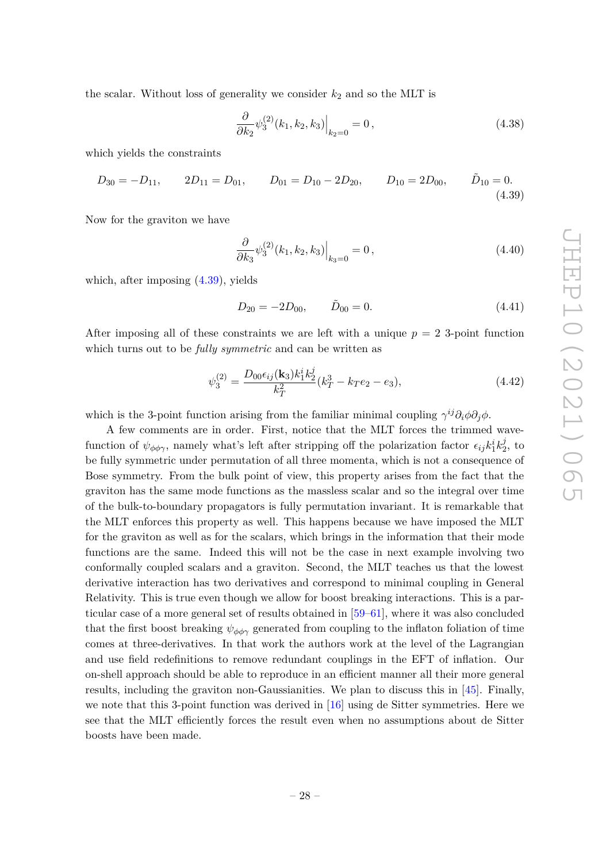the scalar. Without loss of generality we consider  $k_2$  and so the MLT is

$$
\frac{\partial}{\partial k_2} \psi_3^{(2)}(k_1, k_2, k_3) \Big|_{k_2=0} = 0, \qquad (4.38)
$$

which yields the constraints

$$
D_{30} = -D_{11}, \qquad 2D_{11} = D_{01}, \qquad D_{01} = D_{10} - 2D_{20}, \qquad D_{10} = 2D_{00}, \qquad \tilde{D}_{10} = 0.
$$
\n
$$
(4.39)
$$

Now for the graviton we have

<span id="page-28-0"></span>
$$
\left. \frac{\partial}{\partial k_3} \psi_3^{(2)}(k_1, k_2, k_3) \right|_{k_3 = 0} = 0, \tag{4.40}
$$

which, after imposing [\(4.39\)](#page-28-0), yields

$$
D_{20} = -2D_{00}, \qquad \tilde{D}_{00} = 0.
$$
\n(4.41)

After imposing all of these constraints we are left with a unique  $p = 2$  3-point function which turns out to be *fully symmetric* and can be written as

$$
\psi_3^{(2)} = \frac{D_{00}\epsilon_{ij}(\mathbf{k}_3)k_1^i k_2^j}{k_T^2} (k_T^3 - k_T e_2 - e_3),\tag{4.42}
$$

which is the 3-point function arising from the familiar minimal coupling  $\gamma^{ij}\partial_i\phi\partial_j\phi$ .

A few comments are in order. First, notice that the MLT forces the trimmed wavefunction of  $\psi_{\phi\phi\gamma}$ , namely what's left after stripping off the polarization factor  $\epsilon_{ij}k_1^ik_2^j$  $\frac{J}{2}$ , to be fully symmetric under permutation of all three momenta, which is not a consequence of Bose symmetry. From the bulk point of view, this property arises from the fact that the graviton has the same mode functions as the massless scalar and so the integral over time of the bulk-to-boundary propagators is fully permutation invariant. It is remarkable that the MLT enforces this property as well. This happens because we have imposed the MLT for the graviton as well as for the scalars, which brings in the information that their mode functions are the same. Indeed this will not be the case in next example involving two conformally coupled scalars and a graviton. Second, the MLT teaches us that the lowest derivative interaction has two derivatives and correspond to minimal coupling in General Relativity. This is true even though we allow for boost breaking interactions. This is a particular case of a more general set of results obtained in [\[59](#page-56-1)[–61\]](#page-56-2), where it was also concluded that the first boost breaking  $\psi_{\phi\phi\gamma}$  generated from coupling to the inflaton foliation of time comes at three-derivatives. In that work the authors work at the level of the Lagrangian and use field redefinitions to remove redundant couplings in the EFT of inflation. Our on-shell approach should be able to reproduce in an efficient manner all their more general results, including the graviton non-Gaussianities. We plan to discuss this in [\[45\]](#page-55-7). Finally, we note that this 3-point function was derived in  $[16]$  using de Sitter symmetries. Here we see that the MLT efficiently forces the result even when no assumptions about de Sitter boosts have been made.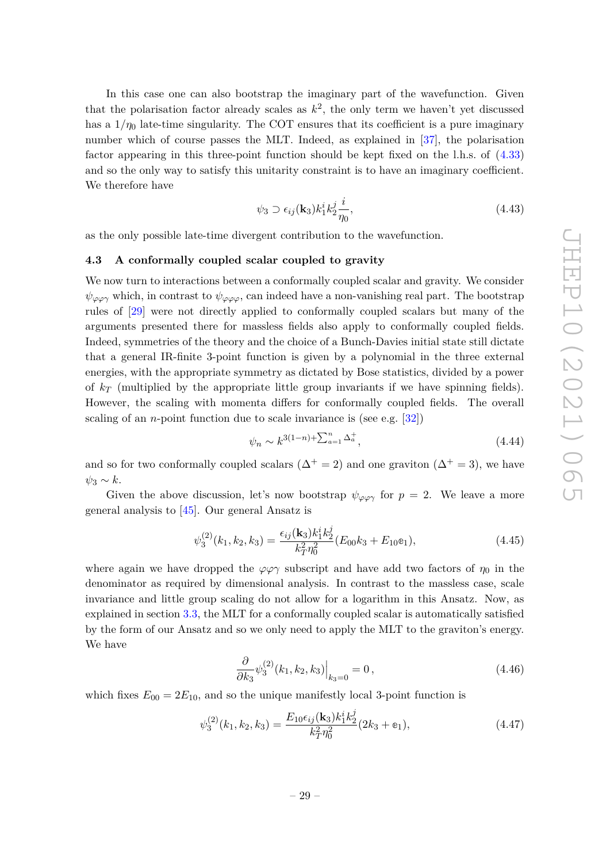$\overline{(\Gamma)}$ 

In this case one can also bootstrap the imaginary part of the wavefunction. Given that the polarisation factor already scales as  $k^2$ , the only term we haven't yet discussed has a  $1/\eta_0$  late-time singularity. The COT ensures that its coefficient is a pure imaginary number which of course passes the MLT. Indeed, as explained in [\[37\]](#page-55-0), the polarisation factor appearing in this three-point function should be kept fixed on the l.h.s. of [\(4.33\)](#page-26-1) and so the only way to satisfy this unitarity constraint is to have an imaginary coefficient. We therefore have

<span id="page-29-1"></span>
$$
\psi_3 \supset \epsilon_{ij}(\mathbf{k}_3) k_1^i k_2^j \frac{i}{\eta_0},\tag{4.43}
$$

as the only possible late-time divergent contribution to the wavefunction.

#### <span id="page-29-0"></span>**4.3 A conformally coupled scalar coupled to gravity**

We now turn to interactions between a conformally coupled scalar and gravity. We consider  $\psi_{\varphi\varphi\gamma}$  which, in contrast to  $\psi_{\varphi\varphi\varphi}$ , can indeed have a non-vanishing real part. The bootstrap rules of [\[29\]](#page-54-4) were not directly applied to conformally coupled scalars but many of the arguments presented there for massless fields also apply to conformally coupled fields. Indeed, symmetries of the theory and the choice of a Bunch-Davies initial state still dictate that a general IR-finite 3-point function is given by a polynomial in the three external energies, with the appropriate symmetry as dictated by Bose statistics, divided by a power of  $k_T$  (multiplied by the appropriate little group invariants if we have spinning fields). However, the scaling with momenta differs for conformally coupled fields. The overall scaling of an *n*-point function due to scale invariance is (see e.g. [\[32\]](#page-54-7))

$$
\psi_n \sim k^{3(1-n) + \sum_{a=1}^n \Delta_a^+,} \tag{4.44}
$$

and so for two conformally coupled scalars ( $\Delta^+ = 2$ ) and one graviton ( $\Delta^+ = 3$ ), we have  $ψ_3 ∼ k$ .

Given the above discussion, let's now bootstrap  $\psi_{\varphi\varphi\gamma}$  for  $p=2$ . We leave a more general analysis to [\[45\]](#page-55-7). Our general Ansatz is

$$
\psi_3^{(2)}(k_1, k_2, k_3) = \frac{\epsilon_{ij}(\mathbf{k}_3)k_1^i k_2^j}{k_1^2 \eta_0^2} (E_{00}k_3 + E_{10}e_1),\tag{4.45}
$$

where again we have dropped the  $\varphi \varphi \gamma$  subscript and have add two factors of  $\eta_0$  in the denominator as required by dimensional analysis. In contrast to the massless case, scale invariance and little group scaling do not allow for a logarithm in this Ansatz. Now, as explained in section [3.3,](#page-17-0) the MLT for a conformally coupled scalar is automatically satisfied by the form of our Ansatz and so we only need to apply the MLT to the graviton's energy. We have

$$
\frac{\partial}{\partial k_3} \psi_3^{(2)}(k_1, k_2, k_3) \Big|_{k_3=0} = 0, \qquad (4.46)
$$

which fixes  $E_{00} = 2E_{10}$ , and so the unique manifestly local 3-point function is

$$
\psi_3^{(2)}(k_1, k_2, k_3) = \frac{E_{10}\epsilon_{ij}(\mathbf{k}_3)k_1^ik_2^j}{k_T^2\eta_0^2}(2k_3 + \mathbf{e}_1),\tag{4.47}
$$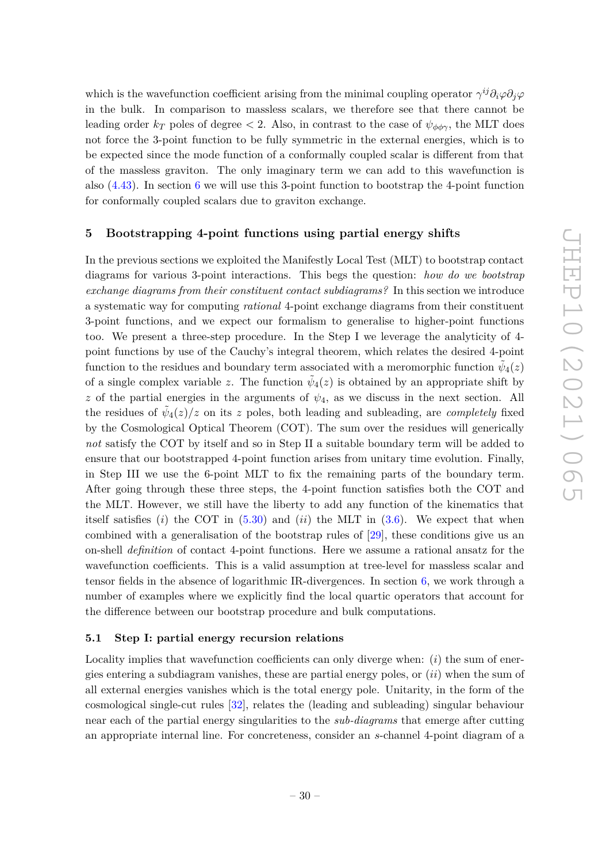which is the wavefunction coefficient arising from the minimal coupling operator  $\gamma^{ij}\partial_i\varphi\partial_j\varphi$ in the bulk. In comparison to massless scalars, we therefore see that there cannot be leading order  $k_T$  poles of degree  $\lt 2$ . Also, in contrast to the case of  $\psi_{\phi\phi\gamma}$ , the MLT does not force the 3-point function to be fully symmetric in the external energies, which is to be expected since the mode function of a conformally coupled scalar is different from that of the massless graviton. The only imaginary term we can add to this wavefunction is also [\(4.43\)](#page-29-1). In section [6](#page-39-0) we will use this 3-point function to bootstrap the 4-point function for conformally coupled scalars due to graviton exchange.

# <span id="page-30-0"></span>**5 Bootstrapping 4-point functions using partial energy shifts**

In the previous sections we exploited the Manifestly Local Test (MLT) to bootstrap contact diagrams for various 3-point interactions. This begs the question: *how do we bootstrap exchange diagrams from their constituent contact subdiagrams?* In this section we introduce a systematic way for computing *rational* 4-point exchange diagrams from their constituent 3-point functions, and we expect our formalism to generalise to higher-point functions too. We present a three-step procedure. In the Step I we leverage the analyticity of 4 point functions by use of the Cauchy's integral theorem, which relates the desired 4-point function to the residues and boundary term associated with a meromorphic function  $\tilde{\psi}_4(z)$ of a single complex variable *z*. The function  $\tilde{\psi}_4(z)$  is obtained by an appropriate shift by *z* of the partial energies in the arguments of  $\psi_4$ , as we discuss in the next section. All the residues of  $\tilde{\psi}_4(z)/z$  on its *z* poles, both leading and subleading, are *completely* fixed by the Cosmological Optical Theorem (COT). The sum over the residues will generically *not* satisfy the COT by itself and so in Step II a suitable boundary term will be added to ensure that our bootstrapped 4-point function arises from unitary time evolution. Finally, in Step III we use the 6-point MLT to fix the remaining parts of the boundary term. After going through these three steps, the 4-point function satisfies both the COT and the MLT. However, we still have the liberty to add any function of the kinematics that itself satisfies  $(i)$  the COT in  $(5.30)$  and  $(ii)$  the MLT in  $(3.6)$ . We expect that when combined with a generalisation of the bootstrap rules of [\[29\]](#page-54-4), these conditions give us an on-shell *definition* of contact 4-point functions. Here we assume a rational ansatz for the wavefunction coefficients. This is a valid assumption at tree-level for massless scalar and tensor fields in the absence of logarithmic IR-divergences. In section [6,](#page-39-0) we work through a number of examples where we explicitly find the local quartic operators that account for the difference between our bootstrap procedure and bulk computations.

#### <span id="page-30-1"></span>**5.1 Step I: partial energy recursion relations**

Locality implies that wavefunction coefficients can only diverge when: (*i*) the sum of energies entering a subdiagram vanishes, these are partial energy poles, or (*ii*) when the sum of all external energies vanishes which is the total energy pole. Unitarity, in the form of the cosmological single-cut rules [\[32\]](#page-54-7), relates the (leading and subleading) singular behaviour near each of the partial energy singularities to the *sub-diagrams* that emerge after cutting an appropriate internal line. For concreteness, consider an *s*-channel 4-point diagram of a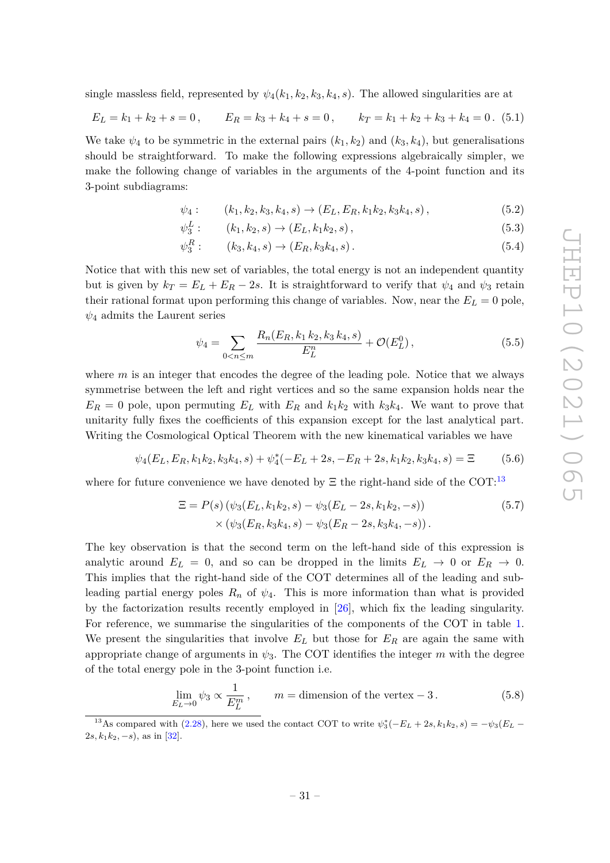single massless field, represented by  $\psi_4(k_1, k_2, k_3, k_4, s)$ . The allowed singularities are at

$$
E_L = k_1 + k_2 + s = 0, \qquad E_R = k_3 + k_4 + s = 0, \qquad k_T = k_1 + k_2 + k_3 + k_4 = 0. \tag{5.1}
$$

We take  $\psi_4$  to be symmetric in the external pairs  $(k_1, k_2)$  and  $(k_3, k_4)$ , but generalisations should be straightforward. To make the following expressions algebraically simpler, we make the following change of variables in the arguments of the 4-point function and its 3-point subdiagrams:

$$
\psi_4: \qquad (k_1, k_2, k_3, k_4, s) \to (E_L, E_R, k_1 k_2, k_3 k_4, s), \qquad (5.2)
$$

$$
\psi_3^L: \qquad (k_1, k_2, s) \to (E_L, k_1 k_2, s), \tag{5.3}
$$

$$
\psi_3^R: \qquad (k_3, k_4, s) \to (E_R, k_3 k_4, s). \tag{5.4}
$$

Notice that with this new set of variables, the total energy is not an independent quantity but is given by  $k_T = E_L + E_R - 2s$ . It is straightforward to verify that  $\psi_4$  and  $\psi_3$  retain their rational format upon performing this change of variables. Now, near the  $E_L = 0$  pole, *ψ*<sup>4</sup> admits the Laurent series

$$
\psi_4 = \sum_{0 < n \le m} \frac{R_n(E_R, k_1, k_2, k_3, k_4, s)}{E_L^n} + \mathcal{O}(E_L^0),\tag{5.5}
$$

where *m* is an integer that encodes the degree of the leading pole. Notice that we always symmetrise between the left and right vertices and so the same expansion holds near the  $E_R = 0$  pole, upon permuting  $E_L$  with  $E_R$  and  $k_1k_2$  with  $k_3k_4$ . We want to prove that unitarity fully fixes the coefficients of this expansion except for the last analytical part. Writing the Cosmological Optical Theorem with the new kinematical variables we have

$$
\psi_4(E_L, E_R, k_1 k_2, k_3 k_4, s) + \psi_4^*(-E_L + 2s, -E_R + 2s, k_1 k_2, k_3 k_4, s) = \Xi \tag{5.6}
$$

where for future convenience we have denoted by  $\Xi$  the right-hand side of the COT:<sup>[13](#page-31-0)</sup>

$$
\Xi = P(s) \left( \psi_3(E_L, k_1 k_2, s) - \psi_3(E_L - 2s, k_1 k_2, -s) \right) \times \left( \psi_3(E_R, k_3 k_4, s) - \psi_3(E_R - 2s, k_3 k_4, -s) \right). \tag{5.7}
$$

The key observation is that the second term on the left-hand side of this expression is analytic around  $E_L = 0$ , and so can be dropped in the limits  $E_L \rightarrow 0$  or  $E_R \rightarrow 0$ . This implies that the right-hand side of the COT determines all of the leading and subleading partial energy poles  $R_n$  of  $\psi_4$ . This is more information than what is provided by the factorization results recently employed in [\[26\]](#page-54-0), which fix the leading singularity. For reference, we summarise the singularities of the components of the COT in table [1.](#page-32-0) We present the singularities that involve  $E_L$  but those for  $E_R$  are again the same with appropriate change of arguments in  $\psi_3$ . The COT identifies the integer m with the degree of the total energy pole in the 3-point function i.e.

$$
\lim_{E_L \to 0} \psi_3 \propto \frac{1}{E_L^m}, \qquad m = \text{dimension of the vertex } -3. \tag{5.8}
$$

<span id="page-31-0"></span><sup>&</sup>lt;sup>13</sup>As compared with [\(2.28\)](#page-12-2), here we used the contact COT to write  $\psi_3^*(-E_L+2s,k_1k_2,s) = -\psi_3(E_L-s)$  $2s, k_1k_2, -s$ , as in [\[32\]](#page-54-7).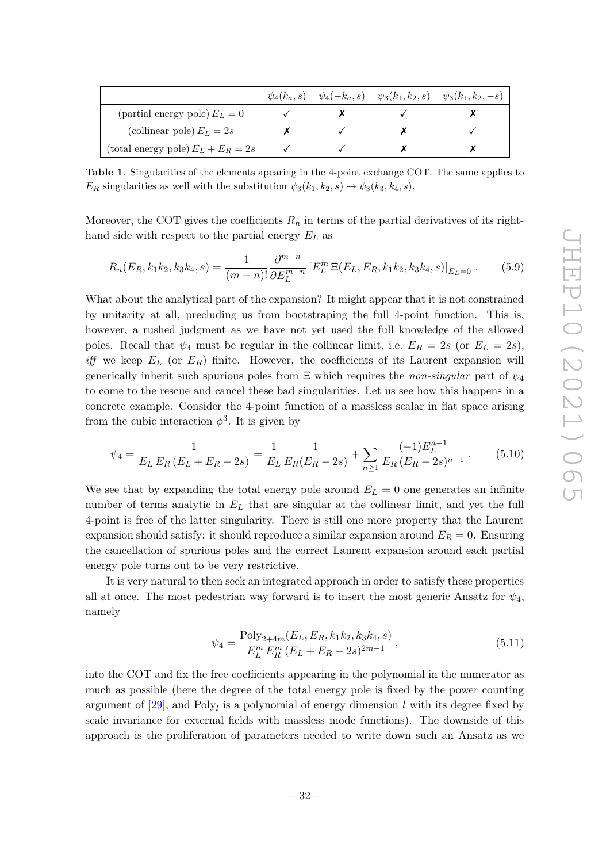|                                      |  | $\psi_4(k_a, s)$ $\psi_4(-k_a, s)$ $\psi_3(k_1, k_2, s)$ $\psi_3(k_1, k_2, -s)$ |
|--------------------------------------|--|---------------------------------------------------------------------------------|
| (partial energy pole) $E_L = 0$      |  |                                                                                 |
| (collinear pole) $E_L = 2s$          |  |                                                                                 |
| (total energy pole) $E_L + E_R = 2s$ |  |                                                                                 |

<span id="page-32-0"></span>**Table 1**. Singularities of the elements apearing in the 4-point exchange COT. The same applies to *E*<sub>*R*</sub> singularities as well with the substitution  $\psi_3(k_1, k_2, s) \rightarrow \psi_3(k_3, k_4, s)$ .

Moreover, the COT gives the coefficients  $R_n$  in terms of the partial derivatives of its righthand side with respect to the partial energy *E<sup>L</sup>* as

$$
R_n(E_R, k_1 k_2, k_3 k_4, s) = \frac{1}{(m-n)!} \frac{\partial^{m-n}}{\partial E_L^{m-n}} \left[ E_L^m \Xi(E_L, E_R, k_1 k_2, k_3 k_4, s) \right]_{E_L = 0} . \tag{5.9}
$$

What about the analytical part of the expansion? It might appear that it is not constrained by unitarity at all, precluding us from bootstraping the full 4-point function. This is, however, a rushed judgment as we have not yet used the full knowledge of the allowed poles. Recall that  $\psi_4$  must be regular in the collinear limit, i.e.  $E_R = 2s$  (or  $E_L = 2s$ ), *iff* we keep *E<sup>L</sup>* (or *ER*) finite. However, the coefficients of its Laurent expansion will generically inherit such spurious poles from  $\Xi$  which requires the *non-singular* part of  $\psi_4$ to come to the rescue and cancel these bad singularities. Let us see how this happens in a concrete example. Consider the 4-point function of a massless scalar in flat space arising from the cubic interaction  $\phi^3$ . It is given by

$$
\psi_4 = \frac{1}{E_L E_R (E_L + E_R - 2s)} = \frac{1}{E_L} \frac{1}{E_R (E_R - 2s)} + \sum_{n \ge 1} \frac{(-1) E_L^{n-1}}{E_R (E_R - 2s)^{n+1}}.
$$
(5.10)

We see that by expanding the total energy pole around  $E_L = 0$  one generates an infinite number of terms analytic in *E<sup>L</sup>* that are singular at the collinear limit, and yet the full 4-point is free of the latter singularity. There is still one more property that the Laurent expansion should satisfy: it should reproduce a similar expansion around  $E_R = 0$ . Ensuring the cancellation of spurious poles and the correct Laurent expansion around each partial energy pole turns out to be very restrictive.

It is very natural to then seek an integrated approach in order to satisfy these properties all at once. The most pedestrian way forward is to insert the most generic Ansatz for  $\psi_4$ , namely

$$
\psi_4 = \frac{\text{Poly}_{2+4m}(E_L, E_R, k_1 k_2, k_3 k_4, s)}{E_L^m E_R^m (E_L + E_R - 2s)^{2m-1}},
$$
\n(5.11)

into the COT and fix the free coefficients appearing in the polynomial in the numerator as much as possible (here the degree of the total energy pole is fixed by the power counting argument of [\[29\]](#page-54-4), and Poly*<sup>l</sup>* is a polynomial of energy dimension *l* with its degree fixed by scale invariance for external fields with massless mode functions). The downside of this approach is the proliferation of parameters needed to write down such an Ansatz as we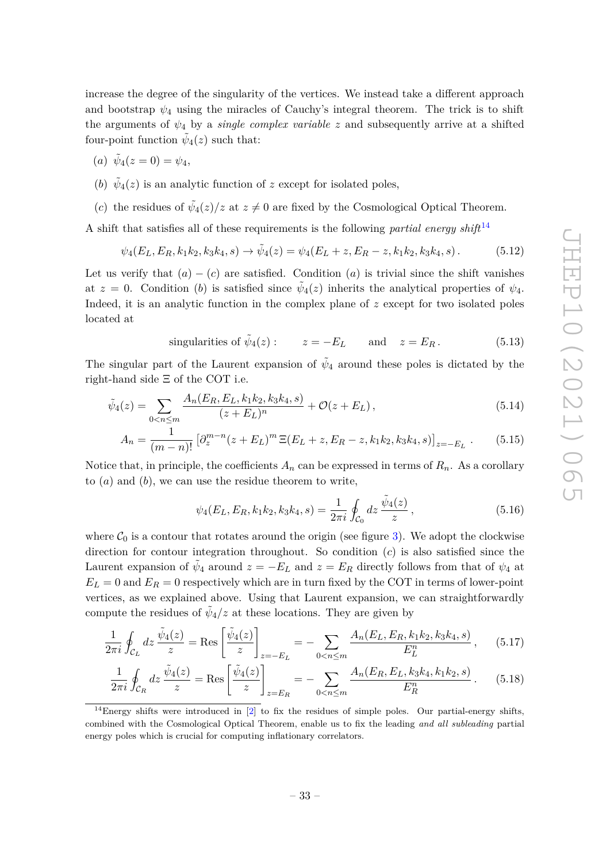increase the degree of the singularity of the vertices. We instead take a different approach and bootstrap  $\psi_4$  using the miracles of Cauchy's integral theorem. The trick is to shift the arguments of  $\psi_4$  by a *single complex variable z* and subsequently arrive at a shifted four-point function  $\tilde{\psi}_4(z)$  such that:

- $(\alpha) \ \tilde{\psi}_4(z=0) = \psi_4,$
- (*b*)  $\tilde{\psi}_4(z)$  is an analytic function of *z* except for isolated poles,
- (*c*) the residues of  $\tilde{\psi}_4(z)/z$  at  $z \neq 0$  are fixed by the Cosmological Optical Theorem.

A shift that satisfies all of these requirements is the following *partial energy shift*[14](#page-33-0)

$$
\psi_4(E_L, E_R, k_1 k_2, k_3 k_4, s) \to \tilde{\psi}_4(z) = \psi_4(E_L + z, E_R - z, k_1 k_2, k_3 k_4, s).
$$
 (5.12)

Let us verify that  $(a) - (c)$  are satisfied. Condition  $(a)$  is trivial since the shift vanishes at  $z = 0$ . Condition (*b*) is satisfied since  $\tilde{\psi}_4(z)$  inherits the analytical properties of  $\psi_4$ . Indeed, it is an analytic function in the complex plane of *z* except for two isolated poles located at

singularities of 
$$
\tilde{\psi}_4(z)
$$
:  $z = -E_L$  and  $z = E_R$ . (5.13)

The singular part of the Laurent expansion of  $\tilde{\psi}_4$  around these poles is dictated by the right-hand side Ξ of the COT i.e.

$$
\tilde{\psi}_4(z) = \sum_{0 < n \le m} \frac{A_n(E_R, E_L, k_1 k_2, k_3 k_4, s)}{(z + E_L)^n} + \mathcal{O}(z + E_L),\tag{5.14}
$$

$$
A_n = \frac{1}{(m-n)!} \left[ \partial_z^{m-n} (z + E_L)^m \, \Xi(E_L + z, E_R - z, k_1 k_2, k_3 k_4, s) \right]_{z=-E_L} \,. \tag{5.15}
$$

Notice that, in principle, the coefficients  $A_n$  can be expressed in terms of  $R_n$ . As a corollary to (*a*) and (*b*), we can use the residue theorem to write,

<span id="page-33-2"></span><span id="page-33-1"></span>
$$
\psi_4(E_L, E_R, k_1 k_2, k_3 k_4, s) = \frac{1}{2\pi i} \oint_{C_0} dz \, \frac{\tilde{\psi}_4(z)}{z} \,, \tag{5.16}
$$

where  $C_0$  is a contour that rotates around the origin (see figure [3\)](#page-34-0). We adopt the clockwise direction for contour integration throughout. So condition (*c*) is also satisfied since the Laurent expansion of  $\tilde{\psi}_4$  around  $z = -E_L$  and  $z = E_R$  directly follows from that of  $\psi_4$  at  $E_L = 0$  and  $E_R = 0$  respectively which are in turn fixed by the COT in terms of lower-point vertices, as we explained above. Using that Laurent expansion, we can straightforwardly compute the residues of  $\tilde{\psi}_4/z$  at these locations. They are given by

$$
\frac{1}{2\pi i} \oint_{\mathcal{C}_L} dz \, \frac{\tilde{\psi}_4(z)}{z} = \text{Res} \left[ \frac{\tilde{\psi}_4(z)}{z} \right]_{z=-E_L} = - \sum_{0 < n \le m} \frac{A_n(E_L, E_R, k_1 k_2, k_3 k_4, s)}{E_L^n}, \quad (5.17)
$$

$$
\frac{1}{2\pi i} \oint_{\mathcal{C}_R} dz \, \frac{\tilde{\psi}_4(z)}{z} = \text{Res}\left[\frac{\tilde{\psi}_4(z)}{z}\right]_{z=E_R} = -\sum_{0 < n \le m} \frac{A_n(E_R, E_L, k_3 k_4, k_1 k_2, s)}{E_R^n} \,. \tag{5.18}
$$

<span id="page-33-0"></span> $14$ Energy shifts were introduced in [\[2\]](#page-53-3) to fix the residues of simple poles. Our partial-energy shifts, combined with the Cosmological Optical Theorem, enable us to fix the leading *and all subleading* partial energy poles which is crucial for computing inflationary correlators.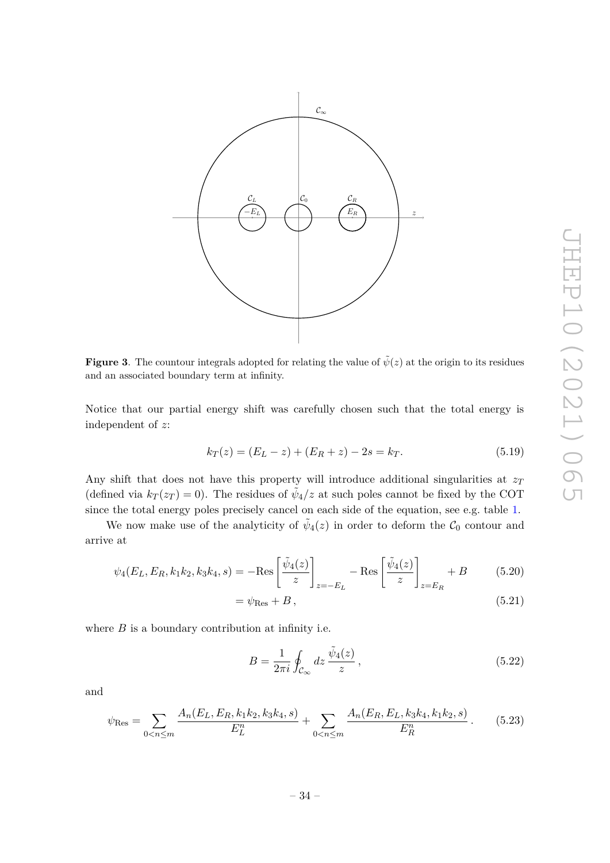

<span id="page-34-0"></span>**Figure 3**. The countour integrals adopted for relating the value of  $\tilde{\psi}(z)$  at the origin to its residues and an associated boundary term at infinity.

Notice that our partial energy shift was carefully chosen such that the total energy is independent of *z*:

$$
k_T(z) = (E_L - z) + (E_R + z) - 2s = k_T.
$$
\n(5.19)

Any shift that does not have this property will introduce additional singularities at *z<sup>T</sup>* (defined via  $k_T(z_T) = 0$ ). The residues of  $\tilde{\psi}_4/z$  at such poles cannot be fixed by the COT since the total energy poles precisely cancel on each side of the equation, see e.g. table [1.](#page-32-0)

We now make use of the analyticity of  $\tilde{\psi}_4(z)$  in order to deform the  $\mathcal{C}_0$  contour and arrive at

$$
\psi_4(E_L, E_R, k_1 k_2, k_3 k_4, s) = -\text{Res}\left[\frac{\tilde{\psi}_4(z)}{z}\right]_{z=-E_L} - \text{Res}\left[\frac{\tilde{\psi}_4(z)}{z}\right]_{z=E_R} + B \tag{5.20}
$$

$$
= \psi_{\text{Res}} + B, \tag{5.21}
$$

where 
$$
B
$$
 is a boundary contribution at infinity i.e.

<span id="page-34-3"></span><span id="page-34-2"></span><span id="page-34-1"></span>
$$
B = \frac{1}{2\pi i} \oint_{\mathcal{C}_{\infty}} dz \, \frac{\tilde{\psi}_4(z)}{z} \,, \tag{5.22}
$$

and

$$
\psi_{\text{Res}} = \sum_{0 < n \le m} \frac{A_n(E_L, E_R, k_1 k_2, k_3 k_4, s)}{E_L^n} + \sum_{0 < n \le m} \frac{A_n(E_R, E_L, k_3 k_4, k_1 k_2, s)}{E_R^n} \,. \tag{5.23}
$$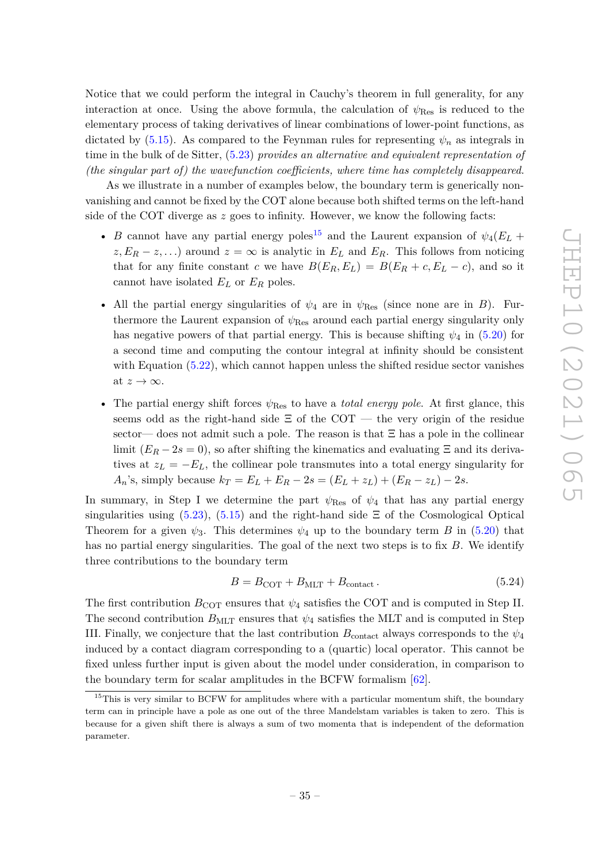Notice that we could perform the integral in Cauchy's theorem in full generality, for any interaction at once. Using the above formula, the calculation of  $\psi_{\text{Res}}$  is reduced to the elementary process of taking derivatives of linear combinations of lower-point functions, as dictated by  $(5.15)$ . As compared to the Feynman rules for representing  $\psi_n$  as integrals in time in the bulk of de Sitter, [\(5.23\)](#page-34-1) *provides an alternative and equivalent representation of (the singular part of) the wavefunction coefficients, where time has completely disappeared*.

As we illustrate in a number of examples below, the boundary term is generically nonvanishing and cannot be fixed by the COT alone because both shifted terms on the left-hand side of the COT diverge as *z* goes to infinity. However, we know the following facts:

- *B* cannot have any partial energy poles<sup>[15](#page-35-0)</sup> and the Laurent expansion of  $\psi_4(E_L + E_L)$  $z, E_R - z, \ldots$ ) around  $z = \infty$  is analytic in  $E_L$  and  $E_R$ . This follows from noticing that for any finite constant *c* we have  $B(E_R, E_L) = B(E_R + c, E_L - c)$ , and so it cannot have isolated *E<sup>L</sup>* or *E<sup>R</sup>* poles.
- All the partial energy singularities of  $\psi_4$  are in  $\psi_{\text{Res}}$  (since none are in *B*). Furthermore the Laurent expansion of *ψ*Res around each partial energy singularity only has negative powers of that partial energy. This is because shifting  $\psi_4$  in [\(5.20\)](#page-34-2) for a second time and computing the contour integral at infinity should be consistent with Equation  $(5.22)$ , which cannot happen unless the shifted residue sector vanishes at  $z \to \infty$ .
- The partial energy shift forces  $ψ_{\text{Res}}$  to have a *total energy pole*. At first glance, this seems odd as the right-hand side  $\Xi$  of the COT — the very origin of the residue sector— does not admit such a pole. The reason is that  $\Xi$  has a pole in the collinear limit  $(E_R - 2s = 0)$ , so after shifting the kinematics and evaluating  $\Xi$  and its derivatives at  $z_L = -E_L$ , the collinear pole transmutes into a total energy singularity for *A*<sup>*n*</sup>'s, simply because  $k_T = E_L + E_R - 2s = (E_L + z_L) + (E_R - z_L) - 2s$ .

In summary, in Step I we determine the part  $\psi_{\text{Res}}$  of  $\psi_4$  that has any partial energy singularities using  $(5.23)$ ,  $(5.15)$  and the right-hand side  $\Xi$  of the Cosmological Optical Theorem for a given  $\psi_3$ . This determines  $\psi_4$  up to the boundary term *B* in [\(5.20\)](#page-34-2) that has no partial energy singularities. The goal of the next two steps is to fix *B*. We identify three contributions to the boundary term

$$
B = BCOT + BMLT + Bcontact.
$$
 (5.24)

The first contribution  $B_{\text{COT}}$  ensures that  $\psi_4$  satisfies the COT and is computed in Step II. The second contribution  $B_{\text{MLT}}$  ensures that  $\psi_4$  satisfies the MLT and is computed in Step III. Finally, we conjecture that the last contribution  $B_{\text{contact}}$  always corresponds to the  $\psi_4$ induced by a contact diagram corresponding to a (quartic) local operator. This cannot be fixed unless further input is given about the model under consideration, in comparison to the boundary term for scalar amplitudes in the BCFW formalism [\[62\]](#page-56-3).

<span id="page-35-0"></span><sup>&</sup>lt;sup>15</sup>This is very similar to BCFW for amplitudes where with a particular momentum shift, the boundary term can in principle have a pole as one out of the three Mandelstam variables is taken to zero. This is because for a given shift there is always a sum of two momenta that is independent of the deformation parameter.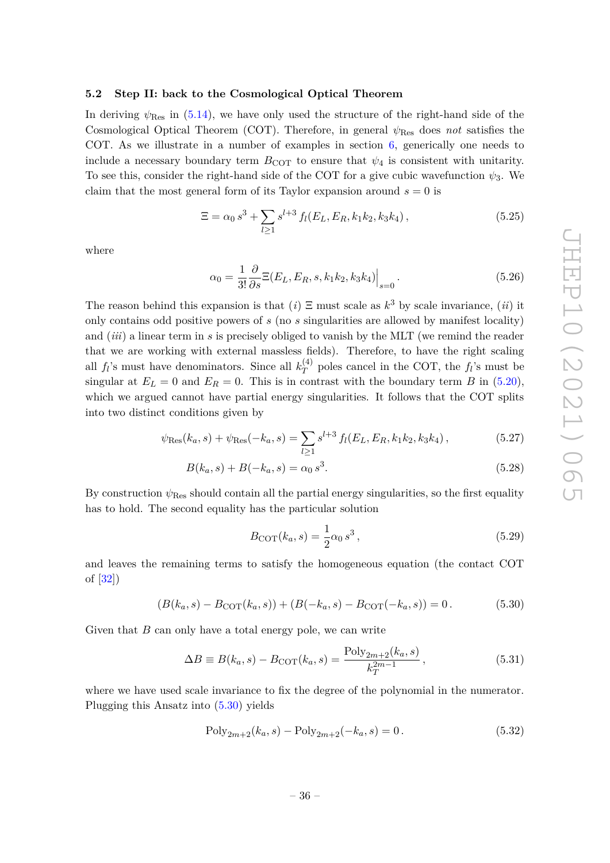### <span id="page-36-0"></span>**5.2 Step II: back to the Cosmological Optical Theorem**

In deriving  $\psi_{\text{Res}}$  in [\(5.14\)](#page-33-2), we have only used the structure of the right-hand side of the Cosmological Optical Theorem (COT). Therefore, in general *ψ*Res does *not* satisfies the COT. As we illustrate in a number of examples in section [6,](#page-39-0) generically one needs to include a necessary boundary term  $B_{\text{COT}}$  to ensure that  $\psi_4$  is consistent with unitarity. To see this, consider the right-hand side of the COT for a give cubic wavefunction  $\psi_3$ . We claim that the most general form of its Taylor expansion around  $s = 0$  is

$$
\Xi = \alpha_0 s^3 + \sum_{l \ge 1} s^{l+3} f_l(E_L, E_R, k_1 k_2, k_3 k_4), \qquad (5.25)
$$

where

<span id="page-36-3"></span>
$$
\alpha_0 = \frac{1}{3!} \frac{\partial}{\partial s} \Xi(E_L, E_R, s, k_1 k_2, k_3 k_4) \Big|_{s=0}.
$$
\n(5.26)

The reason behind this expansion is that  $(i) \n\equiv$  must scale as  $k^3$  by scale invariance,  $(ii)$  it only contains odd positive powers of *s* (no *s* singularities are allowed by manifest locality) and (*iii*) a linear term in *s* is precisely obliged to vanish by the MLT (we remind the reader that we are working with external massless fields). Therefore, to have the right scaling all  $f_l$ 's must have denominators. Since all  $k_T^{(4)}$  $T<sup>(4)</sup>$  poles cancel in the COT, the  $f<sub>l</sub>$ 's must be singular at  $E_L = 0$  and  $E_R = 0$ . This is in contrast with the boundary term *B* in [\(5.20\)](#page-34-2), which we argued cannot have partial energy singularities. It follows that the COT splits into two distinct conditions given by

$$
\psi_{\text{Res}}(k_a, s) + \psi_{\text{Res}}(-k_a, s) = \sum_{l \ge 1} s^{l+3} f_l(E_L, E_R, k_1 k_2, k_3 k_4), \qquad (5.27)
$$

$$
B(k_a, s) + B(-k_a, s) = \alpha_0 s^3.
$$
\n(5.28)

By construction  $\psi_{\text{Res}}$  should contain all the partial energy singularities, so the first equality has to hold. The second equality has the particular solution

<span id="page-36-2"></span><span id="page-36-1"></span>
$$
B_{\text{COT}}(k_a, s) = \frac{1}{2}\alpha_0 s^3, \qquad (5.29)
$$

and leaves the remaining terms to satisfy the homogeneous equation (the contact COT of [\[32\]](#page-54-7))

$$
(B(k_a, s) - BCOT(k_a, s)) + (B(-k_a, s) - BCOT(-k_a, s)) = 0.
$$
 (5.30)

Given that *B* can only have a total energy pole, we can write

$$
\Delta B \equiv B(k_a, s) - B_{\text{COT}}(k_a, s) = \frac{\text{Poly}_{2m+2}(k_a, s)}{k_T^{2m-1}},
$$
\n(5.31)

where we have used scale invariance to fix the degree of the polynomial in the numerator. Plugging this Ansatz into [\(5.30\)](#page-36-1) yields

$$
Poly_{2m+2}(k_a, s) - Poly_{2m+2}(-k_a, s) = 0.
$$
\n(5.32)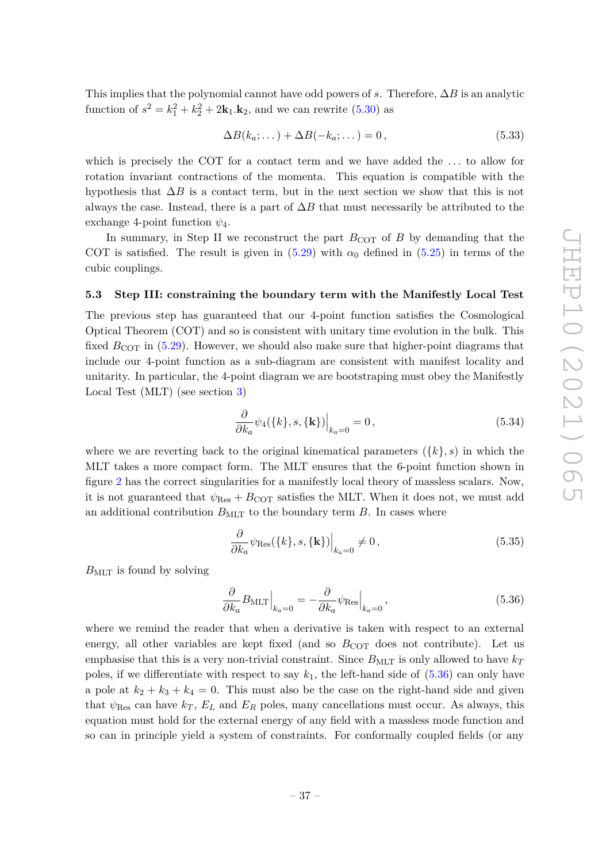This implies that the polynomial cannot have odd powers of *s*. Therefore, ∆*B* is an analytic function of  $s^2 = k_1^2 + k_2^2 + 2k_1 \cdot k_2$ , and we can rewrite [\(5.30\)](#page-36-1) as

<span id="page-37-2"></span>
$$
\Delta B(k_a; \dots) + \Delta B(-k_a; \dots) = 0, \tag{5.33}
$$

which is precisely the COT for a contact term and we have added the *. . .* to allow for rotation invariant contractions of the momenta. This equation is compatible with the hypothesis that  $\Delta B$  is a contact term, but in the next section we show that this is not always the case. Instead, there is a part of  $\Delta B$  that must necessarily be attributed to the exchange 4-point function  $\psi_4$ .

In summary, in Step II we reconstruct the part  $B_{\text{COT}}$  of *B* by demanding that the COT is satisfied. The result is given in  $(5.29)$  with  $\alpha_0$  defined in  $(5.25)$  in terms of the cubic couplings.

#### <span id="page-37-0"></span>**5.3 Step III: constraining the boundary term with the Manifestly Local Test**

The previous step has guaranteed that our 4-point function satisfies the Cosmological Optical Theorem (COT) and so is consistent with unitary time evolution in the bulk. This fixed  $B_{\rm COT}$  in [\(5.29\)](#page-36-2). However, we should also make sure that higher-point diagrams that include our 4-point function as a sub-diagram are consistent with manifest locality and unitarity. In particular, the 4-point diagram we are bootstraping must obey the Manifestly Local Test (MLT) (see section [3\)](#page-13-0)

$$
\left. \frac{\partial}{\partial k_a} \psi_4(\{k\}, s, \{\mathbf{k}\}) \right|_{k_a=0} = 0, \tag{5.34}
$$

where we are reverting back to the original kinematical parameters  $({k, s})$  in which the MLT takes a more compact form. The MLT ensures that the 6-point function shown in figure [2](#page-13-1) has the correct singularities for a manifestly local theory of massless scalars. Now, it is not guaranteed that  $\psi_{\text{Res}} + B_{\text{COT}}$  satisfies the MLT. When it does not, we must add an additional contribution  $B_{\text{MLT}}$  to the boundary term  $B$ . In cases where

<span id="page-37-1"></span>
$$
\frac{\partial}{\partial k_a} \psi_{\text{Res}}(\{k\}, s, \{\mathbf{k}\})\Big|_{k_a=0} \neq 0, \tag{5.35}
$$

 $B_{MLT}$  is found by solving

$$
\frac{\partial}{\partial k_a} B_{\text{MLT}}\Big|_{k_a=0} = -\frac{\partial}{\partial k_a} \psi_{\text{Res}}\Big|_{k_a=0},\tag{5.36}
$$

where we remind the reader that when a derivative is taken with respect to an external energy, all other variables are kept fixed (and so  $B_{\text{COT}}$  does not contribute). Let us emphasise that this is a very non-trivial constraint. Since  $B_{\text{MIT}}$  is only allowed to have  $k_T$ poles, if we differentiate with respect to say  $k_1$ , the left-hand side of  $(5.36)$  can only have a pole at  $k_2 + k_3 + k_4 = 0$ . This must also be the case on the right-hand side and given that  $\psi_{\text{Res}}$  can have  $k_T$ ,  $E_L$  and  $E_R$  poles, many cancellations must occur. As always, this equation must hold for the external energy of any field with a massless mode function and so can in principle yield a system of constraints. For conformally coupled fields (or any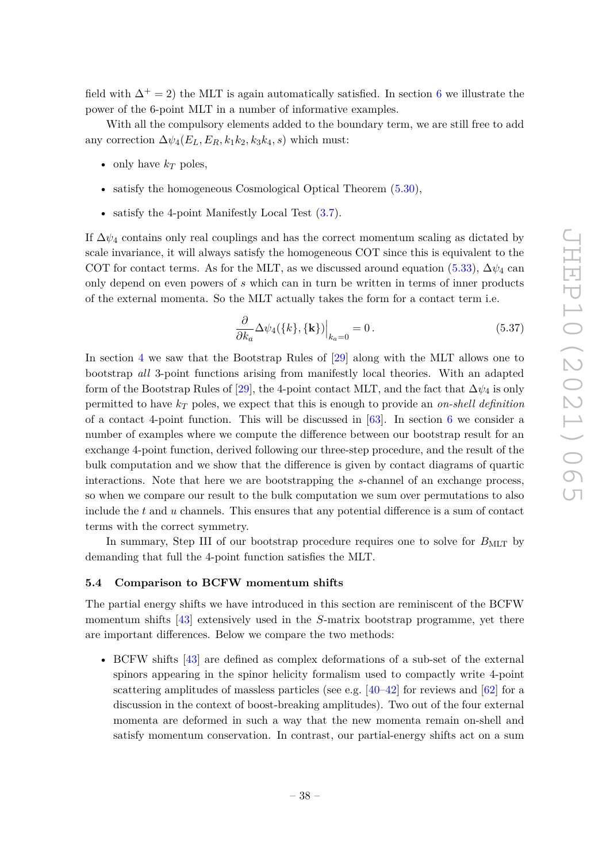field with  $\Delta^+ = 2$ ) the MLT is again automatically satisfied. In section [6](#page-39-0) we illustrate the power of the 6-point MLT in a number of informative examples.

With all the compulsory elements added to the boundary term, we are still free to add any correction  $\Delta \psi_4(E_L, E_R, k_1 k_2, k_3 k_4, s)$  which must:

- only have  $k_T$  poles,
- satisfy the homogeneous Cosmological Optical Theorem  $(5.30)$ ,
- satisfy the 4-point Manifestly Local Test [\(3.7\)](#page-15-2).

If  $\Delta\psi_4$  contains only real couplings and has the correct momentum scaling as dictated by scale invariance, it will always satisfy the homogeneous COT since this is equivalent to the COT for contact terms. As for the MLT, as we discussed around equation [\(5.33\)](#page-37-2),  $\Delta \psi_4$  can only depend on even powers of *s* which can in turn be written in terms of inner products of the external momenta. So the MLT actually takes the form for a contact term i.e.

$$
\frac{\partial}{\partial k_a} \Delta \psi_4(\{k\}, \{\mathbf{k}\})\Big|_{k_a=0} = 0. \tag{5.37}
$$

In section [4](#page-19-0) we saw that the Bootstrap Rules of [\[29\]](#page-54-4) along with the MLT allows one to bootstrap *all* 3-point functions arising from manifestly local theories. With an adapted form of the Bootstrap Rules of [\[29\]](#page-54-4), the 4-point contact MLT, and the fact that  $\Delta \psi_4$  is only permitted to have *k<sup>T</sup>* poles, we expect that this is enough to provide an *on-shell definition* of a contact 4-point function. This will be discussed in  $[63]$ . In section [6](#page-39-0) we consider a number of examples where we compute the difference between our bootstrap result for an exchange 4-point function, derived following our three-step procedure, and the result of the bulk computation and we show that the difference is given by contact diagrams of quartic interactions. Note that here we are bootstrapping the *s*-channel of an exchange process, so when we compare our result to the bulk computation we sum over permutations to also include the *t* and *u* channels. This ensures that any potential difference is a sum of contact terms with the correct symmetry.

In summary, Step III of our bootstrap procedure requires one to solve for  $B_{\text{MLT}}$  by demanding that full the 4-point function satisfies the MLT.

#### <span id="page-38-0"></span>**5.4 Comparison to BCFW momentum shifts**

The partial energy shifts we have introduced in this section are reminiscent of the BCFW momentum shifts [\[43\]](#page-55-5) extensively used in the *S*-matrix bootstrap programme, yet there are important differences. Below we compare the two methods:

• BCFW shifts [\[43\]](#page-55-5) are defined as complex deformations of a sub-set of the external spinors appearing in the spinor helicity formalism used to compactly write 4-point scattering amplitudes of massless particles (see e.g. [\[40](#page-55-3)[–42\]](#page-55-4) for reviews and [\[62\]](#page-56-3) for a discussion in the context of boost-breaking amplitudes). Two out of the four external momenta are deformed in such a way that the new momenta remain on-shell and satisfy momentum conservation. In contrast, our partial-energy shifts act on a sum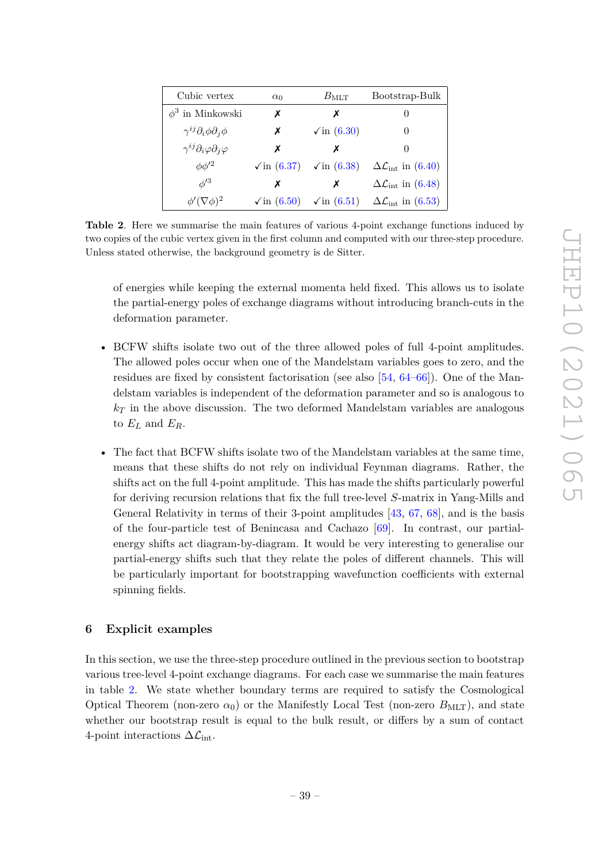| Cubic vertex                                    | $\alpha_0$               | $B_{\rm MLT}$                                     | Bootstrap-Bulk                             |
|-------------------------------------------------|--------------------------|---------------------------------------------------|--------------------------------------------|
| $\phi^3$ in Minkowski                           | х                        | x                                                 | $\cup$                                     |
| $\gamma^{ij}\partial_i\phi\partial_j\phi$       | X                        | $\sqrt{\text{in}(6.30)}$                          | $\theta$                                   |
| $\gamma^{ij}\partial_i\varphi\partial_j\varphi$ | Х                        | х                                                 | $\cup$                                     |
| $\phi\phi'^2$                                   |                          | $\sqrt{\text{in}(6.37)}$ $\sqrt{\text{in}(6.38)}$ | $\Delta\mathcal{L}_{\text{int}}$ in (6.40) |
| $\phi^{\prime 3}$                               | х                        | х                                                 | $\Delta\mathcal{L}_{\text{int}}$ in (6.48) |
| $\phi'(\nabla \phi)^2$                          | $\sqrt{\text{in}(6.50)}$ | $\sqrt{\text{in}(6.51)}$                          | $\Delta\mathcal{L}_{\text{int}}$ in (6.53) |

<span id="page-39-1"></span>**Table 2**. Here we summarise the main features of various 4-point exchange functions induced by two copies of the cubic vertex given in the first column and computed with our three-step procedure. Unless stated otherwise, the background geometry is de Sitter.

of energies while keeping the external momenta held fixed. This allows us to isolate the partial-energy poles of exchange diagrams without introducing branch-cuts in the deformation parameter.

- BCFW shifts isolate two out of the three allowed poles of full 4-point amplitudes. The allowed poles occur when one of the Mandelstam variables goes to zero, and the residues are fixed by consistent factorisation (see also [\[54,](#page-55-15) [64](#page-56-5)[–66\]](#page-56-6)). One of the Mandelstam variables is independent of the deformation parameter and so is analogous to  $k_T$  in the above discussion. The two deformed Mandelstam variables are analogous to  $E_L$  and  $E_R$ .
- The fact that BCFW shifts isolate two of the Mandelstam variables at the same time, means that these shifts do not rely on individual Feynman diagrams. Rather, the shifts act on the full 4-point amplitude. This has made the shifts particularly powerful for deriving recursion relations that fix the full tree-level *S*-matrix in Yang-Mills and General Relativity in terms of their 3-point amplitudes [\[43,](#page-55-5) [67,](#page-56-7) [68\]](#page-56-8), and is the basis of the four-particle test of Benincasa and Cachazo [\[69\]](#page-56-9). In contrast, our partialenergy shifts act diagram-by-diagram. It would be very interesting to generalise our partial-energy shifts such that they relate the poles of different channels. This will be particularly important for bootstrapping wavefunction coefficients with external spinning fields.

# <span id="page-39-0"></span>**6 Explicit examples**

In this section, we use the three-step procedure outlined in the previous section to bootstrap various tree-level 4-point exchange diagrams. For each case we summarise the main features in table [2.](#page-39-1) We state whether boundary terms are required to satisfy the Cosmological Optical Theorem (non-zero  $\alpha_0$ ) or the Manifestly Local Test (non-zero  $B_{MLT}$ ), and state whether our bootstrap result is equal to the bulk result, or differs by a sum of contact 4-point interactions  $\Delta \mathcal{L}_{\text{int}}$ .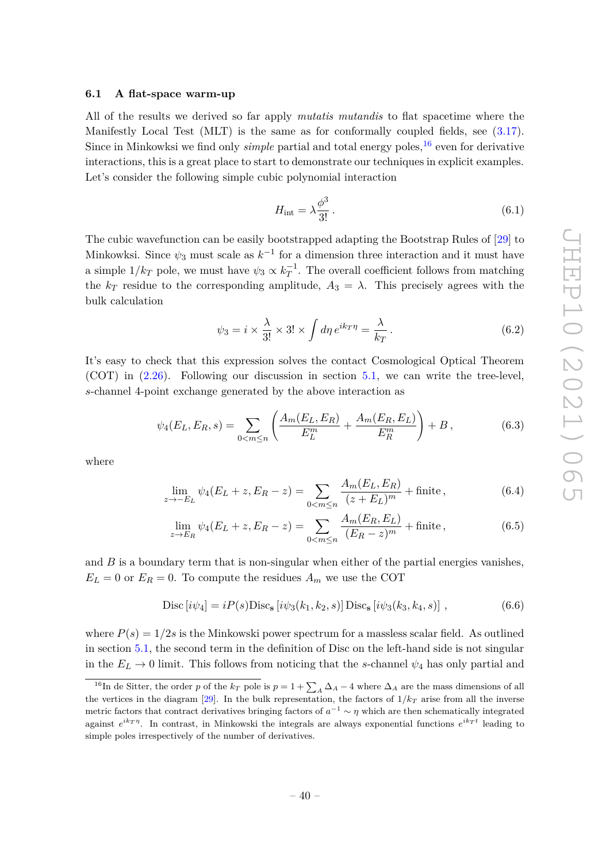#### <span id="page-40-0"></span>**6.1 A flat-space warm-up**

All of the results we derived so far apply *mutatis mutandis* to flat spacetime where the Manifestly Local Test (MLT) is the same as for conformally coupled fields, see [\(3.17\)](#page-18-2). Since in Minkowksi we find only *simple* partial and total energy poles,<sup>[16](#page-40-1)</sup> even for derivative interactions, this is a great place to start to demonstrate our techniques in explicit examples. Let's consider the following simple cubic polynomial interaction

$$
H_{\rm int} = \lambda \frac{\phi^3}{3!} \,. \tag{6.1}
$$

The cubic wavefunction can be easily bootstrapped adapting the Bootstrap Rules of [\[29\]](#page-54-4) to Minkowksi. Since  $\psi_3$  must scale as  $k^{-1}$  for a dimension three interaction and it must have a simple  $1/k_T$  pole, we must have  $\psi_3 \propto k_T^{-1}$ . The overall coefficient follows from matching the  $k_T$  residue to the corresponding amplitude,  $A_3 = \lambda$ . This precisely agrees with the bulk calculation

<span id="page-40-3"></span>
$$
\psi_3 = i \times \frac{\lambda}{3!} \times 3! \times \int d\eta \, e^{ik_T \eta} = \frac{\lambda}{k_T} \,. \tag{6.2}
$$

It's easy to check that this expression solves the contact Cosmological Optical Theorem (COT) in [\(2.26\)](#page-12-1). Following our discussion in section [5.1,](#page-30-1) we can write the tree-level, *s*-channel 4-point exchange generated by the above interaction as

$$
\psi_4(E_L, E_R, s) = \sum_{0 < m \le n} \left( \frac{A_m(E_L, E_R)}{E_L^m} + \frac{A_m(E_R, E_L)}{E_R^m} \right) + B \,,\tag{6.3}
$$

where

$$
\lim_{z \to -E_L} \psi_4(E_L + z, E_R - z) = \sum_{0 < m \le n} \frac{A_m(E_L, E_R)}{(z + E_L)^m} + \text{finite},\tag{6.4}
$$

$$
\lim_{z \to E_R} \psi_4(E_L + z, E_R - z) = \sum_{0 < m \le n} \frac{A_m(E_R, E_L)}{(E_R - z)^m} + \text{finite},\tag{6.5}
$$

and *B* is a boundary term that is non-singular when either of the partial energies vanishes,  $E_L = 0$  or  $E_R = 0$ . To compute the residues  $A_m$  we use the COT

<span id="page-40-2"></span>
$$
Disc[i\psi_4] = iP(s)Disc_s[i\psi_3(k_1, k_2, s)] Disc_s[i\psi_3(k_3, k_4, s)],
$$
\n(6.6)

where  $P(s) = 1/2s$  is the Minkowski power spectrum for a massless scalar field. As outlined in section [5.1,](#page-30-1) the second term in the definition of Disc on the left-hand side is not singular in the  $E_L \rightarrow 0$  limit. This follows from noticing that the *s*-channel  $\psi_4$  has only partial and

<span id="page-40-1"></span><sup>&</sup>lt;sup>16</sup>In de Sitter, the order *p* of the  $k_T$  pole is  $p = 1 + \sum_A \Delta_A - 4$  where  $\Delta_A$  are the mass dimensions of all the vertices in the diagram [\[29\]](#page-54-4). In the bulk representation, the factors of  $1/k<sub>T</sub>$  arise from all the inverse metric factors that contract derivatives bringing factors of  $a^{-1} \sim \eta$  which are then schematically integrated against  $e^{ik_T \eta}$ . In contrast, in Minkowski the integrals are always exponential functions  $e^{ik_T t}$  leading to simple poles irrespectively of the number of derivatives.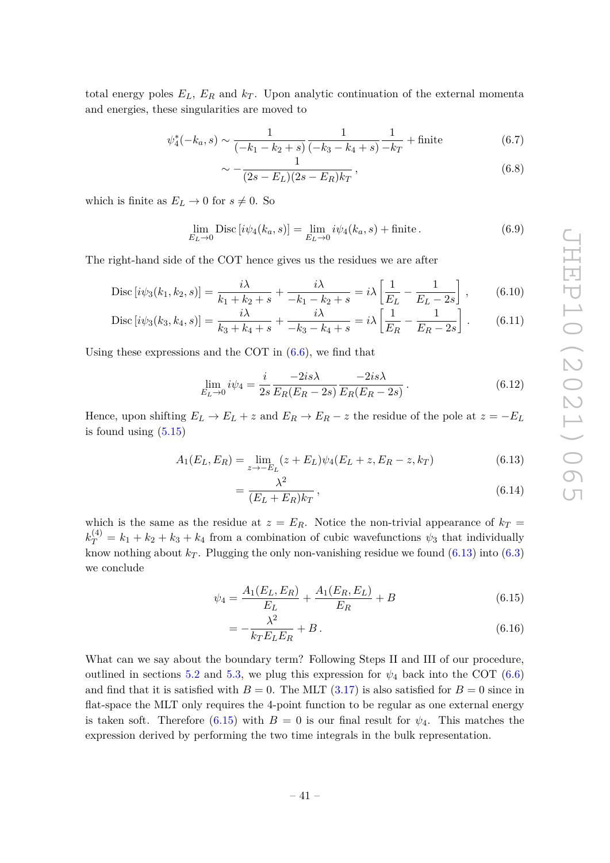total energy poles  $E_L$ ,  $E_R$  and  $k_T$ . Upon analytic continuation of the external momenta and energies, these singularities are moved to

$$
\psi_4^*(-k_a, s) \sim \frac{1}{(-k_1 - k_2 + s)} \frac{1}{(-k_3 - k_4 + s)} \frac{1}{-k_T} + \text{finite} \tag{6.7}
$$

$$
-\frac{1}{(2s - E_L)(2s - E_R)k_T},\tag{6.8}
$$

which is finite as  $E_L \to 0$  for  $s \neq 0$ . So

$$
\lim_{E_L \to 0} \text{Disc}\left[i\psi_4(k_a, s)\right] = \lim_{E_L \to 0} i\psi_4(k_a, s) + \text{finite} \,. \tag{6.9}
$$

The right-hand side of the COT hence gives us the residues we are after

$$
\text{Disc}\left[i\psi_3(k_1, k_2, s)\right] = \frac{i\lambda}{k_1 + k_2 + s} + \frac{i\lambda}{-k_1 - k_2 + s} = i\lambda \left[\frac{1}{E_L} - \frac{1}{E_L - 2s}\right],\tag{6.10}
$$

$$
\text{Disc}\left[i\psi_3(k_3, k_4, s)\right] = \frac{i\lambda}{k_3 + k_4 + s} + \frac{i\lambda}{-k_3 - k_4 + s} = i\lambda \left[\frac{1}{E_R} - \frac{1}{E_R - 2s}\right].\tag{6.11}
$$

Using these expressions and the COT in  $(6.6)$ , we find that

 $\sim$ 

$$
\lim_{E_L \to 0} i\psi_4 = \frac{i}{2s} \frac{-2is\lambda}{E_R(E_R - 2s)} \frac{-2is\lambda}{E_R(E_R - 2s)}.
$$
\n(6.12)

Hence, upon shifting  $E_L \to E_L + z$  and  $E_R \to E_R - z$  the residue of the pole at  $z = -E_L$ is found using  $(5.15)$ 

$$
A_1(E_L, E_R) = \lim_{z \to -E_L} (z + E_L) \psi_4(E_L + z, E_R - z, k_T)
$$
(6.13)

<span id="page-41-0"></span>
$$
=\frac{\lambda^2}{(E_L+E_R)k_T},\tag{6.14}
$$

which is the same as the residue at  $z = E_R$ . Notice the non-trivial appearance of  $k_T =$  $k_T^{(4)} = k_1 + k_2 + k_3 + k_4$  from a combination of cubic wavefunctions  $\psi_3$  that individually know nothing about  $k_T$ . Plugging the only non-vanishing residue we found  $(6.13)$  into  $(6.3)$ we conclude

$$
\psi_4 = \frac{A_1(E_L, E_R)}{E_L} + \frac{A_1(E_R, E_L)}{E_R} + B \tag{6.15}
$$

<span id="page-41-1"></span>
$$
=-\frac{\lambda^2}{k_T E_L E_R} + B\,. \tag{6.16}
$$

What can we say about the boundary term? Following Steps II and III of our procedure, outlined in sections [5.2](#page-36-0) and [5.3,](#page-37-0) we plug this expression for  $\psi_4$  back into the COT [\(6.6\)](#page-40-2) and find that it is satisfied with  $B = 0$ . The MLT  $(3.17)$  is also satisfied for  $B = 0$  since in flat-space the MLT only requires the 4-point function to be regular as one external energy is taken soft. Therefore [\(6.15\)](#page-41-1) with  $B = 0$  is our final result for  $\psi_4$ . This matches the expression derived by performing the two time integrals in the bulk representation.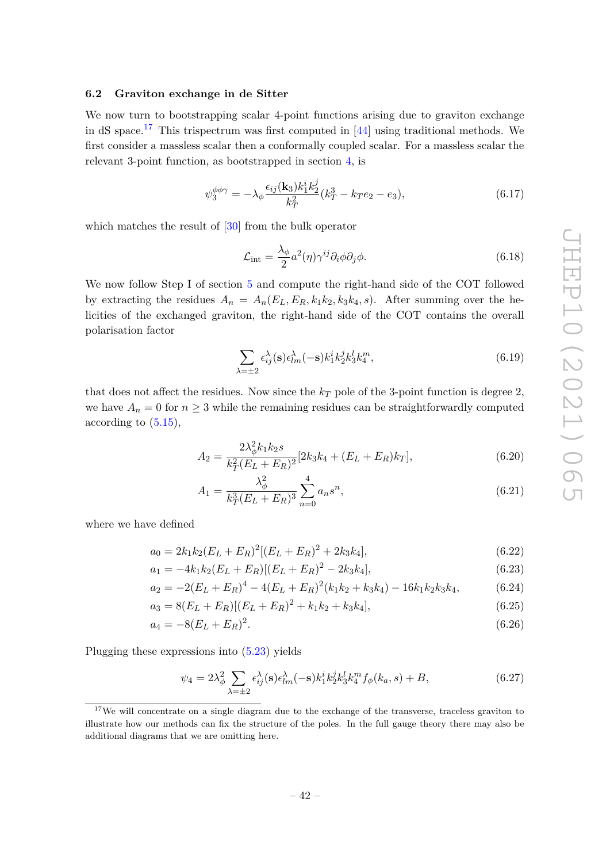# <span id="page-42-0"></span>**6.2 Graviton exchange in de Sitter**

We now turn to bootstrapping scalar 4-point functions arising due to graviton exchange in dS space.<sup>[17](#page-42-1)</sup> This trispectrum was first computed in  $[44]$  using traditional methods. We first consider a massless scalar then a conformally coupled scalar. For a massless scalar the relevant 3-point function, as bootstrapped in section [4,](#page-19-0) is

$$
\psi_3^{\phi\phi\gamma} = -\lambda_\phi \frac{\epsilon_{ij}(\mathbf{k}_3)k_1^i k_2^j}{k_T^2} (k_T^3 - k_T e_2 - e_3),\tag{6.17}
$$

which matches the result of  $[30]$  from the bulk operator

$$
\mathcal{L}_{int} = \frac{\lambda_{\phi}}{2} a^2(\eta) \gamma^{ij} \partial_i \phi \partial_j \phi.
$$
 (6.18)

We now follow Step I of section [5](#page-30-0) and compute the right-hand side of the COT followed by extracting the residues  $A_n = A_n(E_L, E_R, k_1k_2, k_3k_4, s)$ . After summing over the helicities of the exchanged graviton, the right-hand side of the COT contains the overall polarisation factor

$$
\sum_{\lambda=\pm 2} \epsilon_{ij}^{\lambda}(\mathbf{s}) \epsilon_{lm}^{\lambda}(-\mathbf{s}) k_1^i k_2^j k_3^l k_4^m, \tag{6.19}
$$

that does not affect the residues. Now since the *k<sup>T</sup>* pole of the 3-point function is degree 2, we have  $A_n = 0$  for  $n \geq 3$  while the remaining residues can be straightforwardly computed according to  $(5.15)$ ,

$$
A_2 = \frac{2\lambda_{\phi}^2 k_1 k_2 s}{k_T^2 (E_L + E_R)^2} [2k_3 k_4 + (E_L + E_R)k_T],
$$
\n(6.20)

$$
A_1 = \frac{\lambda_{\phi}^2}{k_T^3 (E_L + E_R)^3} \sum_{n=0}^{4} a_n s^n,
$$
\n(6.21)

where we have defined

$$
a_0 = 2k_1k_2(E_L + E_R)^2[(E_L + E_R)^2 + 2k_3k_4],
$$
\n(6.22)

$$
a_1 = -4k_1k_2(E_L + E_R)[(E_L + E_R)^2 - 2k_3k_4],
$$
\n(6.23)

$$
a_2 = -2(E_L + E_R)^4 - 4(E_L + E_R)^2(k_1k_2 + k_3k_4) - 16k_1k_2k_3k_4, \tag{6.24}
$$

$$
a_3 = 8(E_L + E_R)[(E_L + E_R)^2 + k_1k_2 + k_3k_4],
$$
\n(6.25)

$$
a_4 = -8(E_L + E_R)^2. \tag{6.26}
$$

Plugging these expressions into [\(5.23\)](#page-34-1) yields

$$
\psi_4 = 2\lambda_{\phi}^2 \sum_{\lambda = \pm 2} \epsilon_{ij}^{\lambda}(\mathbf{s}) \epsilon_{lm}^{\lambda}(-\mathbf{s}) k_1^i k_2^j k_3^l k_4^m f_{\phi}(k_a, s) + B,\tag{6.27}
$$

<span id="page-42-1"></span><sup>&</sup>lt;sup>17</sup>We will concentrate on a single diagram due to the exchange of the transverse, traceless graviton to illustrate how our methods can fix the structure of the poles. In the full gauge theory there may also be additional diagrams that we are omitting here.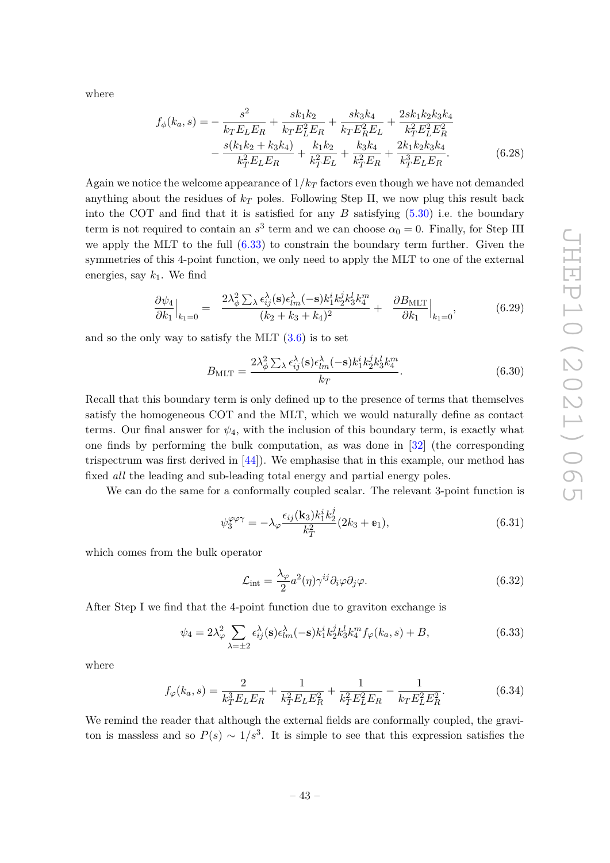where

$$
f_{\phi}(k_a, s) = -\frac{s^2}{k_T E_L E_R} + \frac{s k_1 k_2}{k_T E_L^2 E_R} + \frac{s k_3 k_4}{k_T E_R^2 E_L} + \frac{2 s k_1 k_2 k_3 k_4}{k_T^2 E_L^2 E_R^2} -\frac{s(k_1 k_2 + k_3 k_4)}{k_T^2 E_L E_R} + \frac{k_1 k_2}{k_T^2 E_L} + \frac{k_3 k_4}{k_T^2 E_R} + \frac{2 k_1 k_2 k_3 k_4}{k_T^3 E_L E_R}.
$$
(6.28)

Again we notice the welcome appearance of 1*/k<sup>T</sup>* factors even though we have not demanded anything about the residues of  $k_T$  poles. Following Step II, we now plug this result back into the COT and find that it is satisfied for any  $B$  satisfying  $(5.30)$  i.e. the boundary term is not required to contain an  $s^3$  term and we can choose  $\alpha_0 = 0$ . Finally, for Step III we apply the MLT to the full  $(6.33)$  to constrain the boundary term further. Given the symmetries of this 4-point function, we only need to apply the MLT to one of the external energies, say  $k_1$ . We find

$$
\frac{\partial \psi_4}{\partial k_1}\Big|_{k_1=0} = \frac{2\lambda_\phi^2 \sum_{\lambda} \epsilon_{ij}^{\lambda}(\mathbf{s}) \epsilon_{lm}^{\lambda}(-\mathbf{s}) k_1^i k_2^j k_3^l k_4^m}{(k_2 + k_3 + k_4)^2} + \frac{\partial B_{\text{MLT}}}{\partial k_1}\Big|_{k_1=0},\tag{6.29}
$$

and so the only way to satisfy the MLT  $(3.6)$  is to set

<span id="page-43-0"></span>
$$
B_{\rm MLT} = \frac{2\lambda_{\phi}^2 \sum_{\lambda} \epsilon_{ij}^{\lambda}(\mathbf{s}) \epsilon_{lm}^{\lambda}(-\mathbf{s}) k_1^i k_2^j k_3^l k_4^m}{k_T}.
$$
 (6.30)

Recall that this boundary term is only defined up to the presence of terms that themselves satisfy the homogeneous COT and the MLT, which we would naturally define as contact terms. Our final answer for  $\psi_4$ , with the inclusion of this boundary term, is exactly what one finds by performing the bulk computation, as was done in [\[32\]](#page-54-7) (the corresponding trispectrum was first derived in  $[44]$ . We emphasise that in this example, our method has fixed *all* the leading and sub-leading total energy and partial energy poles.

We can do the same for a conformally coupled scalar. The relevant 3-point function is

$$
\psi_3^{\varphi\varphi\gamma} = -\lambda_\varphi \frac{\epsilon_{ij}(\mathbf{k}_3)k_1^i k_2^j}{k_T^2} (2k_3 + \mathbf{e}_1),\tag{6.31}
$$

which comes from the bulk operator

<span id="page-43-1"></span>
$$
\mathcal{L}_{int} = \frac{\lambda_{\varphi}}{2} a^2(\eta) \gamma^{ij} \partial_i \varphi \partial_j \varphi.
$$
\n(6.32)

After Step I we find that the 4-point function due to graviton exchange is

$$
\psi_4 = 2\lambda_\varphi^2 \sum_{\lambda = \pm 2} \epsilon_{ij}^\lambda(\mathbf{s}) \epsilon_{lm}^\lambda(-\mathbf{s}) k_1^i k_2^j k_3^l k_4^m f_\varphi(k_a, s) + B,\tag{6.33}
$$

where

$$
f_{\varphi}(k_a, s) = \frac{2}{k_T^3 E_L E_R} + \frac{1}{k_T^2 E_L E_R^2} + \frac{1}{k_T^2 E_L^2 E_R} - \frac{1}{k_T E_L^2 E_R^2}.
$$
(6.34)

We remind the reader that although the external fields are conformally coupled, the graviton is massless and so  $P(s) \sim 1/s^3$ . It is simple to see that this expression satisfies the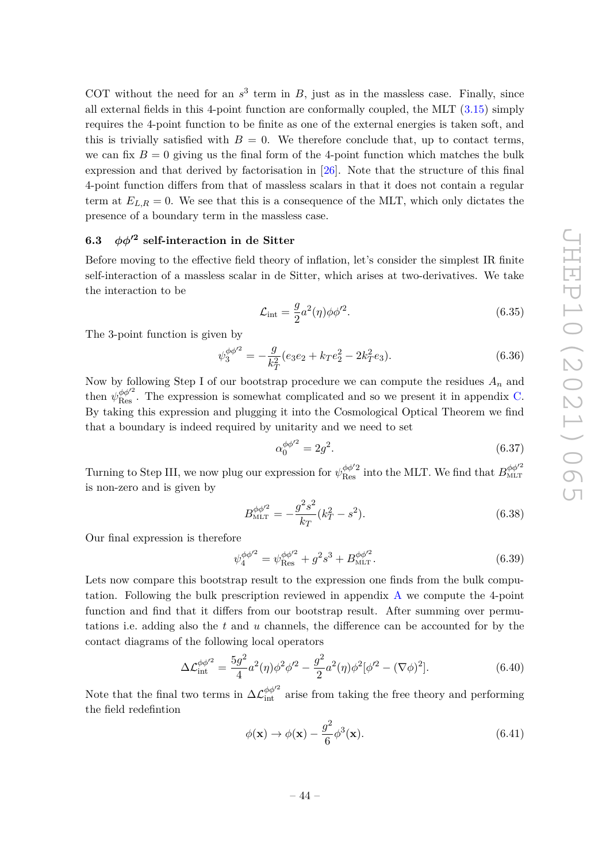COT without the need for an  $s^3$  term in *B*, just as in the massless case. Finally, since all external fields in this 4-point function are conformally coupled, the MLT  $(3.15)$  simply requires the 4-point function to be finite as one of the external energies is taken soft, and this is trivially satisfied with  $B = 0$ . We therefore conclude that, up to contact terms, we can fix  $B = 0$  giving us the final form of the 4-point function which matches the bulk expression and that derived by factorisation in [\[26\]](#page-54-0). Note that the structure of this final 4-point function differs from that of massless scalars in that it does not contain a regular term at  $E_{L,R} = 0$ . We see that this is a consequence of the MLT, which only dictates the presence of a boundary term in the massless case.

# <span id="page-44-0"></span>**6.3**  $\phi\phi'^2$  self-interaction in de Sitter

Before moving to the effective field theory of inflation, let's consider the simplest IR finite self-interaction of a massless scalar in de Sitter, which arises at two-derivatives. We take the interaction to be

$$
\mathcal{L}_{\text{int}} = \frac{g}{2} a^2(\eta) \phi \phi'^2. \tag{6.35}
$$

The 3-point function is given by

$$
\psi_3^{\phi\phi'^2} = -\frac{g}{k_T^2} (e_3 e_2 + k_T e_2^2 - 2k_T^2 e_3).
$$
\n(6.36)

Now by following Step I of our bootstrap procedure we can compute the residues *A<sup>n</sup>* and then  $\psi_{\text{Res}}^{\phi\phi'^2}$ . The expression is somewhat complicated and so we present it in appendix [C.](#page-51-0) By taking this expression and plugging it into the Cosmological Optical Theorem we find that a boundary is indeed required by unitarity and we need to set

<span id="page-44-2"></span><span id="page-44-1"></span>
$$
\alpha_0^{\phi\phi'^2} = 2g^2.
$$
\n(6.37)

Turning to Step III, we now plug our expression for  $\psi_{\text{Res}}^{\phi\phi'2}$  into the MLT. We find that  $B_{\text{MLT}}^{\phi\phi'^2}$ is non-zero and is given by

$$
B_{\text{MIT}}^{\phi\phi'^2} = -\frac{g^2 s^2}{k_T} (k_T^2 - s^2). \tag{6.38}
$$

Our final expression is therefore

$$
\psi_4^{\phi\phi'^2} = \psi_{\text{Res}}^{\phi\phi'^2} + g^2 s^3 + B_{\text{MLT}}^{\phi\phi'^2}.
$$
\n(6.39)

Lets now compare this bootstrap result to the expression one finds from the bulk computation. Following the bulk prescription reviewed in appendix [A](#page-48-0) we compute the 4-point function and find that it differs from our bootstrap result. After summing over permutations i.e. adding also the *t* and *u* channels, the difference can be accounted for by the contact diagrams of the following local operators

$$
\Delta \mathcal{L}_{int}^{\phi \phi'^2} = \frac{5g^2}{4} a^2(\eta) \phi^2 \phi'^2 - \frac{g^2}{2} a^2(\eta) \phi^2 [\phi'^2 - (\nabla \phi)^2]. \tag{6.40}
$$

Note that the final two terms in  $\Delta \mathcal{L}_{int}^{\phi \phi'^2}$  arise from taking the free theory and performing the field redefintion

<span id="page-44-3"></span>
$$
\phi(\mathbf{x}) \to \phi(\mathbf{x}) - \frac{g^2}{6} \phi^3(\mathbf{x}). \tag{6.41}
$$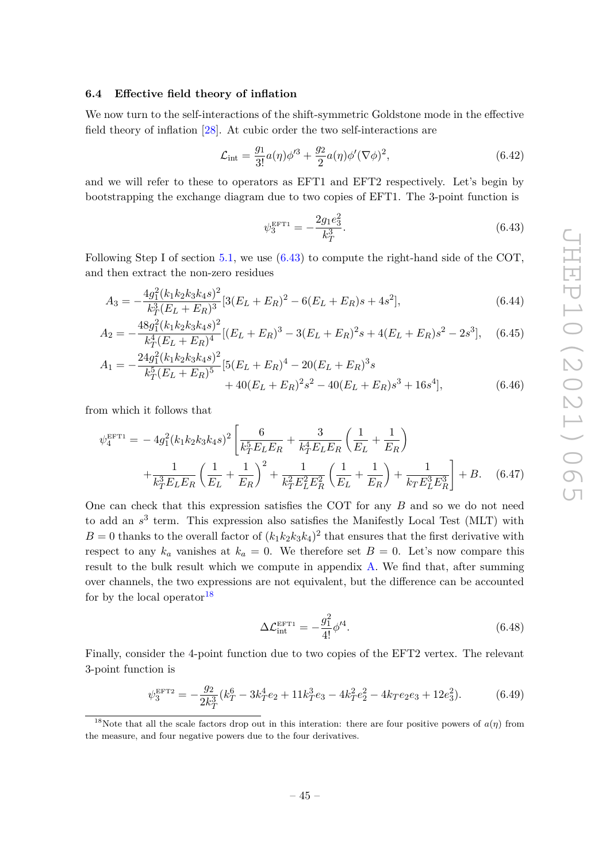# <span id="page-45-0"></span>**6.4 Effective field theory of inflation**

We now turn to the self-interactions of the shift-symmetric Goldstone mode in the effective field theory of inflation [\[28\]](#page-54-2). At cubic order the two self-interactions are

$$
\mathcal{L}_{\text{int}} = \frac{g_1}{3!} a(\eta) \phi'^3 + \frac{g_2}{2} a(\eta) \phi' (\nabla \phi)^2, \tag{6.42}
$$

and we will refer to these to operators as EFT1 and EFT2 respectively. Let's begin by bootstrapping the exchange diagram due to two copies of EFT1. The 3-point function is

<span id="page-45-2"></span>
$$
\psi_3^{\text{EFT1}} = -\frac{2g_1 e_3^2}{k_T^3}.\tag{6.43}
$$

Following Step I of section [5.1,](#page-30-1) we use [\(6.43\)](#page-45-2) to compute the right-hand side of the COT, and then extract the non-zero residues

$$
A_3 = -\frac{4g_1^2(k_1k_2k_3k_4s)^2}{k_T^3(E_L + E_R)^3} [3(E_L + E_R)^2 - 6(E_L + E_R)s + 4s^2],\tag{6.44}
$$

$$
A_2 = -\frac{48g_1^2(k_1k_2k_3k_4s)^2}{k_T^4(E_L + E_R)^4}[(E_L + E_R)^3 - 3(E_L + E_R)^2s + 4(E_L + E_R)s^2 - 2s^3], \quad (6.45)
$$

$$
A_1 = -\frac{24g_1^2(k_1k_2k_3k_4s)^2}{k_T^5(E_L + E_R)^5} [5(E_L + E_R)^4 - 20(E_L + E_R)^3s + 40(E_L + E_R)^2s^2 - 40(E_L + E_R)s^3 + 16s^4],
$$
(6.46)

from which it follows that

$$
\psi_4^{\text{EFT1}} = -4g_1^2(k_1k_2k_3k_4s)^2 \left[ \frac{6}{k_T^5 E_L E_R} + \frac{3}{k_T^4 E_L E_R} \left( \frac{1}{E_L} + \frac{1}{E_R} \right) + \frac{1}{k_T^3 E_L E_R} \left( \frac{1}{E_L} + \frac{1}{E_R} \right)^2 + \frac{1}{k_T^2 E_L^2 E_R^2} \left( \frac{1}{E_L} + \frac{1}{E_R} \right) + \frac{1}{k_T E_L^3 E_R^3} \right] + B. \quad (6.47)
$$

One can check that this expression satisfies the COT for any *B* and so we do not need to add an  $s^3$  term. This expression also satisfies the Manifestly Local Test (MLT) with  $B = 0$  thanks to the overall factor of  $(k_1 k_2 k_3 k_4)^2$  that ensures that the first derivative with respect to any  $k_a$  vanishes at  $k_a = 0$ . We therefore set  $B = 0$ . Let's now compare this result to the bulk result which we compute in appendix [A.](#page-48-0) We find that, after summing over channels, the two expressions are not equivalent, but the difference can be accounted for by the local operator  $18$ 

<span id="page-45-4"></span><span id="page-45-1"></span>
$$
\Delta \mathcal{L}_{\text{int}}^{\text{EFT1}} = -\frac{g_1^2}{4!} \phi'^4. \tag{6.48}
$$

Finally, consider the 4-point function due to two copies of the EFT2 vertex. The relevant 3-point function is

$$
\psi_3^{\text{EFT2}} = -\frac{g_2}{2k_T^3} (k_T^6 - 3k_T^4 e_2 + 11k_T^3 e_3 - 4k_T^2 e_2^2 - 4k_T e_2 e_3 + 12e_3^2). \tag{6.49}
$$

<span id="page-45-3"></span><sup>&</sup>lt;sup>18</sup>Note that all the scale factors drop out in this interation: there are four positive powers of  $a(\eta)$  from the measure, and four negative powers due to the four derivatives.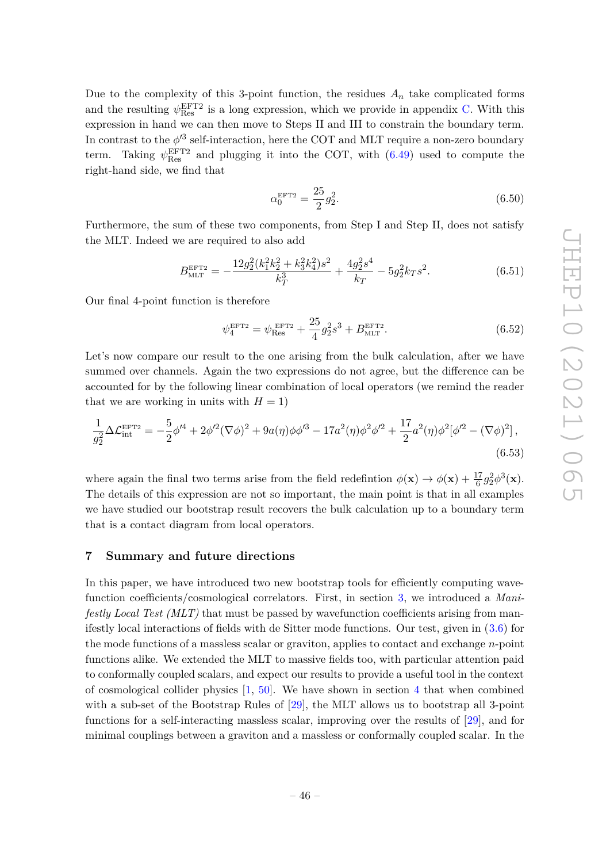Due to the complexity of this 3-point function, the residues  $A_n$  take complicated forms and the resulting  $\psi_{\text{Res}}^{\text{EFT2}}$  is a long expression, which we provide in appendix [C.](#page-51-0) With this expression in hand we can then move to Steps II and III to constrain the boundary term. In contrast to the  $\phi'^3$  self-interaction, here the COT and MLT require a non-zero boundary term. Taking  $\psi_{\text{Res}}^{\text{EFT2}}$  and plugging it into the COT, with  $(6.49)$  used to compute the right-hand side, we find that

<span id="page-46-2"></span><span id="page-46-1"></span>
$$
\alpha_0^{\text{EFT2}} = \frac{25}{2} g_2^2. \tag{6.50}
$$

Furthermore, the sum of these two components, from Step I and Step II, does not satisfy the MLT. Indeed we are required to also add

$$
B_{\text{MLT}}^{\text{EFT2}} = -\frac{12g_2^2(k_1^2k_2^2 + k_3^2k_4^2)s^2}{k_T^3} + \frac{4g_2^2s^4}{k_T} - 5g_2^2k_Ts^2.
$$
 (6.51)

Our final 4-point function is therefore

<span id="page-46-3"></span>
$$
\psi_4^{\text{EFT2}} = \psi_{\text{Res}}^{\text{EFT2}} + \frac{25}{4} g_2^2 s^3 + B_{\text{MLT}}^{\text{EFT2}}.
$$
\n(6.52)

Let's now compare our result to the one arising from the bulk calculation, after we have summed over channels. Again the two expressions do not agree, but the difference can be accounted for by the following linear combination of local operators (we remind the reader that we are working in units with  $H = 1$ )

$$
\frac{1}{g_2^2} \Delta \mathcal{L}_{int}^{EFT2} = -\frac{5}{2} \phi'^4 + 2\phi'^2 (\nabla \phi)^2 + 9a(\eta)\phi\phi'^3 - 17a^2(\eta)\phi^2\phi'^2 + \frac{17}{2}a^2(\eta)\phi^2[\phi'^2 - (\nabla \phi)^2],\tag{6.53}
$$

where again the final two terms arise from the field redefintion  $\phi(\mathbf{x}) \to \phi(\mathbf{x}) + \frac{17}{6} g_2^2 \phi^3(\mathbf{x})$ . The details of this expression are not so important, the main point is that in all examples we have studied our bootstrap result recovers the bulk calculation up to a boundary term that is a contact diagram from local operators.

# <span id="page-46-0"></span>**7 Summary and future directions**

In this paper, we have introduced two new bootstrap tools for efficiently computing wavefunction coefficients/cosmological correlators. First, in section [3,](#page-13-0) we introduced a *Manifestly Local Test (MLT)* that must be passed by wavefunction coefficients arising from manifestly local interactions of fields with de Sitter mode functions. Our test, given in [\(3.6\)](#page-15-1) for the mode functions of a massless scalar or graviton, applies to contact and exchange *n*-point functions alike. We extended the MLT to massive fields too, with particular attention paid to conformally coupled scalars, and expect our results to provide a useful tool in the context of cosmological collider physics  $[1, 50]$  $[1, 50]$  $[1, 50]$ . We have shown in section [4](#page-19-0) that when combined with a sub-set of the Bootstrap Rules of [\[29\]](#page-54-4), the MLT allows us to bootstrap all 3-point functions for a self-interacting massless scalar, improving over the results of [\[29\]](#page-54-4), and for minimal couplings between a graviton and a massless or conformally coupled scalar. In the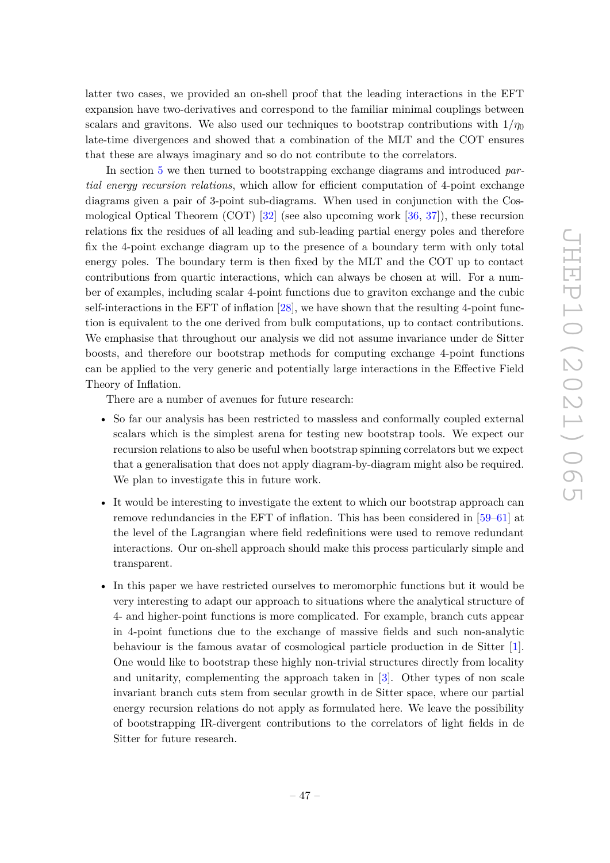latter two cases, we provided an on-shell proof that the leading interactions in the EFT expansion have two-derivatives and correspond to the familiar minimal couplings between scalars and gravitons. We also used our techniques to bootstrap contributions with  $1/\eta_0$ late-time divergences and showed that a combination of the MLT and the COT ensures that these are always imaginary and so do not contribute to the correlators.

In section [5](#page-30-0) we then turned to bootstrapping exchange diagrams and introduced *partial energy recursion relations*, which allow for efficient computation of 4-point exchange diagrams given a pair of 3-point sub-diagrams. When used in conjunction with the Cosmological Optical Theorem (COT) [\[32\]](#page-54-7) (see also upcoming work [\[36,](#page-54-10) [37\]](#page-55-0)), these recursion relations fix the residues of all leading and sub-leading partial energy poles and therefore fix the 4-point exchange diagram up to the presence of a boundary term with only total energy poles. The boundary term is then fixed by the MLT and the COT up to contact contributions from quartic interactions, which can always be chosen at will. For a number of examples, including scalar 4-point functions due to graviton exchange and the cubic self-interactions in the EFT of inflation [\[28\]](#page-54-2), we have shown that the resulting 4-point function is equivalent to the one derived from bulk computations, up to contact contributions. We emphasise that throughout our analysis we did not assume invariance under de Sitter boosts, and therefore our bootstrap methods for computing exchange 4-point functions can be applied to the very generic and potentially large interactions in the Effective Field Theory of Inflation.

There are a number of avenues for future research:

- So far our analysis has been restricted to massless and conformally coupled external scalars which is the simplest arena for testing new bootstrap tools. We expect our recursion relations to also be useful when bootstrap spinning correlators but we expect that a generalisation that does not apply diagram-by-diagram might also be required. We plan to investigate this in future work.
- It would be interesting to investigate the extent to which our bootstrap approach can remove redundancies in the EFT of inflation. This has been considered in [\[59](#page-56-1)[–61\]](#page-56-2) at the level of the Lagrangian where field redefinitions were used to remove redundant interactions. Our on-shell approach should make this process particularly simple and transparent.
- In this paper we have restricted ourselves to meromorphic functions but it would be very interesting to adapt our approach to situations where the analytical structure of 4- and higher-point functions is more complicated. For example, branch cuts appear in 4-point functions due to the exchange of massive fields and such non-analytic behaviour is the famous avatar of cosmological particle production in de Sitter [\[1\]](#page-53-0). One would like to bootstrap these highly non-trivial structures directly from locality and unitarity, complementing the approach taken in [\[3\]](#page-53-7). Other types of non scale invariant branch cuts stem from secular growth in de Sitter space, where our partial energy recursion relations do not apply as formulated here. We leave the possibility of bootstrapping IR-divergent contributions to the correlators of light fields in de Sitter for future research.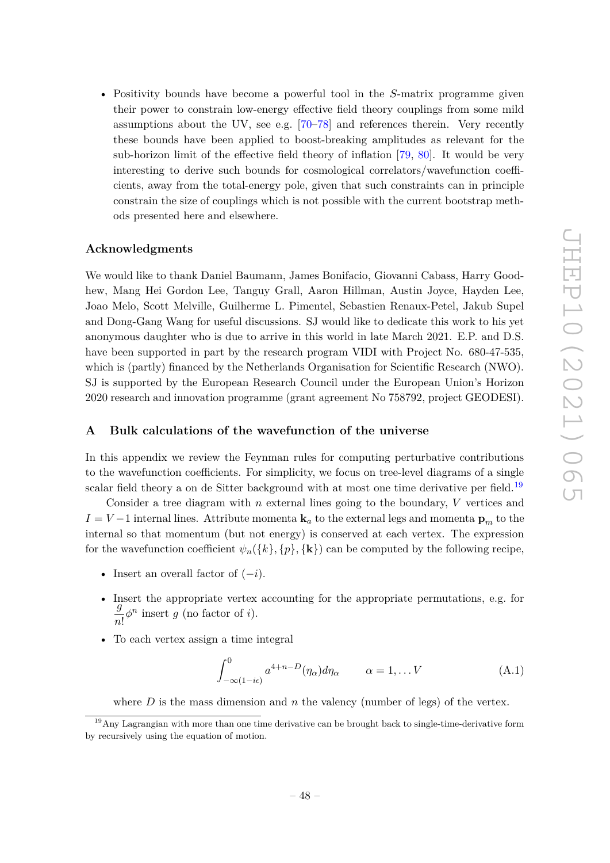• Positivity bounds have become a powerful tool in the *S*-matrix programme given their power to constrain low-energy effective field theory couplings from some mild assumptions about the UV, see e.g. [\[70](#page-56-10)[–78\]](#page-57-0) and references therein. Very recently these bounds have been applied to boost-breaking amplitudes as relevant for the sub-horizon limit of the effective field theory of inflation [\[79,](#page-57-1) [80\]](#page-57-2). It would be very interesting to derive such bounds for cosmological correlators/wavefunction coefficients, away from the total-energy pole, given that such constraints can in principle constrain the size of couplings which is not possible with the current bootstrap methods presented here and elsewhere.

# **Acknowledgments**

We would like to thank Daniel Baumann, James Bonifacio, Giovanni Cabass, Harry Goodhew, Mang Hei Gordon Lee, Tanguy Grall, Aaron Hillman, Austin Joyce, Hayden Lee, Joao Melo, Scott Melville, Guilherme L. Pimentel, Sebastien Renaux-Petel, Jakub Supel and Dong-Gang Wang for useful discussions. SJ would like to dedicate this work to his yet anonymous daughter who is due to arrive in this world in late March 2021. E.P. and D.S. have been supported in part by the research program VIDI with Project No. 680-47-535, which is (partly) financed by the Netherlands Organisation for Scientific Research (NWO). SJ is supported by the European Research Council under the European Union's Horizon 2020 research and innovation programme (grant agreement No 758792, project GEODESI).

# <span id="page-48-0"></span>**A Bulk calculations of the wavefunction of the universe**

In this appendix we review the Feynman rules for computing perturbative contributions to the wavefunction coefficients. For simplicity, we focus on tree-level diagrams of a single scalar field theory a on de Sitter background with at most one time derivative per field.<sup>[19](#page-48-1)</sup>

Consider a tree diagram with *n* external lines going to the boundary, *V* vertices and  $I = V - 1$  internal lines. Attribute momenta **k**<sub>*a*</sub> to the external legs and momenta  $\mathbf{p}_m$  to the internal so that momentum (but not energy) is conserved at each vertex. The expression for the wavefunction coefficient  $\psi_n({k}, p, {\mathbf{k}})$  can be computed by the following recipe,

- Insert an overall factor of (−*i*).
- Insert the appropriate vertex accounting for the appropriate permutations, e.g. for *g*  $\frac{g}{n!} \phi^n$  insert *g* (no factor of *i*).
- To each vertex assign a time integral

$$
\int_{-\infty(1-i\epsilon)}^{0} a^{4+n-D}(\eta_{\alpha}) d\eta_{\alpha} \qquad \alpha = 1, \dots V \qquad (A.1)
$$

where  $D$  is the mass dimension and  $n$  the valency (number of legs) of the vertex.

<span id="page-48-1"></span><sup>19</sup>Any Lagrangian with more than one time derivative can be brought back to single-time-derivative form by recursively using the equation of motion.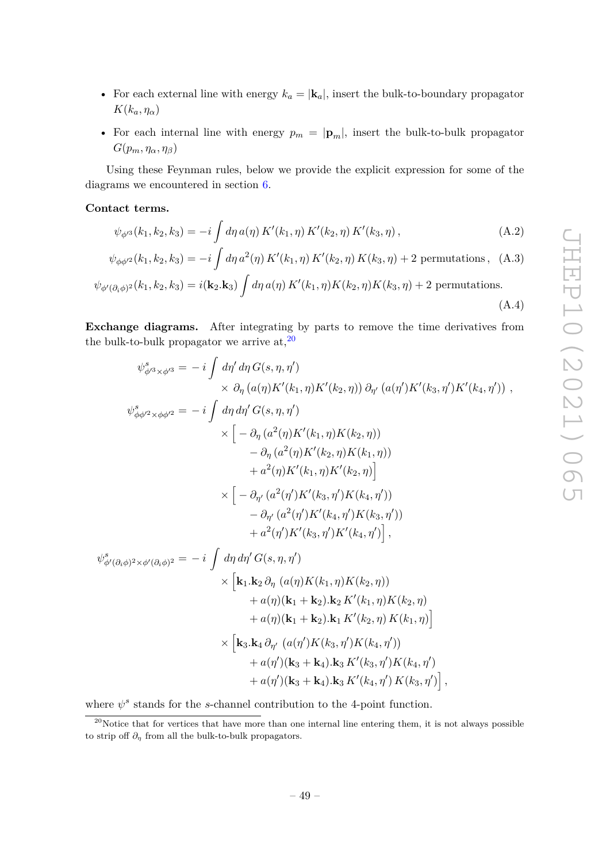- For each external line with energy  $k_a = |\mathbf{k}_a|$ , insert the bulk-to-boundary propagator  $K(k_a, \eta_\alpha)$
- For each internal line with energy  $p_m = |\mathbf{p}_m|$ , insert the bulk-to-bulk propagator  $G(p_m, \eta_\alpha, \eta_\beta)$

Using these Feynman rules, below we provide the explicit expression for some of the diagrams we encountered in section [6.](#page-39-0)

### **Contact terms.**

$$
\psi_{\phi'^3}(k_1, k_2, k_3) = -i \int d\eta \, a(\eta) \, K'(k_1, \eta) \, K'(k_2, \eta) \, K'(k_3, \eta) \,, \tag{A.2}
$$

$$
\psi_{\phi\phi'^2}(k_1, k_2, k_3) = -i \int d\eta \, a^2(\eta) \, K'(k_1, \eta) \, K'(k_2, \eta) \, K(k_3, \eta) + 2 \text{ permutations}, \tag{A.3}
$$

$$
\psi_{\phi'(\partial_i \phi)^2}(k_1, k_2, k_3) = i(\mathbf{k}_2 \cdot \mathbf{k}_3) \int d\eta \, a(\eta) \, K'(k_1, \eta) K(k_2, \eta) K(k_3, \eta) + 2 \text{ permutations.}
$$
\n(A.4)

**Exchange diagrams.** After integrating by parts to remove the time derivatives from the bulk-to-bulk propagator we arrive at,  $20$ 

$$
\psi_{\phi^{i3}\times\phi^{i3}}^{s} = -i \int d\eta' d\eta G(s, \eta, \eta') \times \partial_{\eta} (a(\eta) K'(k_{1}, \eta) K'(k_{2}, \eta)) \partial_{\eta'} (a(\eta') K'(k_{3}, \eta') K'(k_{4}, \eta')) ,
$$
  
\n
$$
\psi_{\phi\phi^{i2}\times\phi\phi^{i2}}^{s} = -i \int d\eta d\eta' G(s, \eta, \eta') \times [-\partial_{\eta} (a^{2}(\eta) K'(k_{1}, \eta) K(k_{2}, \eta)) - \partial_{\eta} (a^{2}(\eta) K'(k_{1}, \eta) K(k_{2}, \eta))] \times [-\partial_{\eta} (a^{2}(\eta) K'(k_{3}, \eta') K(k_{1}, \eta)) - \partial_{\eta'} (a^{2}(\eta') K'(k_{3}, \eta') K(k_{4}, \eta')) - \partial_{\eta'} (a^{2}(\eta') K'(k_{4}, \eta') K(k_{3}, \eta')) + a^{2}(\eta') K'(k_{3}, \eta') K'(k_{4}, \eta') ] ,
$$
  
\n
$$
\psi_{\phi}^{s}(\partial_{i}\phi)^{2} \times \phi'(\partial_{i}\phi)^{2} = -i \int d\eta d\eta' G(s, \eta, \eta') \times [k_{1}k_{2} \partial_{\eta} (a(\eta) K(k_{1}, \eta) K(k_{2}, \eta)) - a(\eta)(k_{1} + k_{2}) \cdot k_{2} K'(k_{1}, \eta) K(k_{2}, \eta) + a(\eta)(k_{1} + k_{2}) \cdot k_{1} K'(k_{2}, \eta) K(k_{1}, \eta)] \times [k_{3}k_{4} \partial_{\eta'} (a(\eta') K(k_{3}, \eta') K(k_{4}, \eta')) + a(\eta')(k_{3} + k_{4}) \cdot k_{3} K'(k_{3}, \eta') K(k_{4}, \eta') + a(\eta')(k_{3} + k_{4}) \cdot k_{3} K'(k_{4}, \eta') K(k_{3}, \eta')],
$$

where  $\psi^s$  stands for the *s*-channel contribution to the 4-point function.

<span id="page-49-0"></span> $20$ Notice that for vertices that have more than one internal line entering them, it is not always possible to strip off  $\partial_{\eta}$  from all the bulk-to-bulk propagators.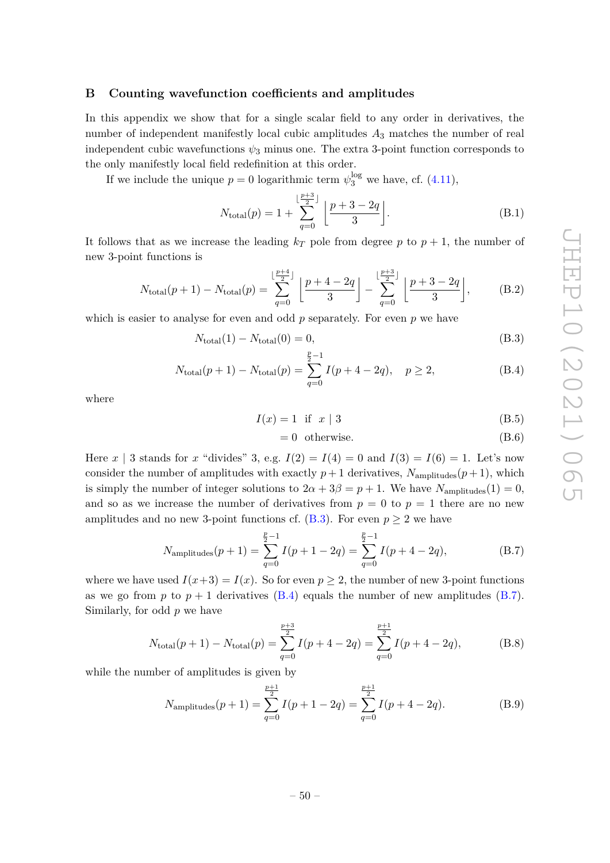# <span id="page-50-0"></span>**B Counting wavefunction coefficients and amplitudes**

In this appendix we show that for a single scalar field to any order in derivatives, the number of independent manifestly local cubic amplitudes *A*<sup>3</sup> matches the number of real independent cubic wavefunctions  $\psi_3$  minus one. The extra 3-point function corresponds to the only manifestly local field redefinition at this order.

If we include the unique  $p = 0$  logarithmic term  $\psi_3^{\log}$  we have, cf. [\(4.11\)](#page-22-3),

$$
N_{\text{total}}(p) = 1 + \sum_{q=0}^{\lfloor \frac{p+3}{2} \rfloor} \left[ \frac{p+3-2q}{3} \right].
$$
 (B.1)

It follows that as we increase the leading  $k_T$  pole from degree p to  $p + 1$ , the number of new 3-point functions is

$$
N_{\text{total}}(p+1) - N_{\text{total}}(p) = \sum_{q=0}^{\lfloor \frac{p+4}{2} \rfloor} \left[ \frac{p+4-2q}{3} \right] - \sum_{q=0}^{\lfloor \frac{p+3}{2} \rfloor} \left[ \frac{p+3-2q}{3} \right],\tag{B.2}
$$

which is easier to analyse for even and odd *p* separately. For even *p* we have

$$
N_{\text{total}}(1) - N_{\text{total}}(0) = 0,\tag{B.3}
$$

$$
N_{\text{total}}(p+1) - N_{\text{total}}(p) = \sum_{q=0}^{\frac{p}{2}-1} I(p+4-2q), \quad p \ge 2,
$$
 (B.4)

where

$$
I(x) = 1 \quad \text{if} \quad x \mid 3 \tag{B.5}
$$

<span id="page-50-4"></span><span id="page-50-3"></span><span id="page-50-2"></span><span id="page-50-1"></span>
$$
= 0 \text{ otherwise.} \tag{B.6}
$$

Here *x* | 3 stands for *x* "divides" 3, e.g.  $I(2) = I(4) = 0$  and  $I(3) = I(6) = 1$ . Let's now consider the number of amplitudes with exactly  $p+1$  derivatives,  $N_{\text{amplitudes}}(p+1)$ , which is simply the number of integer solutions to  $2\alpha + 3\beta = p + 1$ . We have  $N_{\text{amplitudes}}(1) = 0$ , and so as we increase the number of derivatives from  $p = 0$  to  $p = 1$  there are no new amplitudes and no new 3-point functions cf.  $(B.3)$ . For even  $p \geq 2$  we have

$$
Namplitudes(p+1) = \sum_{q=0}^{\frac{p}{2}-1} I(p+1-2q) = \sum_{q=0}^{\frac{p}{2}-1} I(p+4-2q),
$$
 (B.7)

where we have used  $I(x+3) = I(x)$ . So for even  $p \geq 2$ , the number of new 3-point functions as we go from  $p$  to  $p + 1$  derivatives [\(B.4\)](#page-50-2) equals the number of new amplitudes [\(B.7\)](#page-50-3). Similarly, for odd *p* we have

$$
N_{\text{total}}(p+1) - N_{\text{total}}(p) = \sum_{q=0}^{\frac{p+3}{2}} I(p+4-2q) = \sum_{q=0}^{\frac{p+1}{2}} I(p+4-2q),
$$
 (B.8)

while the number of amplitudes is given by

<span id="page-50-5"></span>
$$
Namplitudes(p+1) = \sum_{q=0}^{\frac{p+1}{2}} I(p+1-2q) = \sum_{q=0}^{\frac{p+1}{2}} I(p+4-2q).
$$
 (B.9)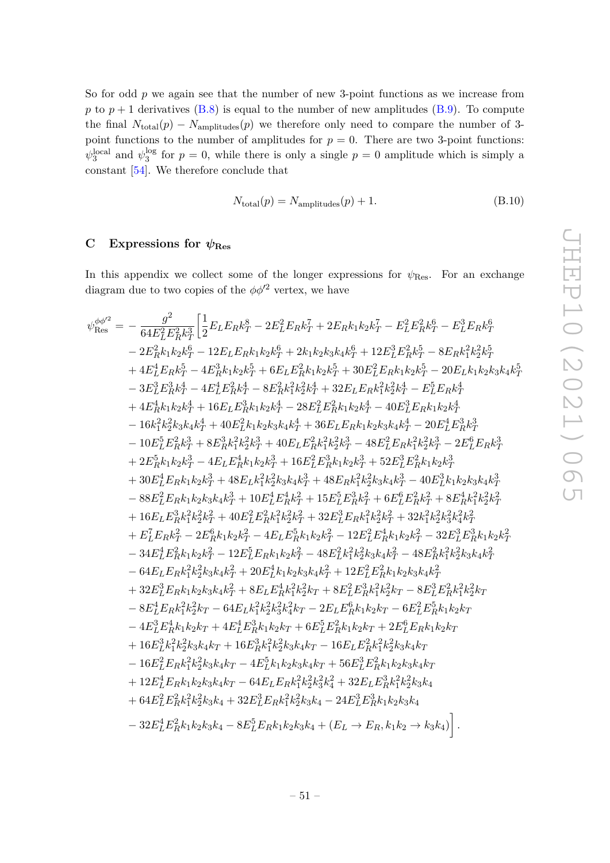So for odd *p* we again see that the number of new 3-point functions as we increase from *p* to  $p + 1$  derivatives [\(B.8\)](#page-50-4) is equal to the number of new amplitudes [\(B.9\)](#page-50-5). To compute the final  $N_{total}(p) - N_{amplitudes}(p)$  we therefore only need to compare the number of 3point functions to the number of amplitudes for  $p = 0$ . There are two 3-point functions:  $\psi_3^{\text{local}}$  and  $\psi_3^{\text{log}}$  $\frac{\log 3}{3}$  for  $p = 0$ , while there is only a single  $p = 0$  amplitude which is simply a constant [\[54\]](#page-55-15). We therefore conclude that

$$
N_{\text{total}}(p) = N_{\text{amplitudes}}(p) + 1. \tag{B.10}
$$

# <span id="page-51-0"></span>**C** Expressions for  $\psi_{\text{Res}}$

In this appendix we collect some of the longer expressions for  $\psi_{\text{Res}}$ . For an exchange diagram due to two copies of the  $\phi \phi^2$  vertex, we have

$$
\psi^{\phi\phi^2}_{\text{Res}} = -\frac{g^2}{64E_L^2E_R^{\lambda}\kappa_T^5}\left[\frac{1}{2}E_LE_Rk_T^{\delta}-2E_L^2E_Rk_T^{\delta}+2E_Rk_1k_2k_T^{\delta}-E_L^2E_R^{\delta}k_T^{\delta}-E_L^3E_Rk_T^{\delta}+E_L^2E_Rk_T^{\delta}+E_L^2E_Rk_T^{\delta}+2E_L^2E_Rk_T^{\delta}+2E_L^2E_Rk_T^{\delta}+2E_L^2E_Rk_T^{\delta}+2E_L^2E_Rk_T^{\delta}+2E_L^2E_Rk_T^{\delta}+2E_L^2E_Rk_T^{\delta}+2E_L^2E_Rk_T^{\delta}+2E_L^2E_Rk_T^{\delta}+2E_L^2E_Rk_T^{\delta}+2E_L^2E_Rk_T^{\delta}+2E_L^2E_Rk_T^{\delta}+2E_L^2E_Rk_T^{\delta}+2E_L^2E_Rk_T^{\delta}+2E_L^2E_Rk_T^{\delta}+2E_L^2E_Rk_T^{\delta}+2E_L^2E_Rk_T^{\delta}+2E_L^2E_Rk_T^{\delta}+2E_L^2E_Rk_T^{\delta}+2E_L^2E_Rk_T^{\delta}+2E_L^2E_Rk_T^{\delta}+2E_L^2E_Rk_T^{\delta}+2E_L^2E_Rk_T^{\delta}+2E_L^2E_Rk_T^{\delta}+2E_L^2E_Rk_T^{\delta}+2E_L^2E_Rk_T^{\delta}+2E_L^2E_Rk_T^{\delta}+2E_L^2E_Rk_T^{\delta}+2E_L^2E_Rk_T^{\delta}+2E_L^2E_Rk_T^{\delta}+2E_L^2E_Rk_T^{\delta}+2E_L^2E_Rk_T^{\delta}+2E_L^2E_Rk_T^{\delta}+2E_L^2E_Rk_T^{\delta}+2E_L^2E_Rk_T^{\delta}+2E_L^2E_Rk_T^{\delta}+2E_L^2E_Rk_T^{\delta}+2E_L^2E_Rk_T^{\delta}+2E_L^2E_Rk_T^{\delta}+2E_L^2E_Rk_T^{\delta}+2E_L^2E_Rk_T^{\delta}+2E_L^2E_Rk_T^{\delta}+2E_L^2E_Rk_T^{\delta}+2E_R^2E_Rk_T^{\delta}+2E_L^2E_Rk_T^{\delta}+
$$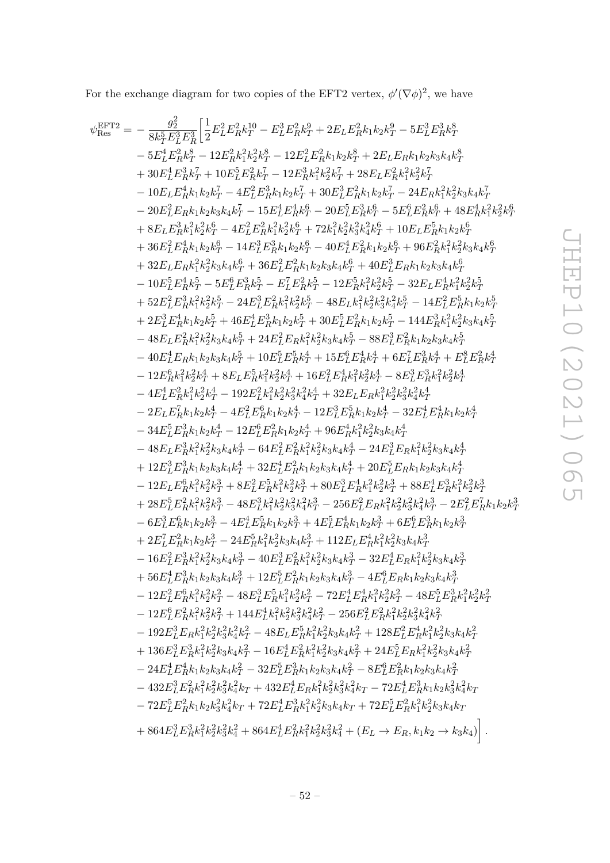For the exchange diagram for two copies of the EFT2 vertex,  $\phi'(\nabla\phi)^2$ , we have

$$
\begin{split} \psi^{\text{EFT2}}_{\text{RIS}}&=-\frac{g_2^2}{8k_T^2E_T^3E_T^3}\Big[ \frac{1}{2}E_T^2E_R^2k_T^3- E_T^2E_R^2k_T^3+2E_LE_R^2k_1k_2k_T^2-5E_L^2E_R^2k_T^3\\ &-5E_L^4E_R^2k_T^3-12E_R^2k_T^2k_T^2k_T^2k_T^2-12E_L^2E_Rk_1k_2k_T^3+2E_LE_Rk_1k_2k_3k_4k_T^8\\ &+30E_L^4E_R^2k_T^3+10E_L^5E_R^2k_T-12E_R^2k_T^2E_R^2k_T^3+28E_LE_R^2k_T^2k_T^2\\ &-00E_L^2E_Rk_1k_2k_T^2-15E_L^4E_T^4k_T^3-90E_L^2E_R^2k_Tk_T^3-28E_LE_R^2k_T^2-24E_Rk_T^2k_T^2k_T^2k_T^2\\ &-20E_L^2E_Rk_1k_2k_T^3-4E_L^2E_R^2k_T^3+3E_L^2E_R^2k_T^3+28E_L^2E_R^2k_T^3-5E_L^2E_R^2k_T^3+4E_L^2E_R^2k_T^2\\ &+8E_LE_R^2k_T^2k_T^2k_T^2-4E_L^2E_R^2k_T^2+2E_R^2k_T^2-5E_L^2E_R^2k_T^2+45E_R^2k_T^2k_T^2+45E_R^2k_T^2k_T^2\\ &+32E_LE_Rk_T^2k_T^2k_T^2-4E_L^2E_R^2k_T^2+40E_L^2E_R^2k_T^2-5E_L^2E_Rk_T^2k_T^2+40E_L^2E_R^2k_T^2+48E_L^2E_R^2k_T^2\\ &+32E_LE_Rk_T^2k_T^2k_T^2-5E_L^2E_R^2k_T^2-46E_L^2E_R^2k_T^2k_T^2-32E_LE_R^2k_T^2k_T^2k_T^2\\ &+32E_LE_R^2k_T^2k_T^2k_T^2+36E_L^2E_R^2k_T^2-4E_L^2E_R^2k_T^2-32E_LE_R^2
$$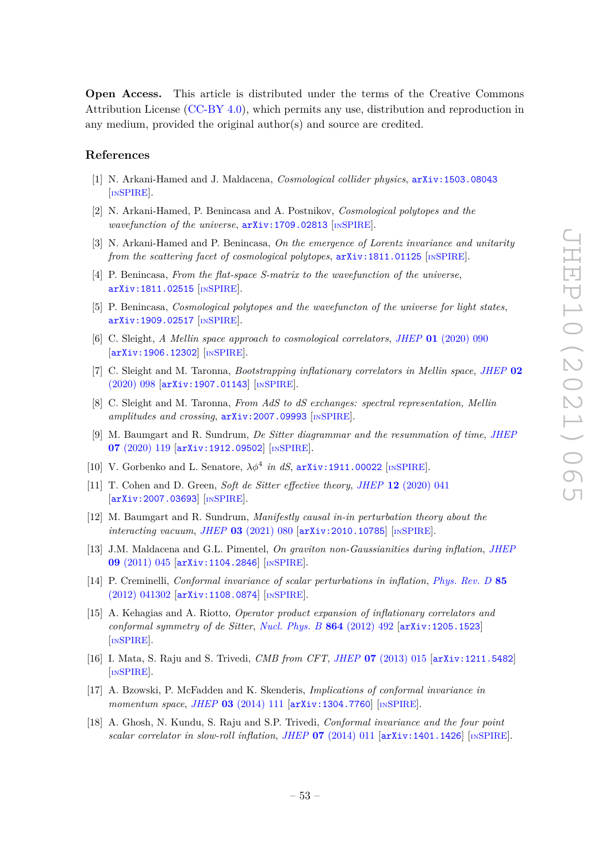**Open Access.** This article is distributed under the terms of the Creative Commons Attribution License [\(CC-BY 4.0\)](https://creativecommons.org/licenses/by/4.0/), which permits any use, distribution and reproduction in any medium, provided the original author(s) and source are credited.

# **References**

- <span id="page-53-0"></span>[1] N. Arkani-Hamed and J. Maldacena, *Cosmological collider physics*, [arXiv:1503.08043](https://arxiv.org/abs/1503.08043) [IN[SPIRE](https://inspirehep.net/search?p=find+EPRINT%2BarXiv%3A1503.08043)].
- <span id="page-53-3"></span>[2] N. Arkani-Hamed, P. Benincasa and A. Postnikov, *Cosmological polytopes and the wavefunction of the universe*, [arXiv:1709.02813](https://arxiv.org/abs/1709.02813) [IN[SPIRE](https://inspirehep.net/search?p=find+EPRINT%2BarXiv%3A1709.02813)].
- <span id="page-53-7"></span>[3] N. Arkani-Hamed and P. Benincasa, *On the emergence of Lorentz invariance and unitarity from the scattering facet of cosmological polytopes, [arXiv:1811.01125](https://arxiv.org/abs/1811.01125)* [IN[SPIRE](https://inspirehep.net/search?p=find+EPRINT%2BarXiv%3A1811.01125)].
- <span id="page-53-4"></span>[4] P. Benincasa, *From the flat-space S-matrix to the wavefunction of the universe*, [arXiv:1811.02515](https://arxiv.org/abs/1811.02515) [IN[SPIRE](https://inspirehep.net/search?p=find+EPRINT%2BarXiv%3A1811.02515)].
- <span id="page-53-5"></span>[5] P. Benincasa, *Cosmological polytopes and the wavefuncton of the universe for light states*, [arXiv:1909.02517](https://arxiv.org/abs/1909.02517) [IN[SPIRE](https://inspirehep.net/search?p=find+EPRINT%2BarXiv%3A1909.02517)].
- [6] C. Sleight, *A Mellin space approach to cosmological correlators*, *JHEP* **01** [\(2020\) 090](https://doi.org/10.1007/JHEP01(2020)090) [[arXiv:1906.12302](https://arxiv.org/abs/1906.12302)] [IN[SPIRE](https://inspirehep.net/search?p=find+EPRINT%2BarXiv%3A1906.12302)].
- [7] C. Sleight and M. Taronna, *Bootstrapping inflationary correlators in Mellin space*, *[JHEP](https://doi.org/10.1007/JHEP02(2020)098)* **02** [\(2020\) 098](https://doi.org/10.1007/JHEP02(2020)098) [[arXiv:1907.01143](https://arxiv.org/abs/1907.01143)] [IN[SPIRE](https://inspirehep.net/search?p=find+EPRINT%2BarXiv%3A1907.01143)].
- [8] C. Sleight and M. Taronna, *From AdS to dS exchanges: spectral representation, Mellin amplitudes and crossing*, [arXiv:2007.09993](https://arxiv.org/abs/2007.09993) [IN[SPIRE](https://inspirehep.net/search?p=find+EPRINT%2BarXiv%3A2007.09993)].
- [9] M. Baumgart and R. Sundrum, *De Sitter diagrammar and the resummation of time*, *[JHEP](https://doi.org/10.1007/JHEP07(2020)119)* **07** [\(2020\) 119](https://doi.org/10.1007/JHEP07(2020)119) [[arXiv:1912.09502](https://arxiv.org/abs/1912.09502)] [IN[SPIRE](https://inspirehep.net/search?p=find+EPRINT%2BarXiv%3A1912.09502)].
- [10] V. Gorbenko and L. Senatore,  $\lambda \phi^4$  *in dS*,  $arXiv:1911.00022$  [IN[SPIRE](https://inspirehep.net/search?p=find+EPRINT%2BarXiv%3A1911.00022)].
- [11] T. Cohen and D. Green, *Soft de Sitter effective theory*, *JHEP* **12** [\(2020\) 041](https://doi.org/10.1007/JHEP12(2020)041) [[arXiv:2007.03693](https://arxiv.org/abs/2007.03693)] [IN[SPIRE](https://inspirehep.net/search?p=find+EPRINT%2BarXiv%3A2007.03693)].
- <span id="page-53-1"></span>[12] M. Baumgart and R. Sundrum, *Manifestly causal in-in perturbation theory about the interacting vacuum*, *JHEP* **03** [\(2021\) 080](https://doi.org/10.1007/JHEP03(2021)080) [[arXiv:2010.10785](https://arxiv.org/abs/2010.10785)] [IN[SPIRE](https://inspirehep.net/search?p=find+EPRINT%2BarXiv%3A2010.10785)].
- <span id="page-53-2"></span>[13] J.M. Maldacena and G.L. Pimentel, *On graviton non-Gaussianities during inflation*, *[JHEP](https://doi.org/10.1007/JHEP09(2011)045)* **09** [\(2011\) 045](https://doi.org/10.1007/JHEP09(2011)045) [[arXiv:1104.2846](https://arxiv.org/abs/1104.2846)] [IN[SPIRE](https://inspirehep.net/search?p=find+EPRINT%2BarXiv%3A1104.2846)].
- [14] P. Creminelli, *Conformal invariance of scalar perturbations in inflation*, *[Phys. Rev. D](https://doi.org/10.1103/PhysRevD.85.041302)* **85** [\(2012\) 041302](https://doi.org/10.1103/PhysRevD.85.041302) [[arXiv:1108.0874](https://arxiv.org/abs/1108.0874)] [IN[SPIRE](https://inspirehep.net/search?p=find+EPRINT%2BarXiv%3A1108.0874)].
- [15] A. Kehagias and A. Riotto, *Operator product expansion of inflationary correlators and conformal symmetry of de Sitter*, *[Nucl. Phys. B](https://doi.org/10.1016/j.nuclphysb.2012.07.004)* **864** (2012) 492 [[arXiv:1205.1523](https://arxiv.org/abs/1205.1523)] [IN[SPIRE](https://inspirehep.net/search?p=find+EPRINT%2BarXiv%3A1205.1523)].
- <span id="page-53-6"></span>[16] I. Mata, S. Raju and S. Trivedi, *CMB from CFT*, *JHEP* **07** [\(2013\) 015](https://doi.org/10.1007/JHEP07(2013)015) [[arXiv:1211.5482](https://arxiv.org/abs/1211.5482)] [IN[SPIRE](https://inspirehep.net/search?p=find+EPRINT%2BarXiv%3A1211.5482)].
- [17] A. Bzowski, P. McFadden and K. Skenderis, *Implications of conformal invariance in momentum space*, *JHEP* **03** [\(2014\) 111](https://doi.org/10.1007/JHEP03(2014)111) [[arXiv:1304.7760](https://arxiv.org/abs/1304.7760)] [IN[SPIRE](https://inspirehep.net/search?p=find+EPRINT%2BarXiv%3A1304.7760)].
- [18] A. Ghosh, N. Kundu, S. Raju and S.P. Trivedi, *Conformal invariance and the four point scalar correlator in slow-roll inflation*, *JHEP* **07** [\(2014\) 011](https://doi.org/10.1007/JHEP07(2014)011) [[arXiv:1401.1426](https://arxiv.org/abs/1401.1426)] [IN[SPIRE](https://inspirehep.net/search?p=find+EPRINT%2BarXiv%3A1401.1426)].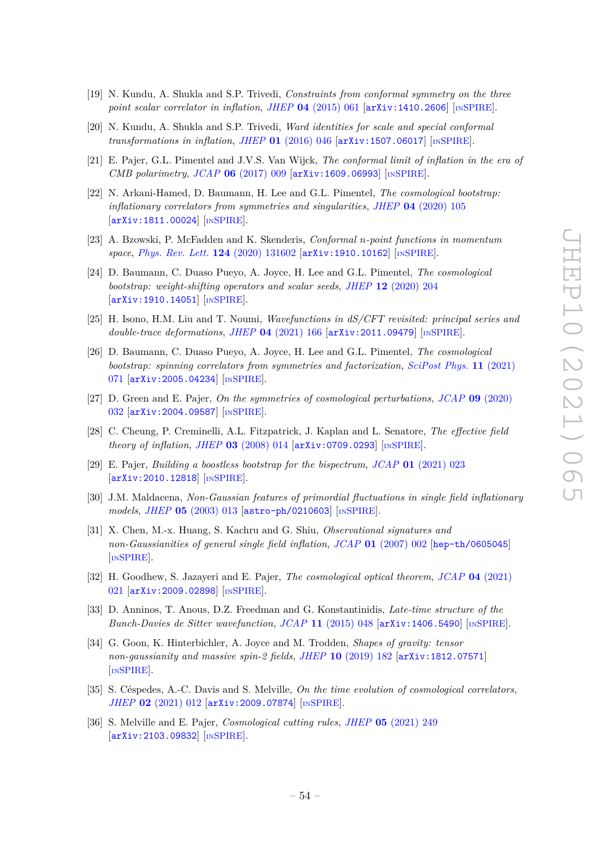- [19] N. Kundu, A. Shukla and S.P. Trivedi, *Constraints from conformal symmetry on the three point scalar correlator in inflation*, *JHEP* **04** [\(2015\) 061](https://doi.org/10.1007/JHEP04(2015)061) [[arXiv:1410.2606](https://arxiv.org/abs/1410.2606)] [IN[SPIRE](https://inspirehep.net/search?p=find+EPRINT%2BarXiv%3A1410.2606)].
- [20] N. Kundu, A. Shukla and S.P. Trivedi, *Ward identities for scale and special conformal transformations in inflation, JHEP* **01** [\(2016\) 046](https://doi.org/10.1007/JHEP01(2016)046) [[arXiv:1507.06017](https://arxiv.org/abs/1507.06017)] [IN[SPIRE](https://inspirehep.net/search?p=find+EPRINT%2BarXiv%3A1507.06017)].
- <span id="page-54-11"></span>[21] E. Pajer, G.L. Pimentel and J.V.S. Van Wijck, *The conformal limit of inflation in the era of CMB polarimetry*, *JCAP* **06** [\(2017\) 009](https://doi.org/10.1088/1475-7516/2017/06/009) [[arXiv:1609.06993](https://arxiv.org/abs/1609.06993)] [IN[SPIRE](https://inspirehep.net/search?p=find+EPRINT%2BarXiv%3A1609.06993)].
- <span id="page-54-3"></span>[22] N. Arkani-Hamed, D. Baumann, H. Lee and G.L. Pimentel, *The cosmological bootstrap: inflationary correlators from symmetries and singularities*, *JHEP* **04** [\(2020\) 105](https://doi.org/10.1007/JHEP04(2020)105) [[arXiv:1811.00024](https://arxiv.org/abs/1811.00024)] [IN[SPIRE](https://inspirehep.net/search?p=find+EPRINT%2BarXiv%3A1811.00024)].
- [23] A. Bzowski, P. McFadden and K. Skenderis, *Conformal n-point functions in momentum space*, *[Phys. Rev. Lett.](https://doi.org/10.1103/PhysRevLett.124.131602)* **124** (2020) 131602 [[arXiv:1910.10162](https://arxiv.org/abs/1910.10162)] [IN[SPIRE](https://inspirehep.net/search?p=find+EPRINT%2BarXiv%3A1910.10162)].
- [24] D. Baumann, C. Duaso Pueyo, A. Joyce, H. Lee and G.L. Pimentel, *The cosmological bootstrap: weight-shifting operators and scalar seeds*, *JHEP* **12** [\(2020\) 204](https://doi.org/10.1007/JHEP12(2020)204) [[arXiv:1910.14051](https://arxiv.org/abs/1910.14051)] [IN[SPIRE](https://inspirehep.net/search?p=find+EPRINT%2BarXiv%3A1910.14051)].
- [25] H. Isono, H.M. Liu and T. Noumi, *Wavefunctions in dS/CFT revisited: principal series and double-trace deformations*, *JHEP* **04** [\(2021\) 166](https://doi.org/10.1007/JHEP04(2021)166) [[arXiv:2011.09479](https://arxiv.org/abs/2011.09479)] [IN[SPIRE](https://inspirehep.net/search?p=find+EPRINT%2BarXiv%3A2011.09479)].
- <span id="page-54-0"></span>[26] D. Baumann, C. Duaso Pueyo, A. Joyce, H. Lee and G.L. Pimentel, *The cosmological bootstrap: spinning correlators from symmetries and factorization*, *[SciPost Phys.](https://doi.org/10.21468/SciPostPhys.11.3.071)* **11** (2021) [071](https://doi.org/10.21468/SciPostPhys.11.3.071) [[arXiv:2005.04234](https://arxiv.org/abs/2005.04234)] [IN[SPIRE](https://inspirehep.net/search?p=find+EPRINT%2BarXiv%3A2005.04234)].
- <span id="page-54-1"></span>[27] D. Green and E. Pajer, *On the symmetries of cosmological perturbations*, *JCAP* **09** [\(2020\)](https://doi.org/10.1088/1475-7516/2020/09/032) [032](https://doi.org/10.1088/1475-7516/2020/09/032) [[arXiv:2004.09587](https://arxiv.org/abs/2004.09587)] [IN[SPIRE](https://inspirehep.net/search?p=find+EPRINT%2BarXiv%3A2004.09587)].
- <span id="page-54-2"></span>[28] C. Cheung, P. Creminelli, A.L. Fitzpatrick, J. Kaplan and L. Senatore, *The effective field theory of inflation*, *JHEP* **03** [\(2008\) 014](https://doi.org/10.1088/1126-6708/2008/03/014) [[arXiv:0709.0293](https://arxiv.org/abs/0709.0293)] [IN[SPIRE](https://inspirehep.net/search?p=find+EPRINT%2BarXiv%3A0709.0293)].
- <span id="page-54-4"></span>[29] E. Pajer, *Building a boostless bootstrap for the bispectrum*, *JCAP* **01** [\(2021\) 023](https://doi.org/10.1088/1475-7516/2021/01/023) [[arXiv:2010.12818](https://arxiv.org/abs/2010.12818)] [IN[SPIRE](https://inspirehep.net/search?p=find+EPRINT%2BarXiv%3A2010.12818)].
- <span id="page-54-5"></span>[30] J.M. Maldacena, *Non-Gaussian features of primordial fluctuations in single field inflationary models*, *JHEP* **05** [\(2003\) 013](https://doi.org/10.1088/1126-6708/2003/05/013) [[astro-ph/0210603](https://arxiv.org/abs/astro-ph/0210603)] [IN[SPIRE](https://inspirehep.net/search?p=find+EPRINT%2Bastro-ph%2F0210603)].
- <span id="page-54-6"></span>[31] X. Chen, M.-x. Huang, S. Kachru and G. Shiu, *Observational signatures and non-Gaussianities of general single field inflation*, *JCAP* **01** [\(2007\) 002](https://doi.org/10.1088/1475-7516/2007/01/002) [[hep-th/0605045](https://arxiv.org/abs/hep-th/0605045)] [IN[SPIRE](https://inspirehep.net/search?p=find+EPRINT%2Bhep-th%2F0605045)].
- <span id="page-54-7"></span>[32] H. Goodhew, S. Jazayeri and E. Pajer, *The cosmological optical theorem*, *JCAP* **04** [\(2021\)](https://doi.org/10.1088/1475-7516/2021/04/021) [021](https://doi.org/10.1088/1475-7516/2021/04/021) [[arXiv:2009.02898](https://arxiv.org/abs/2009.02898)] [IN[SPIRE](https://inspirehep.net/search?p=find+EPRINT%2BarXiv%3A2009.02898)].
- [33] D. Anninos, T. Anous, D.Z. Freedman and G. Konstantinidis, *Late-time structure of the Bunch-Davies de Sitter wavefunction*, *JCAP* **11** [\(2015\) 048](https://doi.org/10.1088/1475-7516/2015/11/048) [[arXiv:1406.5490](https://arxiv.org/abs/1406.5490)] [IN[SPIRE](https://inspirehep.net/search?p=find+EPRINT%2BarXiv%3A1406.5490)].
- <span id="page-54-8"></span>[34] G. Goon, K. Hinterbichler, A. Joyce and M. Trodden, *Shapes of gravity: tensor non-gaussianity and massive spin-2 fields*, *JHEP* **10** [\(2019\) 182](https://doi.org/10.1007/JHEP10(2019)182) [[arXiv:1812.07571](https://arxiv.org/abs/1812.07571)] [IN[SPIRE](https://inspirehep.net/search?p=find+EPRINT%2BarXiv%3A1812.07571)].
- <span id="page-54-9"></span>[35] S. Céspedes, A.-C. Davis and S. Melville, *On the time evolution of cosmological correlators*, *JHEP* **02** [\(2021\) 012](https://doi.org/10.1007/JHEP02(2021)012) [[arXiv:2009.07874](https://arxiv.org/abs/2009.07874)] [IN[SPIRE](https://inspirehep.net/search?p=find+EPRINT%2BarXiv%3A2009.07874)].
- <span id="page-54-10"></span>[36] S. Melville and E. Pajer, *Cosmological cutting rules*, *JHEP* **05** [\(2021\) 249](https://doi.org/10.1007/JHEP05(2021)249) [[arXiv:2103.09832](https://arxiv.org/abs/2103.09832)] [IN[SPIRE](https://inspirehep.net/search?p=find+EPRINT%2BarXiv%3A2103.09832)].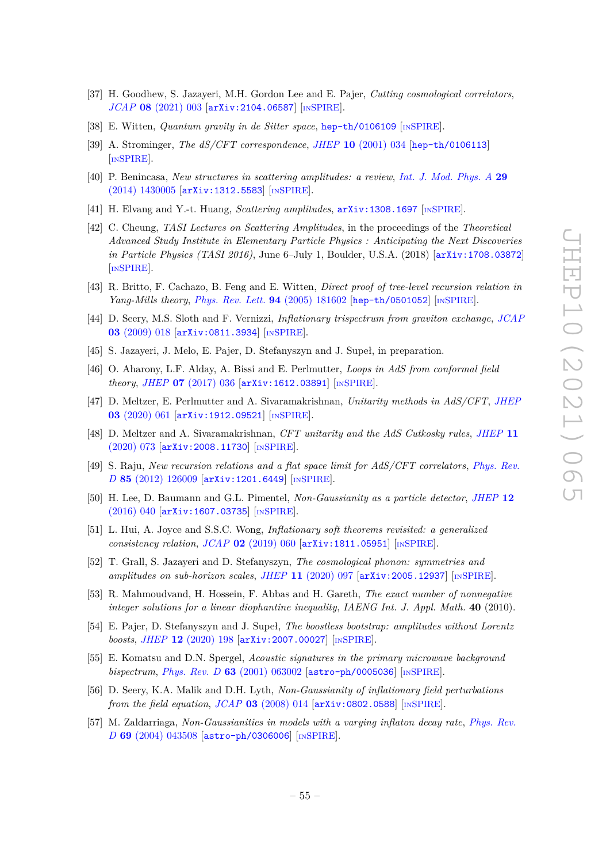- <span id="page-55-0"></span>[37] H. Goodhew, S. Jazayeri, M.H. Gordon Lee and E. Pajer, *Cutting cosmological correlators*, *JCAP* **08** [\(2021\) 003](https://doi.org/10.1088/1475-7516/2021/08/003) [[arXiv:2104.06587](https://arxiv.org/abs/2104.06587)] [IN[SPIRE](https://inspirehep.net/search?p=find+EPRINT%2BarXiv%3A2104.06587)].
- <span id="page-55-1"></span>[38] E. Witten, *Quantum gravity in de Sitter space*, [hep-th/0106109](https://arxiv.org/abs/hep-th/0106109) [IN[SPIRE](https://inspirehep.net/search?p=find+EPRINT%2Bhep-th%2F0106109)].
- <span id="page-55-2"></span>[39] A. Strominger, *The dS/CFT correspondence*, *JHEP* **10** [\(2001\) 034](https://doi.org/10.1088/1126-6708/2001/10/034) [[hep-th/0106113](https://arxiv.org/abs/hep-th/0106113)] [IN[SPIRE](https://inspirehep.net/search?p=find+EPRINT%2Bhep-th%2F0106113)].
- <span id="page-55-3"></span>[40] P. Benincasa, *New structures in scattering amplitudes: a review*, *[Int. J. Mod. Phys. A](https://doi.org/10.1142/S0217751X14300051)* **29** [\(2014\) 1430005](https://doi.org/10.1142/S0217751X14300051) [[arXiv:1312.5583](https://arxiv.org/abs/1312.5583)] [IN[SPIRE](https://inspirehep.net/search?p=find+EPRINT%2BarXiv%3A1312.5583)].
- [41] H. Elvang and Y.-t. Huang, *Scattering amplitudes*, [arXiv:1308.1697](https://arxiv.org/abs/1308.1697) [IN[SPIRE](https://inspirehep.net/search?p=find+EPRINT%2BarXiv%3A1308.1697)].
- <span id="page-55-4"></span>[42] C. Cheung, *TASI Lectures on Scattering Amplitudes*, in the proceedings of the *Theoretical Advanced Study Institute in Elementary Particle Physics : Anticipating the Next Discoveries in Particle Physics (TASI 2016)*, June 6–July 1, Boulder, U.S.A. (2018) [[arXiv:1708.03872](https://arxiv.org/abs/1708.03872)] [IN[SPIRE](https://inspirehep.net/search?p=find+EPRINT%2BarXiv%3A1708.03872)].
- <span id="page-55-5"></span>[43] R. Britto, F. Cachazo, B. Feng and E. Witten, *Direct proof of tree-level recursion relation in Yang-Mills theory*, *[Phys. Rev. Lett.](https://doi.org/10.1103/PhysRevLett.94.181602)* **94** (2005) 181602 [[hep-th/0501052](https://arxiv.org/abs/hep-th/0501052)] [IN[SPIRE](https://inspirehep.net/search?p=find+EPRINT%2Bhep-th%2F0501052)].
- <span id="page-55-6"></span>[44] D. Seery, M.S. Sloth and F. Vernizzi, *Inflationary trispectrum from graviton exchange*, *[JCAP](https://doi.org/10.1088/1475-7516/2009/03/018)* **03** [\(2009\) 018](https://doi.org/10.1088/1475-7516/2009/03/018) [[arXiv:0811.3934](https://arxiv.org/abs/0811.3934)] [IN[SPIRE](https://inspirehep.net/search?p=find+EPRINT%2BarXiv%3A0811.3934)].
- <span id="page-55-7"></span>[45] S. Jazayeri, J. Melo, E. Pajer, D. Stefanyszyn and J. Supeł, in preparation.
- <span id="page-55-8"></span>[46] O. Aharony, L.F. Alday, A. Bissi and E. Perlmutter, *Loops in AdS from conformal field theory*, *JHEP* **07** [\(2017\) 036](https://doi.org/10.1007/JHEP07(2017)036) [[arXiv:1612.03891](https://arxiv.org/abs/1612.03891)] [IN[SPIRE](https://inspirehep.net/search?p=find+EPRINT%2BarXiv%3A1612.03891)].
- [47] D. Meltzer, E. Perlmutter and A. Sivaramakrishnan, *Unitarity methods in AdS/CFT*, *[JHEP](https://doi.org/10.1007/JHEP03(2020)061)* **03** [\(2020\) 061](https://doi.org/10.1007/JHEP03(2020)061) [[arXiv:1912.09521](https://arxiv.org/abs/1912.09521)] [IN[SPIRE](https://inspirehep.net/search?p=find+EPRINT%2BarXiv%3A1912.09521)].
- <span id="page-55-9"></span>[48] D. Meltzer and A. Sivaramakrishnan, *CFT unitarity and the AdS Cutkosky rules*, *[JHEP](https://doi.org/10.1007/JHEP11(2020)073)* **11** [\(2020\) 073](https://doi.org/10.1007/JHEP11(2020)073) [[arXiv:2008.11730](https://arxiv.org/abs/2008.11730)] [IN[SPIRE](https://inspirehep.net/search?p=find+EPRINT%2BarXiv%3A2008.11730)].
- <span id="page-55-10"></span>[49] S. Raju, *New recursion relations and a flat space limit for AdS/CFT correlators*, *[Phys. Rev.](https://doi.org/10.1103/PhysRevD.85.126009) D* **85** [\(2012\) 126009](https://doi.org/10.1103/PhysRevD.85.126009) [[arXiv:1201.6449](https://arxiv.org/abs/1201.6449)] [IN[SPIRE](https://inspirehep.net/search?p=find+EPRINT%2BarXiv%3A1201.6449)].
- <span id="page-55-11"></span>[50] H. Lee, D. Baumann and G.L. Pimentel, *Non-Gaussianity as a particle detector*, *[JHEP](https://doi.org/10.1007/JHEP12(2016)040)* **12** [\(2016\) 040](https://doi.org/10.1007/JHEP12(2016)040) [[arXiv:1607.03735](https://arxiv.org/abs/1607.03735)] [IN[SPIRE](https://inspirehep.net/search?p=find+EPRINT%2BarXiv%3A1607.03735)].
- <span id="page-55-12"></span>[51] L. Hui, A. Joyce and S.S.C. Wong, *Inflationary soft theorems revisited: a generalized consistency relation, JCAP* 02 [\(2019\) 060](https://doi.org/10.1088/1475-7516/2019/02/060) [[arXiv:1811.05951](https://arxiv.org/abs/1811.05951)] [IN[SPIRE](https://inspirehep.net/search?p=find+EPRINT%2BarXiv%3A1811.05951)].
- <span id="page-55-13"></span>[52] T. Grall, S. Jazayeri and D. Stefanyszyn, *The cosmological phonon: symmetries and amplitudes on sub-horizon scales*, *JHEP* **11** [\(2020\) 097](https://doi.org/10.1007/JHEP11(2020)097) [[arXiv:2005.12937](https://arxiv.org/abs/2005.12937)] [IN[SPIRE](https://inspirehep.net/search?p=find+EPRINT%2BarXiv%3A2005.12937)].
- <span id="page-55-14"></span>[53] R. Mahmoudvand, H. Hossein, F. Abbas and H. Gareth, *The exact number of nonnegative integer solutions for a linear diophantine inequality*, *IAENG Int. J. Appl. Math.* **40** (2010).
- <span id="page-55-15"></span>[54] E. Pajer, D. Stefanyszyn and J. Supeł, *The boostless bootstrap: amplitudes without Lorentz boosts*, *JHEP* **12** [\(2020\) 198](https://doi.org/10.1007/JHEP12(2020)198) [[arXiv:2007.00027](https://arxiv.org/abs/2007.00027)] [IN[SPIRE](https://inspirehep.net/search?p=find+EPRINT%2BarXiv%3A2007.00027)].
- <span id="page-55-16"></span>[55] E. Komatsu and D.N. Spergel, *Acoustic signatures in the primary microwave background bispectrum*, *Phys. Rev. D* **63** [\(2001\) 063002](https://doi.org/10.1103/PhysRevD.63.063002) [[astro-ph/0005036](https://arxiv.org/abs/astro-ph/0005036)] [IN[SPIRE](https://inspirehep.net/search?p=find+EPRINT%2Bastro-ph%2F0005036)].
- <span id="page-55-17"></span>[56] D. Seery, K.A. Malik and D.H. Lyth, *Non-Gaussianity of inflationary field perturbations from the field equation*, *JCAP* **03** [\(2008\) 014](https://doi.org/10.1088/1475-7516/2008/03/014) [[arXiv:0802.0588](https://arxiv.org/abs/0802.0588)] [IN[SPIRE](https://inspirehep.net/search?p=find+EPRINT%2BarXiv%3A0802.0588)].
- <span id="page-55-18"></span>[57] M. Zaldarriaga, *Non-Gaussianities in models with a varying inflaton decay rate*, *[Phys. Rev.](https://doi.org/10.1103/PhysRevD.69.043508) D* **69** [\(2004\) 043508](https://doi.org/10.1103/PhysRevD.69.043508) [[astro-ph/0306006](https://arxiv.org/abs/astro-ph/0306006)] [IN[SPIRE](https://inspirehep.net/search?p=find+EPRINT%2Bastro-ph%2F0306006)].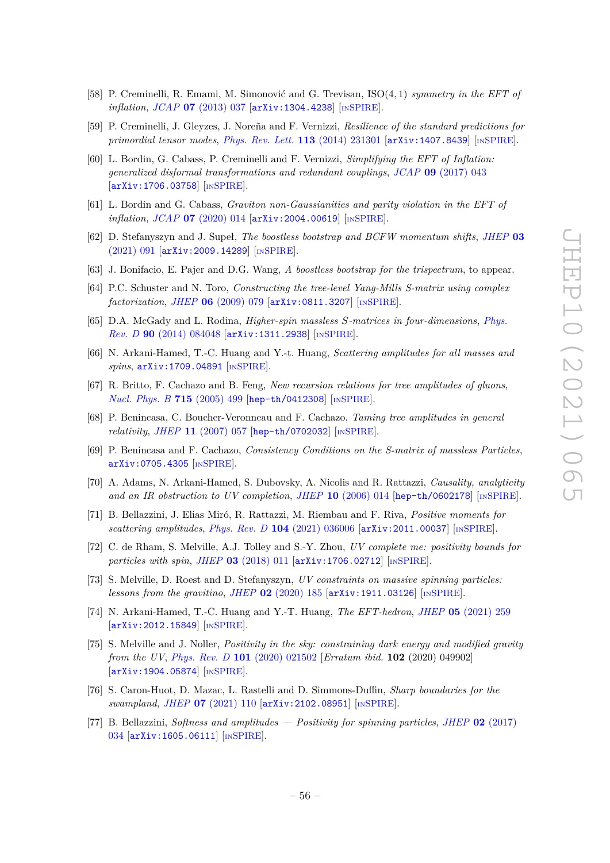- <span id="page-56-0"></span>[58] P. Creminelli, R. Emami, M. Simonović and G. Trevisan, ISO(4*,* 1) *symmetry in the EFT of inflation*, *JCAP* **07** [\(2013\) 037](https://doi.org/10.1088/1475-7516/2013/07/037) [[arXiv:1304.4238](https://arxiv.org/abs/1304.4238)] [IN[SPIRE](https://inspirehep.net/search?p=find+EPRINT%2BarXiv%3A1304.4238)].
- <span id="page-56-1"></span>[59] P. Creminelli, J. Gleyzes, J. Noreña and F. Vernizzi, *Resilience of the standard predictions for primordial tensor modes*, *[Phys. Rev. Lett.](https://doi.org/10.1103/PhysRevLett.113.231301)* **113** (2014) 231301 [[arXiv:1407.8439](https://arxiv.org/abs/1407.8439)] [IN[SPIRE](https://inspirehep.net/search?p=find+EPRINT%2BarXiv%3A1407.8439)].
- [60] L. Bordin, G. Cabass, P. Creminelli and F. Vernizzi, *Simplifying the EFT of Inflation: generalized disformal transformations and redundant couplings*, *JCAP* **09** [\(2017\) 043](https://doi.org/10.1088/1475-7516/2017/09/043) [[arXiv:1706.03758](https://arxiv.org/abs/1706.03758)] [IN[SPIRE](https://inspirehep.net/search?p=find+EPRINT%2BarXiv%3A1706.03758)].
- <span id="page-56-2"></span>[61] L. Bordin and G. Cabass, *Graviton non-Gaussianities and parity violation in the EFT of inflation*, *JCAP* **07** [\(2020\) 014](https://doi.org/10.1088/1475-7516/2020/07/014) [[arXiv:2004.00619](https://arxiv.org/abs/2004.00619)] [IN[SPIRE](https://inspirehep.net/search?p=find+EPRINT%2BarXiv%3A2004.00619)].
- <span id="page-56-3"></span>[62] D. Stefanyszyn and J. Supeł, *The boostless bootstrap and BCFW momentum shifts*, *[JHEP](https://doi.org/10.1007/JHEP03(2021)091)* **03** [\(2021\) 091](https://doi.org/10.1007/JHEP03(2021)091) [[arXiv:2009.14289](https://arxiv.org/abs/2009.14289)] [IN[SPIRE](https://inspirehep.net/search?p=find+EPRINT%2BarXiv%3A2009.14289)].
- <span id="page-56-4"></span>[63] J. Bonifacio, E. Pajer and D.G. Wang, *A boostless bootstrap for the trispectrum*, to appear.
- <span id="page-56-5"></span>[64] P.C. Schuster and N. Toro, *Constructing the tree-level Yang-Mills S-matrix using complex factorization*, *JHEP* **06** [\(2009\) 079](https://doi.org/10.1088/1126-6708/2009/06/079) [[arXiv:0811.3207](https://arxiv.org/abs/0811.3207)] [IN[SPIRE](https://inspirehep.net/search?p=find+EPRINT%2BarXiv%3A0811.3207)].
- [65] D.A. McGady and L. Rodina, *Higher-spin massless S-matrices in four-dimensions*, *[Phys.](https://doi.org/10.1103/PhysRevD.90.084048) Rev. D* **90** [\(2014\) 084048](https://doi.org/10.1103/PhysRevD.90.084048) [[arXiv:1311.2938](https://arxiv.org/abs/1311.2938)] [IN[SPIRE](https://inspirehep.net/search?p=find+EPRINT%2BarXiv%3A1311.2938)].
- <span id="page-56-6"></span>[66] N. Arkani-Hamed, T.-C. Huang and Y.-t. Huang, *Scattering amplitudes for all masses and spins*, [arXiv:1709.04891](https://arxiv.org/abs/1709.04891) [IN[SPIRE](https://inspirehep.net/search?p=find+EPRINT%2BarXiv%3A1709.04891)].
- <span id="page-56-7"></span>[67] R. Britto, F. Cachazo and B. Feng, *New recursion relations for tree amplitudes of gluons*, *[Nucl. Phys. B](https://doi.org/10.1016/j.nuclphysb.2005.02.030)* **715** (2005) 499 [[hep-th/0412308](https://arxiv.org/abs/hep-th/0412308)] [IN[SPIRE](https://inspirehep.net/search?p=find+EPRINT%2Bhep-th%2F0412308)].
- <span id="page-56-8"></span>[68] P. Benincasa, C. Boucher-Veronneau and F. Cachazo, *Taming tree amplitudes in general relativity*, *JHEP* **11** [\(2007\) 057](https://doi.org/10.1088/1126-6708/2007/11/057) [[hep-th/0702032](https://arxiv.org/abs/hep-th/0702032)] [IN[SPIRE](https://inspirehep.net/search?p=find+EPRINT%2Bhep-th%2F0702032)].
- <span id="page-56-9"></span>[69] P. Benincasa and F. Cachazo, *Consistency Conditions on the S-matrix of massless Particles*, [arXiv:0705.4305](https://arxiv.org/abs/0705.4305) [IN[SPIRE](https://inspirehep.net/search?p=find+EPRINT%2BarXiv%3A0705.4305)].
- <span id="page-56-10"></span>[70] A. Adams, N. Arkani-Hamed, S. Dubovsky, A. Nicolis and R. Rattazzi, *Causality, analyticity and an IR obstruction to UV completion*, *JHEP* **10** [\(2006\) 014](https://doi.org/10.1088/1126-6708/2006/10/014) [[hep-th/0602178](https://arxiv.org/abs/hep-th/0602178)] [IN[SPIRE](https://inspirehep.net/search?p=find+EPRINT%2Bhep-th%2F0602178)].
- [71] B. Bellazzini, J. Elias Miró, R. Rattazzi, M. Riembau and F. Riva, *Positive moments for scattering amplitudes, Phys. Rev. D* **104** [\(2021\) 036006](https://doi.org/10.1103/PhysRevD.104.036006) [[arXiv:2011.00037](https://arxiv.org/abs/2011.00037)] [IN[SPIRE](https://inspirehep.net/search?p=find+EPRINT%2BarXiv%3A2011.00037)].
- [72] C. de Rham, S. Melville, A.J. Tolley and S.-Y. Zhou, *UV complete me: positivity bounds for particles with spin*, *JHEP* **03** [\(2018\) 011](https://doi.org/10.1007/JHEP03(2018)011) [[arXiv:1706.02712](https://arxiv.org/abs/1706.02712)] [IN[SPIRE](https://inspirehep.net/search?p=find+EPRINT%2BarXiv%3A1706.02712)].
- [73] S. Melville, D. Roest and D. Stefanyszyn, *UV constraints on massive spinning particles: lessons from the gravitino*, *JHEP* **02** [\(2020\) 185](https://doi.org/10.1007/JHEP02(2020)185) [[arXiv:1911.03126](https://arxiv.org/abs/1911.03126)] [IN[SPIRE](https://inspirehep.net/search?p=find+EPRINT%2BarXiv%3A1911.03126)].
- [74] N. Arkani-Hamed, T.-C. Huang and Y.-T. Huang, *The EFT-hedron*, *JHEP* **05** [\(2021\) 259](https://doi.org/10.1007/JHEP05(2021)259) [[arXiv:2012.15849](https://arxiv.org/abs/2012.15849)] [IN[SPIRE](https://inspirehep.net/search?p=find+EPRINT%2BarXiv%3A2012.15849)].
- [75] S. Melville and J. Noller, *Positivity in the sky: constraining dark energy and modified gravity from the UV*, *Phys. Rev. D* **101** [\(2020\) 021502](https://doi.org/10.1103/PhysRevD.101.021502) [*Erratum ibid.* **102** (2020) 049902] [[arXiv:1904.05874](https://arxiv.org/abs/1904.05874)] [IN[SPIRE](https://inspirehep.net/search?p=find+EPRINT%2BarXiv%3A1904.05874)].
- [76] S. Caron-Huot, D. Mazac, L. Rastelli and D. Simmons-Duffin, *Sharp boundaries for the swampland*, *JHEP* **07** [\(2021\) 110](https://doi.org/10.1007/JHEP07(2021)110) [[arXiv:2102.08951](https://arxiv.org/abs/2102.08951)] [IN[SPIRE](https://inspirehep.net/search?p=find+EPRINT%2BarXiv%3A2102.08951)].
- [77] B. Bellazzini, *Softness and amplitudes Positivity for spinning particles*, *JHEP* **02** [\(2017\)](https://doi.org/10.1007/JHEP02(2017)034) [034](https://doi.org/10.1007/JHEP02(2017)034) [[arXiv:1605.06111](https://arxiv.org/abs/1605.06111)] [IN[SPIRE](https://inspirehep.net/search?p=find+EPRINT%2BarXiv%3A1605.06111)].